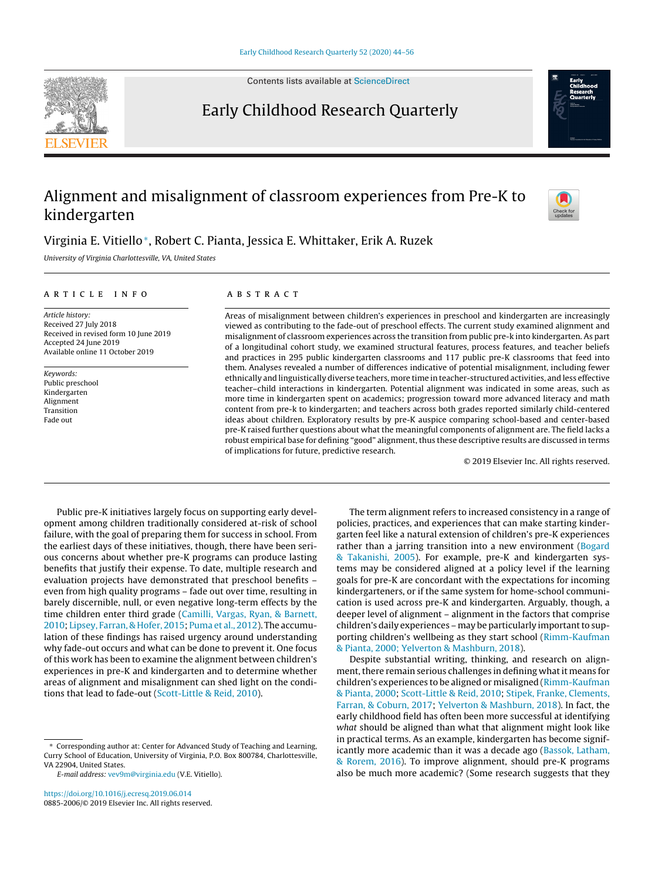Contents lists available at [ScienceDirect](http://www.sciencedirect.com/science/journal/08852006)



# Early Childhood Research Quarterly

# Alignment and misalignment of classroom experiences from Pre-K to kindergarten



# Virginia E. Vitiello∗, Robert C. Pianta, Jessica E. Whittaker, Erik A. Ruzek

University of Virginia Charlottesville, VA, United States

# a r t i c l e i n f o

Article history: Received 27 July 2018 Received in revised form 10 June 2019 Accepted 24 June 2019 Available online 11 October 2019

Keywords: Public preschool Kindergarten Alignment Transition Fade out

# a b s t r a c t

Areas of misalignment between children's experiences in preschool and kindergarten are increasingly viewed as contributing to the fade-out of preschool effects. The current study examined alignment and misalignment of classroom experiences across the transition from public pre-k into kindergarten. As part of a longitudinal cohort study, we examined structural features, process features, and teacher beliefs and practices in 295 public kindergarten classrooms and 117 public pre-K classrooms that feed into them. Analyses revealed a number of differences indicative of potential misalignment, including fewer ethnically and linguistically diverse teachers, more time in teacher-structured activities, and less effective teacher–child interactions in kindergarten. Potential alignment was indicated in some areas, such as more time in kindergarten spent on academics; progression toward more advanced literacy and math content from pre-k to kindergarten; and teachers across both grades reported similarly child-centered ideas about children. Exploratory results by pre-K auspice comparing school-based and center-based pre-K raised further questions about what the meaningful components of alignment are. The field lacks a robust empirical base for defining "good" alignment, thus these descriptive results are discussed in terms of implications for future, predictive research.

© 2019 Elsevier Inc. All rights reserved.

Public pre-K initiatives largely focus on supporting early development among children traditionally considered at-risk of school failure, with the goal of preparing them for success in school. From the earliest days of these initiatives, though, there have been serious concerns about whether pre-K programs can produce lasting benefits that justify their expense. To date, multiple research and evaluation projects have demonstrated that preschool benefits – even from high quality programs – fade out over time, resulting in barely discernible, null, or even negative long-term effects by the time children enter third grade ([Camilli,](#page-10-0) [Vargas,](#page-10-0) [Ryan,](#page-10-0) [&](#page-10-0) [Barnett,](#page-10-0) [2010;](#page-10-0) [Lipsey,](#page-11-0) [Farran,](#page-11-0) [&](#page-11-0) [Hofer,](#page-11-0) [2015;](#page-11-0) [Puma](#page-11-0) et [al.,](#page-11-0) [2012\).](#page-11-0) The accumulation of these findings has raised urgency around understanding why fade-out occurs and what can be done to prevent it. One focus of this work has been to examine the alignment between children's experiences in pre-K and kindergarten and to determine whether areas of alignment and misalignment can shed light on the conditions that lead to fade-out [\(Scott-Little](#page-11-0) [&](#page-11-0) [Reid,](#page-11-0) [2010\).](#page-11-0)

The term alignment refers to increased consistency in a range of policies, practices, and experiences that can make starting kindergarten feel like a natural extension of children's pre-K experiences rather than a jarring transition into a new environment [\(Bogard](#page-10-0) [&](#page-10-0) [Takanishi,](#page-10-0) [2005\).](#page-10-0) For example, pre-K and kindergarten systems may be considered aligned at a policy level if the learning goals for pre-K are concordant with the expectations for incoming kindergarteners, or if the same system for home-school communication is used across pre-K and kindergarten. Arguably, though, a deeper level of alignment – alignment in the factors that comprise children's daily experiences – may be particularly important to supporting children's wellbeing as they start school [\(Rimm-Kaufman](#page-11-0) [&](#page-11-0) [Pianta,](#page-11-0) [2000;](#page-11-0) [Yelverton](#page-11-0) [&](#page-11-0) [Mashburn,](#page-11-0) [2018\).](#page-11-0)

Despite substantial writing, thinking, and research on alignment, there remain serious challenges in defining what it means for children's experiences to be aligned or misaligned [\(Rimm-Kaufman](#page-11-0) [&](#page-11-0) [Pianta,](#page-11-0) [2000;](#page-11-0) [Scott-Little](#page-11-0) [&](#page-11-0) [Reid,](#page-11-0) [2010;](#page-11-0) [Stipek,](#page-11-0) [Franke,](#page-11-0) [Clements,](#page-11-0) [Farran,](#page-11-0) [&](#page-11-0) [Coburn,](#page-11-0) [2017;](#page-11-0) [Yelverton](#page-12-0) [&](#page-12-0) [Mashburn,](#page-12-0) [2018\).](#page-12-0) In fact, the early childhood field has often been more successful at identifying what should be aligned than what that alignment might look like in practical terms. As an example, kindergarten has become significantly more academic than it was a decade ago [\(Bassok,](#page-10-0) [Latham,](#page-10-0) [&](#page-10-0) [Rorem,](#page-10-0) [2016\).](#page-10-0) To improve alignment, should pre-K programs also be much more academic? (Some research suggests that they

<sup>∗</sup> Corresponding author at: Center for Advanced Study of Teaching and Learning, Curry School of Education, University of Virginia, P.O. Box 800784, Charlottesville, VA 22904, United States.

E-mail address: [vev9m@virginia.edu](mailto:vev9m@virginia.edu) (V.E. Vitiello).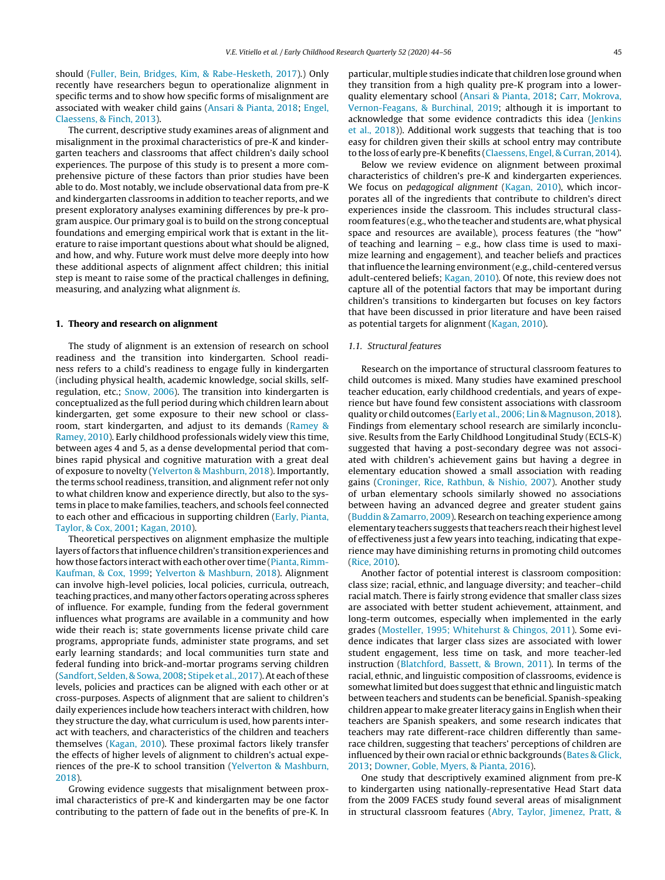should ([Fuller,](#page-11-0) [Bein,](#page-11-0) [Bridges,](#page-11-0) [Kim,](#page-11-0) [&](#page-11-0) [Rabe-Hesketh,](#page-11-0) [2017\).\)](#page-11-0) Only recently have researchers begun to operationalize alignment in specific terms and to show how specific forms of misalignment are associated with weaker child gains ([Ansari](#page-10-0) [&](#page-10-0) [Pianta,](#page-10-0) [2018;](#page-10-0) [Engel,](#page-11-0) [Claessens,](#page-11-0) [&](#page-11-0) [Finch,](#page-11-0) [2013\).](#page-11-0)

The current, descriptive study examines areas of alignment and misalignment in the proximal characteristics of pre-K and kindergarten teachers and classrooms that affect children's daily school experiences. The purpose of this study is to present a more comprehensive picture of these factors than prior studies have been able to do. Most notably, we include observational data from pre-K and kindergarten classrooms in addition to teacher reports, and we present exploratory analyses examining differences by pre-k program auspice. Our primary goal is to build on the strong conceptual foundations and emerging empirical work that is extant in the literature to raise important questions about what should be aligned, and how, and why. Future work must delve more deeply into how these additional aspects of alignment affect children; this initial step is meant to raise some of the practical challenges in defining, measuring, and analyzing what alignment is.

#### **1. Theory and research on alignment**

The study of alignment is an extension of research on school readiness and the transition into kindergarten. School readiness refers to a child's readiness to engage fully in kindergarten (including physical health, academic knowledge, social skills, selfregulation, etc.; [Snow,](#page-11-0) [2006\).](#page-11-0) The transition into kindergarten is conceptualized as the full period during which children learn about kindergarten, get some exposure to their new school or classroom, start kindergarten, and adjust to its demands ([Ramey](#page-11-0) [&](#page-11-0) [Ramey,](#page-11-0) [2010\).](#page-11-0) Early childhood professionals widely view this time, between ages 4 and 5, as a dense developmental period that combines rapid physical and cognitive maturation with a great deal of exposure to novelty ([Yelverton](#page-12-0) [&](#page-12-0) [Mashburn,](#page-12-0) [2018\).](#page-12-0) Importantly, the terms school readiness, transition, and alignment refer not only to what children know and experience directly, but also to the systems in place to make families, teachers, and schools feel connected to each other and efficacious in supporting children ([Early,](#page-11-0) [Pianta,](#page-11-0) [Taylor,](#page-11-0) [&](#page-11-0) [Cox,](#page-11-0) [2001;](#page-11-0) [Kagan,](#page-11-0) [2010\).](#page-11-0)

Theoretical perspectives on alignment emphasize the multiple layers of factors that influence children's transition experiences and how those factors interact with each other over time (Pianta, Rimm-Kaufman, [&](#page-11-0) [Cox,](#page-11-0) [1999;](#page-11-0) [Yelverton](#page-12-0) [&](#page-12-0) [Mashburn,](#page-12-0) [2018\).](#page-12-0) Alignment can involve high-level policies, local policies, curricula, outreach, teaching practices, and many other factors operating across spheres of influence. For example, funding from the federal government influences what programs are available in a community and how wide their reach is; state governments license private child care programs, appropriate funds, administer state programs, and set early learning standards; and local communities turn state and federal funding into brick-and-mortar programs serving children ([Sandfort,](#page-11-0) [Selden,](#page-11-0) [&](#page-11-0) [Sowa,](#page-11-0) [2008;](#page-11-0) [Stipek](#page-11-0) et [al.,](#page-11-0) [2017\).](#page-11-0) At each of these levels, policies and practices can be aligned with each other or at cross-purposes. Aspects of alignment that are salient to children's daily experiences include how teachers interact with children, how they structure the day, what curriculum is used, how parents interact with teachers, and characteristics of the children and teachers themselves [\(Kagan,](#page-11-0) [2010\).](#page-11-0) These proximal factors likely transfer the effects of higher levels of alignment to children's actual experiences of the pre-K to school transition ([Yelverton](#page-12-0) [&](#page-12-0) [Mashburn,](#page-12-0) [2018\).](#page-12-0)

Growing evidence suggests that misalignment between proximal characteristics of pre-K and kindergarten may be one factor contributing to the pattern of fade out in the benefits of pre-K. In particular, multiple studies indicate that children lose ground when they transition from a high quality pre-K program into a lowerquality elementary school [\(Ansari](#page-10-0) [&](#page-10-0) [Pianta,](#page-10-0) [2018;](#page-10-0) [Carr,](#page-10-0) [Mokrova,](#page-10-0) [Vernon-Feagans,](#page-10-0) [&](#page-10-0) [Burchinal,](#page-10-0) [2019;](#page-10-0) although it is important to acknowledge that some evidence contradicts this idea ([Jenkins](#page-11-0) et [al.,](#page-11-0) [2018\)\)](#page-11-0). Additional work suggests that teaching that is too easy for children given their skills at school entry may contribute to the loss of early pre-K benefits ([Claessens,](#page-11-0) [Engel,](#page-11-0) [&](#page-11-0) [Curran,](#page-11-0) [2014\).](#page-11-0)

Below we review evidence on alignment between proximal characteristics of children's pre-K and kindergarten experiences. We focus on *pedagogical alignment* ([Kagan,](#page-11-0) [2010\),](#page-11-0) which incorporates all of the ingredients that contribute to children's direct experiences inside the classroom. This includes structural classroomfeatures (e.g., who the teacher and students are, what physical space and resources are available), process features (the "how" of teaching and learning – e.g., how class time is used to maximize learning and engagement), and teacher beliefs and practices thatinfluence the learning environment(e.g., child-centered versus adult-centered beliefs; [Kagan,](#page-11-0) [2010\).](#page-11-0) Of note, this review does not capture all of the potential factors that may be important during children's transitions to kindergarten but focuses on key factors that have been discussed in prior literature and have been raised as potential targets for alignment [\(Kagan,](#page-11-0) [2010\).](#page-11-0)

#### 1.1. Structural features

Research on the importance of structural classroom features to child outcomes is mixed. Many studies have examined preschool teacher education, early childhood credentials, and years of experience but have found few consistent associations with classroom quality or child outcomes [\(Early](#page-11-0) et [al.,](#page-11-0) [2006;](#page-11-0) [Lin](#page-11-0) [&](#page-11-0) [Magnuson,](#page-11-0) [2018\).](#page-11-0) Findings from elementary school research are similarly inconclusive. Results from the Early Childhood Longitudinal Study (ECLS-K) suggested that having a post-secondary degree was not associated with children's achievement gains but having a degree in elementary education showed a small association with reading gains ([Croninger,](#page-11-0) [Rice,](#page-11-0) [Rathbun,](#page-11-0) [&](#page-11-0) [Nishio,](#page-11-0) [2007\).](#page-11-0) Another study of urban elementary schools similarly showed no associations between having an advanced degree and greater student gains [\(Buddin](#page-10-0) [&](#page-10-0) [Zamarro,](#page-10-0) [2009\).](#page-10-0) Research on teaching experience among elementary teachers suggests that teachers reach their highest level of effectiveness just a few years into teaching, indicating that experience may have diminishing returns in promoting child outcomes [\(Rice,](#page-11-0) [2010\).](#page-11-0)

Another factor of potential interest is classroom composition: class size; racial, ethnic, and language diversity; and teacher–child racial match. There is fairly strong evidence that smaller class sizes are associated with better student achievement, attainment, and long-term outcomes, especially when implemented in the early grades [\(Mosteller,](#page-11-0) [1995;](#page-11-0) [Whitehurst](#page-11-0) [&](#page-11-0) [Chingos,](#page-11-0) [2011\).](#page-11-0) Some evidence indicates that larger class sizes are associated with lower student engagement, less time on task, and more teacher-led instruction [\(Blatchford,](#page-10-0) [Bassett,](#page-10-0) [&](#page-10-0) [Brown,](#page-10-0) [2011\).](#page-10-0) In terms of the racial, ethnic, and linguistic composition of classrooms, evidence is somewhat limited but does suggest that ethnic and linguistic match between teachers and students can be beneficial. Spanish-speaking children appear to make greater literacy gains in English when their teachers are Spanish speakers, and some research indicates that teachers may rate different-race children differently than samerace children, suggesting that teachers' perceptions of children are influenced by their own racial or ethnic backgrounds [\(Bates](#page-10-0) [&](#page-10-0) [Glick,](#page-10-0) [2013;](#page-10-0) [Downer,](#page-11-0) [Goble,](#page-11-0) [Myers,](#page-11-0) [&](#page-11-0) [Pianta,](#page-11-0) [2016\).](#page-11-0)

One study that descriptively examined alignment from pre-K to kindergarten using nationally-representative Head Start data from the 2009 FACES study found several areas of misalignment in structural classroom features [\(Abry,](#page-10-0) [Taylor,](#page-10-0) [Jimenez,](#page-10-0) [Pratt,](#page-10-0) [&](#page-10-0)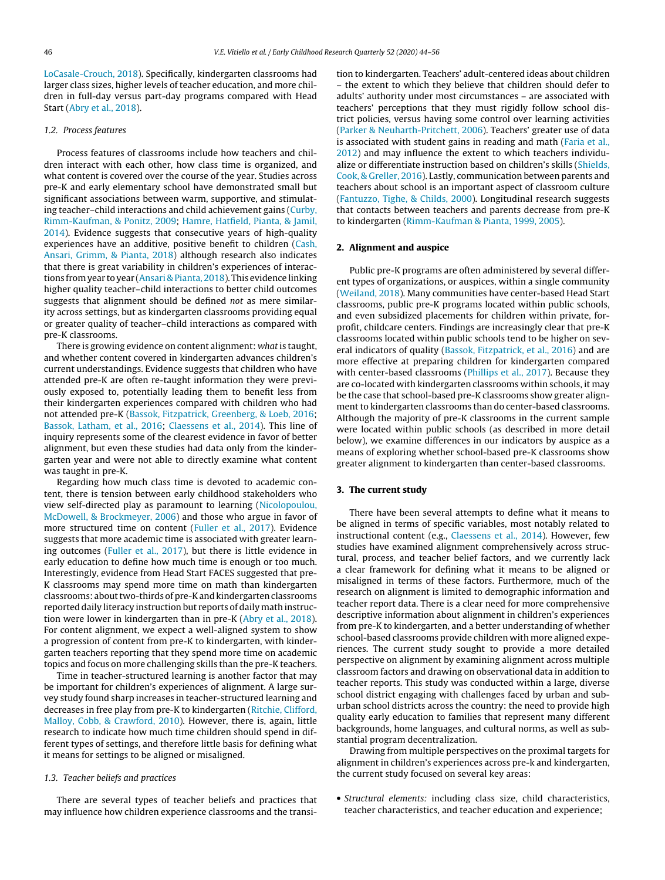[LoCasale-Crouch,](#page-10-0) [2018\).](#page-10-0) Specifically, kindergarten classrooms had larger class sizes, higher levels of teacher education, and more children in full-day versus part-day programs compared with Head Start [\(Abry](#page-10-0) et [al.,](#page-10-0) [2018\).](#page-10-0)

# 1.2. Process features

Process features of classrooms include how teachers and children interact with each other, how class time is organized, and what content is covered over the course of the year. Studies across pre-K and early elementary school have demonstrated small but significant associations between warm, supportive, and stimulating teacher–child interactions and child achievement gains ([Curby,](#page-11-0) [Rimm-Kaufman,](#page-11-0) [&](#page-11-0) [Ponitz,](#page-11-0) [2009;](#page-11-0) [Hamre,](#page-11-0) [Hatfield,](#page-11-0) [Pianta,](#page-11-0) [&](#page-11-0) [Jamil,](#page-11-0) [2014\).](#page-11-0) Evidence suggests that consecutive years of high-quality experiences have an additive, positive benefit to children ([Cash,](#page-10-0) [Ansari,](#page-10-0) [Grimm,](#page-10-0) [&](#page-10-0) [Pianta,](#page-10-0) [2018\)](#page-10-0) although research also indicates that there is great variability in children's experiences of interactions fromyear to year ([Ansari](#page-10-0) [&](#page-10-0) [Pianta,](#page-10-0) [2018\).](#page-10-0) This evidence linking higher quality teacher–child interactions to better child outcomes suggests that alignment should be defined not as mere similarity across settings, but as kindergarten classrooms providing equal or greater quality of teacher–child interactions as compared with pre-K classrooms.

There is growing evidence on content alignment: what is taught, and whether content covered in kindergarten advances children's current understandings. Evidence suggests that children who have attended pre-K are often re-taught information they were previously exposed to, potentially leading them to benefit less from their kindergarten experiences compared with children who had not attended pre-K ([Bassok,](#page-10-0) [Fitzpatrick,](#page-10-0) [Greenberg,](#page-10-0) [&](#page-10-0) [Loeb,](#page-10-0) [2016;](#page-10-0) [Bassok,](#page-10-0) [Latham,](#page-10-0) et [al.,](#page-10-0) [2016;](#page-10-0) [Claessens](#page-11-0) et [al.,](#page-11-0) [2014\).](#page-11-0) This line of inquiry represents some of the clearest evidence in favor of better alignment, but even these studies had data only from the kindergarten year and were not able to directly examine what content was taught in pre-K.

Regarding how much class time is devoted to academic content, there is tension between early childhood stakeholders who view self-directed play as paramount to learning [\(Nicolopoulou,](#page-11-0) [McDowell,](#page-11-0) [&](#page-11-0) [Brockmeyer,](#page-11-0) [2006\)](#page-11-0) and those who argue in favor of more structured time on content [\(Fuller](#page-11-0) et [al.,](#page-11-0) [2017\).](#page-11-0) Evidence suggests that more academic time is associated with greater learning outcomes ([Fuller](#page-11-0) et [al.,](#page-11-0) [2017\),](#page-11-0) but there is little evidence in early education to define how much time is enough or too much. Interestingly, evidence from Head Start FACES suggested that pre-K classrooms may spend more time on math than kindergarten classrooms: about two-thirds of pre-K and kindergarten classrooms reported daily literacy instruction but reports of daily math instruction were lower in kindergarten than in pre-K [\(Abry](#page-10-0) et [al.,](#page-10-0) [2018\).](#page-10-0) For content alignment, we expect a well-aligned system to show a progression of content from pre-K to kindergarten, with kindergarten teachers reporting that they spend more time on academic topics and focus on more challenging skills than the pre-K teachers.

Time in teacher-structured learning is another factor that may be important for children's experiences of alignment. A large survey study found sharp increases in teacher-structured learning and decreases in free play from pre-K to kindergarten ([Ritchie,](#page-11-0) [Clifford,](#page-11-0) [Malloy,](#page-11-0) [Cobb,](#page-11-0) [&](#page-11-0) [Crawford,](#page-11-0) [2010\).](#page-11-0) However, there is, again, little research to indicate how much time children should spend in different types of settings, and therefore little basis for defining what it means for settings to be aligned or misaligned.

# 1.3. Teacher beliefs and practices

There are several types of teacher beliefs and practices that may influence how children experience classrooms and the transition to kindergarten. Teachers' adult-centered ideas about children – the extent to which they believe that children should defer to adults' authority under most circumstances – are associated with teachers' perceptions that they must rigidly follow school district policies, versus having some control over learning activities [\(Parker](#page-11-0) [&](#page-11-0) [Neuharth-Pritchett,](#page-11-0) [2006\).](#page-11-0) Teachers' greater use of data is associated with student gains in reading and math [\(Faria](#page-11-0) et [al.,](#page-11-0) [2012\)](#page-11-0) and may influence the extent to which teachers individualize or differentiate instruction based on children's skills ([Shields,](#page-11-0) [Cook,](#page-11-0) [&](#page-11-0) [Greller,](#page-11-0) [2016\).](#page-11-0) Lastly, communication between parents and teachers about school is an important aspect of classroom culture [\(Fantuzzo,](#page-11-0) [Tighe,](#page-11-0) [&](#page-11-0) [Childs,](#page-11-0) [2000\).](#page-11-0) Longitudinal research suggests that contacts between teachers and parents decrease from pre-K to kindergarten ([Rimm-Kaufman](#page-11-0) [&](#page-11-0) [Pianta,](#page-11-0) [1999,](#page-11-0) [2005\).](#page-11-0)

#### **2. Alignment and auspice**

Public pre-K programs are often administered by several different types of organizations, or auspices, within a single community [\(Weiland,](#page-12-0) [2018\).](#page-12-0) Many communities have center-based Head Start classrooms, public pre-K programs located within public schools, and even subsidized placements for children within private, forprofit, childcare centers. Findings are increasingly clear that pre-K classrooms located within public schools tend to be higher on several indicators of quality [\(Bassok,](#page-10-0) [Fitzpatrick,](#page-10-0) et [al.,](#page-10-0) [2016\)](#page-10-0) and are more effective at preparing children for kindergarten compared with center-based classrooms ([Phillips](#page-11-0) et [al.,](#page-11-0) [2017\).](#page-11-0) Because they are co-located with kindergarten classrooms within schools, it may be the case that school-based pre-K classrooms show greater alignment to kindergarten classrooms than do center-based classrooms. Although the majority of pre-K classrooms in the current sample were located within public schools (as described in more detail below), we examine differences in our indicators by auspice as a means of exploring whether school-based pre-K classrooms show greater alignment to kindergarten than center-based classrooms.

#### **3. The current study**

There have been several attempts to define what it means to be aligned in terms of specific variables, most notably related to instructional content (e.g., [Claessens](#page-11-0) et [al.,](#page-11-0) [2014\).](#page-11-0) However, few studies have examined alignment comprehensively across structural, process, and teacher belief factors, and we currently lack a clear framework for defining what it means to be aligned or misaligned in terms of these factors. Furthermore, much of the research on alignment is limited to demographic information and teacher report data. There is a clear need for more comprehensive descriptive information about alignment in children's experiences from pre-K to kindergarten, and a better understanding of whether school-based classrooms provide children with more aligned experiences. The current study sought to provide a more detailed perspective on alignment by examining alignment across multiple classroom factors and drawing on observational data in addition to teacher reports. This study was conducted within a large, diverse school district engaging with challenges faced by urban and suburban school districts across the country: the need to provide high quality early education to families that represent many different backgrounds, home languages, and cultural norms, as well as substantial program decentralization.

Drawing from multiple perspectives on the proximal targets for alignment in children's experiences across pre-k and kindergarten, the current study focused on several key areas:

• Structural elements: including class size, child characteristics, teacher characteristics, and teacher education and experience;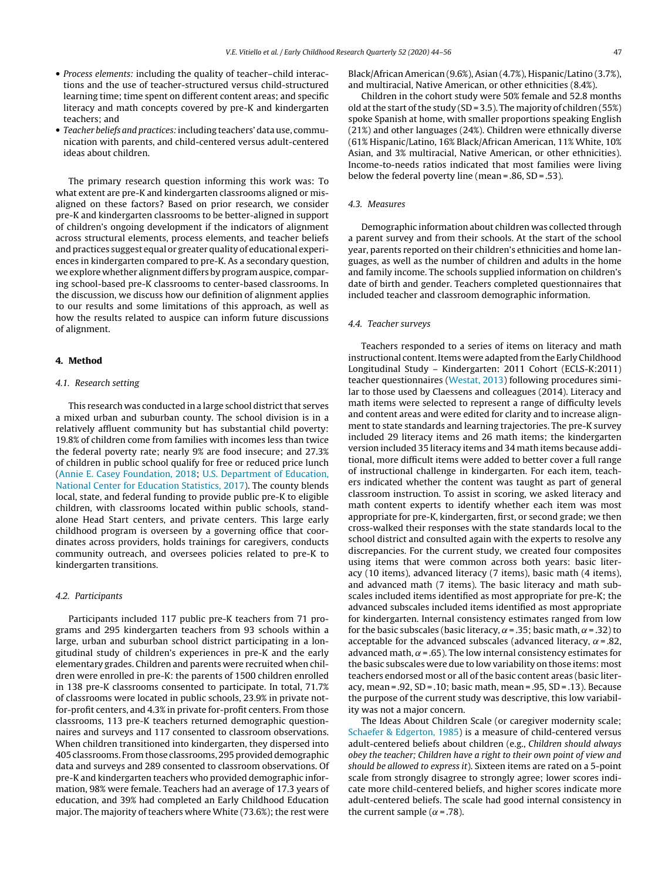- Process elements: including the quality of teacher–child interactions and the use of teacher-structured versus child-structured learning time; time spent on different content areas; and specific literacy and math concepts covered by pre-K and kindergarten teachers; and
- Teacher beliefs and practices: including teachers' data use, communication with parents, and child-centered versus adult-centered ideas about children.

The primary research question informing this work was: To what extent are pre-K and kindergarten classrooms aligned or misaligned on these factors? Based on prior research, we consider pre-K and kindergarten classrooms to be better-aligned in support of children's ongoing development if the indicators of alignment across structural elements, process elements, and teacher beliefs and practices suggest equal or greater quality of educational experiences in kindergarten compared to pre-K. As a secondary question, we explore whether alignment differs by programauspice, comparing school-based pre-K classrooms to center-based classrooms. In the discussion, we discuss how our definition of alignment applies to our results and some limitations of this approach, as well as how the results related to auspice can inform future discussions of alignment.

# **4. Method**

#### 4.1. Research setting

This research was conducted in a large school district that serves a mixed urban and suburban county. The school division is in a relatively affluent community but has substantial child poverty: 19.8% of children come from families with incomes less than twice the federal poverty rate; nearly 9% are food insecure; and 27.3% of children in public school qualify for free or reduced price lunch ([Annie](#page-10-0) [E.](#page-10-0) [Casey](#page-10-0) [Foundation,](#page-10-0) [2018;](#page-10-0) [U.S.](#page-11-0) [Department](#page-11-0) [of](#page-11-0) [Education,](#page-11-0) [National](#page-11-0) [Center](#page-11-0) [for](#page-11-0) [Education](#page-11-0) [Statistics,](#page-11-0) [2017\).](#page-11-0) The county blends local, state, and federal funding to provide public pre-K to eligible children, with classrooms located within public schools, standalone Head Start centers, and private centers. This large early childhood program is overseen by a governing office that coordinates across providers, holds trainings for caregivers, conducts community outreach, and oversees policies related to pre-K to kindergarten transitions.

### 4.2. Participants

Participants included 117 public pre-K teachers from 71 programs and 295 kindergarten teachers from 93 schools within a large, urban and suburban school district participating in a longitudinal study of children's experiences in pre-K and the early elementary grades. Children and parents were recruited when children were enrolled in pre-K: the parents of 1500 children enrolled in 138 pre-K classrooms consented to participate. In total, 71.7% of classrooms were located in public schools, 23.9% in private notfor-profit centers, and 4.3% in private for-profit centers. From those classrooms, 113 pre-K teachers returned demographic questionnaires and surveys and 117 consented to classroom observations. When children transitioned into kindergarten, they dispersed into 405 classrooms. Fromthose classrooms, 295 provided demographic data and surveys and 289 consented to classroom observations. Of pre-K and kindergarten teachers who provided demographic information, 98% were female. Teachers had an average of 17.3 years of education, and 39% had completed an Early Childhood Education major. The majority of teachers where White (73.6%); the rest were

Black/African American (9.6%), Asian (4.7%), Hispanic/Latino (3.7%), and multiracial, Native American, or other ethnicities (8.4%).

Children in the cohort study were 50% female and 52.8 months old at the start of the study (SD = 3.5). The majority of children (55%) spoke Spanish at home, with smaller proportions speaking English (21%) and other languages (24%). Children were ethnically diverse (61% Hispanic/Latino, 16% Black/African American, 11% White, 10% Asian, and 3% multiracial, Native American, or other ethnicities). Income-to-needs ratios indicated that most families were living below the federal poverty line (mean = .86, SD = .53).

#### 4.3. Measures

Demographic information about children was collected through a parent survey and from their schools. At the start of the school year, parents reported on their children's ethnicities and home languages, as well as the number of children and adults in the home and family income. The schools supplied information on children's date of birth and gender. Teachers completed questionnaires that included teacher and classroom demographic information.

#### 4.4. Teacher surveys

Teachers responded to a series of items on literacy and math instructional content. Items were adapted from the Early Childhood Longitudinal Study – Kindergarten: 2011 Cohort (ECLS-K:2011) teacher questionnaires ([Westat,](#page-12-0) [2013\)](#page-12-0) following procedures similar to those used by Claessens and colleagues (2014). Literacy and math items were selected to represent a range of difficulty levels and content areas and were edited for clarity and to increase alignment to state standards and learning trajectories. The pre-K survey included 29 literacy items and 26 math items; the kindergarten version included 35 literacy items and 34 math items because additional, more difficult items were added to better cover a full range of instructional challenge in kindergarten. For each item, teachers indicated whether the content was taught as part of general classroom instruction. To assist in scoring, we asked literacy and math content experts to identify whether each item was most appropriate for pre-K, kindergarten, first, or second grade; we then cross-walked their responses with the state standards local to the school district and consulted again with the experts to resolve any discrepancies. For the current study, we created four composites using items that were common across both years: basic literacy (10 items), advanced literacy (7 items), basic math (4 items), and advanced math (7 items). The basic literacy and math subscales included items identified as most appropriate for pre-K; the advanced subscales included items identified as most appropriate for kindergarten. Internal consistency estimates ranged from low for the basic subscales (basic literacy,  $\alpha$  = .35; basic math,  $\alpha$  = .32) to acceptable for the advanced subscales (advanced literacy,  $\alpha$  = .82, advanced math,  $\alpha$  = .65). The low internal consistency estimates for the basic subscales were due to low variability on those items: most teachers endorsed most or all of the basic content areas (basic literacy, mean = .92, SD = .10; basic math, mean = .95, SD = .13). Because the purpose of the current study was descriptive, this low variability was not a major concern.

The Ideas About Children Scale (or caregiver modernity scale; [Schaefer](#page-11-0) [&](#page-11-0) [Edgerton,](#page-11-0) [1985\)](#page-11-0) is a measure of child-centered versus adult-centered beliefs about children (e.g., Children should always obey the teacher; Children have a right to their own point of view and should be allowed to express it). Sixteen items are rated on a 5-point scale from strongly disagree to strongly agree; lower scores indicate more child-centered beliefs, and higher scores indicate more adult-centered beliefs. The scale had good internal consistency in the current sample ( $\alpha$ =.78).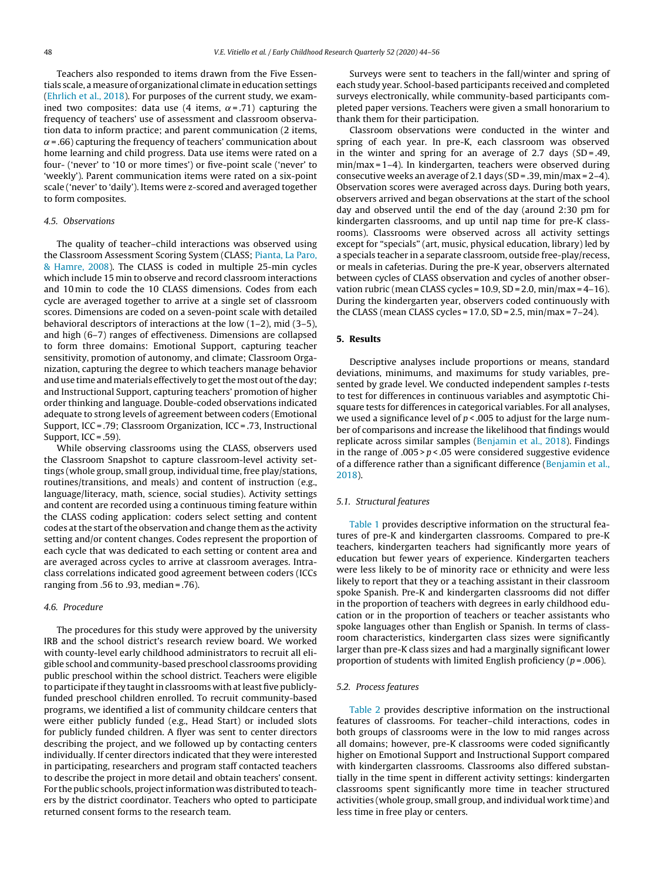Teachers also responded to items drawn from the Five Essentials scale, a measure of organizational climate in education settings ([Ehrlich](#page-11-0) et [al.,](#page-11-0) [2018\).](#page-11-0) For purposes of the current study, we examined two composites: data use (4 items,  $\alpha$ =.71) capturing the frequency of teachers' use of assessment and classroom observation data to inform practice; and parent communication (2 items,  $\alpha$  = .66) capturing the frequency of teachers' communication about home learning and child progress. Data use items were rated on a four- ('never' to '10 or more times') or five-point scale ('never' to 'weekly'). Parent communication items were rated on a six-point scale ('never' to 'daily'). Items were z-scored and averaged together to form composites.

# 4.5. Observations

The quality of teacher–child interactions was observed using the Classroom Assessment Scoring System (CLASS; [Pianta,](#page-11-0) [La](#page-11-0) [Paro,](#page-11-0) [&](#page-11-0) [Hamre,](#page-11-0) [2008\).](#page-11-0) The CLASS is coded in multiple 25-min cycles which include 15 min to observe and record classroom interactions and 10 min to code the 10 CLASS dimensions. Codes from each cycle are averaged together to arrive at a single set of classroom scores. Dimensions are coded on a seven-point scale with detailed behavioral descriptors of interactions at the low (1–2), mid (3–5), and high (6–7) ranges of effectiveness. Dimensions are collapsed to form three domains: Emotional Support, capturing teacher sensitivity, promotion of autonomy, and climate; Classroom Organization, capturing the degree to which teachers manage behavior and use time and materials effectively to get the most out of the day; and Instructional Support, capturing teachers' promotion of higher order thinking and language. Double-coded observations indicated adequate to strong levels of agreement between coders (Emotional Support, ICC = .79; Classroom Organization, ICC = .73, Instructional Support, ICC = .59).

While observing classrooms using the CLASS, observers used the Classroom Snapshot to capture classroom-level activity settings (whole group, small group, individual time, free play/stations, routines/transitions, and meals) and content of instruction (e.g., language/literacy, math, science, social studies). Activity settings and content are recorded using a continuous timing feature within the CLASS coding application: coders select setting and content codes at the start of the observation and change them as the activity setting and/or content changes. Codes represent the proportion of each cycle that was dedicated to each setting or content area and are averaged across cycles to arrive at classroom averages. Intraclass correlations indicated good agreement between coders (ICCs ranging from .56 to .93, median = .76).

# 4.6. Procedure

The procedures for this study were approved by the university IRB and the school district's research review board. We worked with county-level early childhood administrators to recruit all eligible school and community-based preschool classrooms providing public preschool within the school district. Teachers were eligible to participate if they taught in classrooms with at least five publiclyfunded preschool children enrolled. To recruit community-based programs, we identified a list of community childcare centers that were either publicly funded (e.g., Head Start) or included slots for publicly funded children. A flyer was sent to center directors describing the project, and we followed up by contacting centers individually. If center directors indicated that they were interested in participating, researchers and program staff contacted teachers to describe the project in more detail and obtain teachers' consent. For the public schools, project information was distributed to teachers by the district coordinator. Teachers who opted to participate returned consent forms to the research team.

Surveys were sent to teachers in the fall/winter and spring of each study year. School-based participants received and completed surveys electronically, while community-based participants completed paper versions. Teachers were given a small honorarium to thank them for their participation.

Classroom observations were conducted in the winter and spring of each year. In pre-K, each classroom was observed in the winter and spring for an average of 2.7 days  $(SD = .49, )$ min/max = 1–4). In kindergarten, teachers were observed during consecutive weeks an average of 2.1 days (SD = .39, min/max = 2–4). Observation scores were averaged across days. During both years, observers arrived and began observations at the start of the school day and observed until the end of the day (around 2:30 pm for kindergarten classrooms, and up until nap time for pre-K classrooms). Classrooms were observed across all activity settings except for "specials" (art, music, physical education, library) led by a specials teacher in a separate classroom, outside free-play/recess, or meals in cafeterias. During the pre-K year, observers alternated between cycles of CLASS observation and cycles of another observation rubric (mean CLASS cycles =  $10.9$ , SD =  $2.0$ , min/max =  $4-16$ ). During the kindergarten year, observers coded continuously with the CLASS (mean CLASS cycles =  $17.0$ , SD =  $2.5$ , min/max =  $7-24$ ).

# **5. Results**

Descriptive analyses include proportions or means, standard deviations, minimums, and maximums for study variables, presented by grade level. We conducted independent samples t-tests to test for differences in continuous variables and asymptotic Chisquare tests for differences in categorical variables. For all analyses, we used a significance level of  $p < .005$  to adjust for the large number of comparisons and increase the likelihood that findings would replicate across similar samples ([Benjamin](#page-10-0) et [al.,](#page-10-0) [2018\).](#page-10-0) Findings in the range of  $.005 > p < .05$  were considered suggestive evidence of a difference rather than a significant difference [\(Benjamin](#page-10-0) et [al.,](#page-10-0) [2018\).](#page-10-0)

## 5.1. Structural features

[Table](#page-5-0) 1 provides descriptive information on the structural features of pre-K and kindergarten classrooms. Compared to pre-K teachers, kindergarten teachers had significantly more years of education but fewer years of experience. Kindergarten teachers were less likely to be of minority race or ethnicity and were less likely to report that they or a teaching assistant in their classroom spoke Spanish. Pre-K and kindergarten classrooms did not differ in the proportion of teachers with degrees in early childhood education or in the proportion of teachers or teacher assistants who spoke languages other than English or Spanish. In terms of classroom characteristics, kindergarten class sizes were significantly larger than pre-K class sizes and had a marginally significant lower proportion of students with limited English proficiency ( $p = .006$ ).

#### 5.2. Process features

[Table](#page-5-0) 2 provides descriptive information on the instructional features of classrooms. For teacher–child interactions, codes in both groups of classrooms were in the low to mid ranges across all domains; however, pre-K classrooms were coded significantly higher on Emotional Support and Instructional Support compared with kindergarten classrooms. Classrooms also differed substantially in the time spent in different activity settings: kindergarten classrooms spent significantly more time in teacher structured activities (whole group, small group, and individual work time) and less time in free play or centers.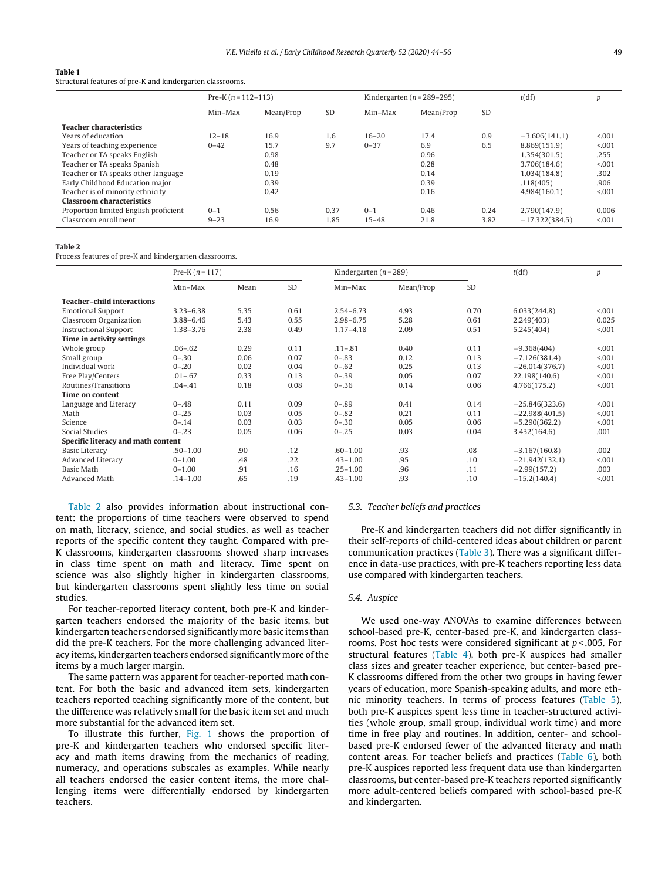#### <span id="page-5-0"></span>**Table 1**

Structural features of pre-K and kindergarten classrooms.

|                                       | Pre-K $(n=112-113)$ |           |      | Kindergarten ( $n = 289-295$ ) |           |           | t(df)            | р       |
|---------------------------------------|---------------------|-----------|------|--------------------------------|-----------|-----------|------------------|---------|
|                                       | Min-Max             | Mean/Prop | SD   | Min-Max                        | Mean/Prop | <b>SD</b> |                  |         |
| <b>Teacher characteristics</b>        |                     |           |      |                                |           |           |                  |         |
| Years of education                    | $12 - 18$           | 16.9      | 1.6  | $16 - 20$                      | 17.4      | 0.9       | $-3.606(141.1)$  | < 0.001 |
| Years of teaching experience          | $0 - 42$            | 15.7      | 9.7  | $0 - 37$                       | 6.9       | 6.5       | 8.869(151.9)     | < 0.001 |
| Teacher or TA speaks English          |                     | 0.98      |      |                                | 0.96      |           | 1.354(301.5)     | .255    |
| Teacher or TA speaks Spanish          |                     | 0.48      |      |                                | 0.28      |           | 3.706(184.6)     | < 0.001 |
| Teacher or TA speaks other language   |                     | 0.19      |      |                                | 0.14      |           | 1.034(184.8)     | .302    |
| Early Childhood Education major       |                     | 0.39      |      |                                | 0.39      |           | .118(405)        | .906    |
| Teacher is of minority ethnicity      |                     | 0.42      |      |                                | 0.16      |           | 4.984(160.1)     | < 0.001 |
| <b>Classroom characteristics</b>      |                     |           |      |                                |           |           |                  |         |
| Proportion limited English proficient | $0 - 1$             | 0.56      | 0.37 | $0 - 1$                        | 0.46      | 0.24      | 2.790(147.9)     | 0.006   |
| Classroom enrollment                  | $9 - 23$            | 16.9      | 1.85 | $15 - 48$                      | 21.8      | 3.82      | $-17,322(384.5)$ | < 0.001 |

#### **Table 2**

Process features of pre-K and kindergarten classrooms.

|                                    | Pre-K $(n = 117)$ |      |      | Kindergarten ( $n = 289$ ) |           |           | t(df)            | p       |
|------------------------------------|-------------------|------|------|----------------------------|-----------|-----------|------------------|---------|
|                                    | Min-Max           | Mean | SD   | Min-Max                    | Mean/Prop | <b>SD</b> |                  |         |
| <b>Teacher-child interactions</b>  |                   |      |      |                            |           |           |                  |         |
| <b>Emotional Support</b>           | $3.23 - 6.38$     | 5.35 | 0.61 | $2.54 - 6.73$              | 4.93      | 0.70      | 6.033(244.8)     | < 0.01  |
| Classroom Organization             | $3.88 - 6.46$     | 5.43 | 0.55 | $2.98 - 6.75$              | 5.28      | 0.61      | 2,249(403)       | 0.025   |
| <b>Instructional Support</b>       | 1.38-3.76         | 2.38 | 0.49 | $1.17 - 4.18$              | 2.09      | 0.51      | 5.245(404)       | < 001   |
| Time in activity settings          |                   |      |      |                            |           |           |                  |         |
| Whole group                        | $.06 - .62$       | 0.29 | 0.11 | $.11 - .81$                | 0.40      | 0.11      | $-9.368(404)$    | < 0.001 |
| Small group                        | $0 - 30$          | 0.06 | 0.07 | $0 - .83$                  | 0.12      | 0.13      | $-7.126(381.4)$  | < 0.001 |
| Individual work                    | $0 - 20$          | 0.02 | 0.04 | $0 - .62$                  | 0.25      | 0.13      | $-26.014(376.7)$ | < 0.001 |
| Free Play/Centers                  | $.01 - .67$       | 0.33 | 0.13 | $0 - .39$                  | 0.05      | 0.07      | 22.198(140.6)    | < 0.001 |
| Routines/Transitions               | $.04 - .41$       | 0.18 | 0.08 | $0 - .36$                  | 0.14      | 0.06      | 4.766(175.2)     | < 0.01  |
| <b>Time on content</b>             |                   |      |      |                            |           |           |                  |         |
| Language and Literacy              | $0 - .48$         | 0.11 | 0.09 | $0 - .89$                  | 0.41      | 0.14      | $-25.846(323.6)$ | < 0.001 |
| Math                               | $0 - .25$         | 0.03 | 0.05 | $0 - .82$                  | 0.21      | 0.11      | $-22.988(401.5)$ | < 0.01  |
| Science                            | $0 - 14$          | 0.03 | 0.03 | $0 - 30$                   | 0.05      | 0.06      | $-5.290(362.2)$  | < 0.001 |
| Social Studies                     | $0 - .23$         | 0.05 | 0.06 | $0 - 25$                   | 0.03      | 0.04      | 3.432(164.6)     | .001    |
| Specific literacy and math content |                   |      |      |                            |           |           |                  |         |
| <b>Basic Literacy</b>              | $.50 - 1.00$      | .90  | .12  | $.60 - 1.00$               | .93       | .08       | $-3.167(160.8)$  | .002    |
| Advanced Literacy                  | $0 - 1.00$        | .48  | .22  | $.43 - 1.00$               | .95       | .10       | $-21.942(132.1)$ | < 0.001 |
| Basic Math                         | $0 - 1.00$        | .91  | .16  | $.25 - 1.00$               | .96       | .11       | $-2.99(157.2)$   | .003    |
| Advanced Math                      | $.14 - 1.00$      | .65  | .19  | $.43 - 1.00$               | .93       | .10       | $-15.2(140.4)$   | < 0.001 |

Table 2 also provides information about instructional content: the proportions of time teachers were observed to spend on math, literacy, science, and social studies, as well as teacher reports of the specific content they taught. Compared with pre-K classrooms, kindergarten classrooms showed sharp increases in class time spent on math and literacy. Time spent on science was also slightly higher in kindergarten classrooms, but kindergarten classrooms spent slightly less time on social studies.

For teacher-reported literacy content, both pre-K and kindergarten teachers endorsed the majority of the basic items, but kindergarten teachers endorsed significantly more basic items than did the pre-K teachers. For the more challenging advanced literacy items, kindergarten teachers endorsed significantly more of the items by a much larger margin.

The same pattern was apparent for teacher-reported math content. For both the basic and advanced item sets, kindergarten teachers reported teaching significantly more of the content, but the difference was relatively small for the basic item set and much more substantial for the advanced item set.

To illustrate this further, [Fig.](#page-7-0) 1 shows the proportion of pre-K and kindergarten teachers who endorsed specific literacy and math items drawing from the mechanics of reading, numeracy, and operations subscales as examples. While nearly all teachers endorsed the easier content items, the more challenging items were differentially endorsed by kindergarten teachers.

#### 5.3. Teacher beliefs and practices

Pre-K and kindergarten teachers did not differ significantly in their self-reports of child-centered ideas about children or parent communication practices [\(Table](#page-6-0) 3). There was a significant difference in data-use practices, with pre-K teachers reporting less data use compared with kindergarten teachers.

#### 5.4. Auspice

We used one-way ANOVAs to examine differences between school-based pre-K, center-based pre-K, and kindergarten classrooms. Post hoc tests were considered significant at  $p < .005$ . For structural features ([Table](#page-6-0) 4), both pre-K auspices had smaller class sizes and greater teacher experience, but center-based pre-K classrooms differed from the other two groups in having fewer years of education, more Spanish-speaking adults, and more ethnic minority teachers. In terms of process features ([Table](#page-6-0) 5), both pre-K auspices spent less time in teacher-structured activities (whole group, small group, individual work time) and more time in free play and routines. In addition, center- and schoolbased pre-K endorsed fewer of the advanced literacy and math content areas. For teacher beliefs and practices [\(Table](#page-7-0) 6), both pre-K auspices reported less frequent data use than kindergarten classrooms, but center-based pre-K teachers reported significantly more adult-centered beliefs compared with school-based pre-K and kindergarten.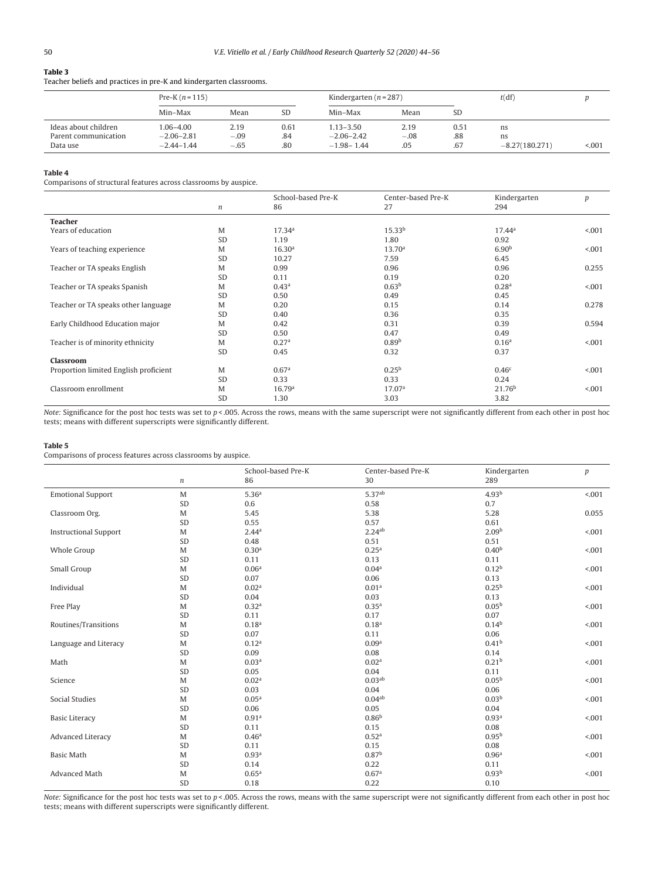# <span id="page-6-0"></span>**Table 3**

Teacher beliefs and practices in pre-K and kindergarten classrooms.

|                      | Pre-K $(n=115)$ |        |           |                | Kindergarten ( $n = 287$ ) |           |                  |       |
|----------------------|-----------------|--------|-----------|----------------|----------------------------|-----------|------------------|-------|
|                      | Min-Max         | Mean   | <b>SD</b> | Min-Max        | Mean                       | <b>SD</b> |                  |       |
| Ideas about children | 1.06–4.00       | 2.19   | 0.61      | $1.13 - 3.50$  | 2.19                       | 0.51      | ns               |       |
| Parent communication | $-2.06 - 2.81$  | $-.09$ | .84       | $-2.06 - 2.42$ | $-.08$                     | .88       | ns               |       |
| Data use             | $-2.44 - 1.44$  | $-.65$ | .80       | $-1.98 - 1.44$ | .05                        | .67       | $-8.27(180.271)$ | < 001 |

#### **Table 4**

Comparisons of structural features across classrooms by auspice.

|                                       |           | School-based Pre-K | Center-based Pre-K | Kindergarten       | p      |
|---------------------------------------|-----------|--------------------|--------------------|--------------------|--------|
|                                       | n         | 86                 | 27                 | 294                |        |
| <b>Teacher</b>                        |           |                    |                    |                    |        |
| Years of education                    | M         | 17.34a             | 15.33 <sup>b</sup> | 17.44 <sup>a</sup> | < 001  |
|                                       | <b>SD</b> | 1.19               | 1.80               | 0.92               |        |
| Years of teaching experience          | M         | 16.30 <sup>a</sup> | 13.70 <sup>a</sup> | 6.90 <sup>b</sup>  | < 001  |
|                                       | <b>SD</b> | 10.27              | 7.59               | 6.45               |        |
| Teacher or TA speaks English          | M         | 0.99               | 0.96               | 0.96               | 0.255  |
|                                       | <b>SD</b> | 0.11               | 0.19               | 0.20               |        |
| Teacher or TA speaks Spanish          | M         | 0.43 <sup>a</sup>  | 0.63 <sup>b</sup>  | 0.28 <sup>a</sup>  | < 001  |
|                                       | <b>SD</b> | 0.50               | 0.49               | 0.45               |        |
| Teacher or TA speaks other language   | M         | 0.20               | 0.15               | 0.14               | 0.278  |
|                                       | <b>SD</b> | 0.40               | 0.36               | 0.35               |        |
| Early Childhood Education major       | M         | 0.42               | 0.31               | 0.39               | 0.594  |
|                                       | <b>SD</b> | 0.50               | 0.47               | 0.49               |        |
| Teacher is of minority ethnicity      | M         | 0.27 <sup>a</sup>  | 0.89 <sup>b</sup>  | 0.16 <sup>a</sup>  | < 001  |
|                                       | <b>SD</b> | 0.45               | 0.32               | 0.37               |        |
| <b>Classroom</b>                      |           |                    |                    |                    |        |
| Proportion limited English proficient | M         | 0.67 <sup>a</sup>  | 0.25 <sup>b</sup>  | 0.46 <sup>c</sup>  | < 0.01 |
|                                       | <b>SD</b> | 0.33               | 0.33               | 0.24               |        |
| Classroom enrollment                  | M         | 16.79 <sup>a</sup> | 17.07 <sup>a</sup> | 21.76 <sup>b</sup> | < 001  |
|                                       | <b>SD</b> | 1.30               | 3.03               | 3.82               |        |
|                                       |           |                    |                    |                    |        |

Note: Significance for the post hoc tests was set to  $p < 0.005$ . Across the rows, means with the same superscript were not significantly different from each other in post hoc tests; means with different superscripts were significantly different.

#### **Table 5**

Comparisons of process features across classrooms by auspice.

|                              | $\boldsymbol{n}$ | School-based Pre-K<br>86 | Center-based Pre-K<br>30 | Kindergarten<br>289 | p       |
|------------------------------|------------------|--------------------------|--------------------------|---------------------|---------|
| <b>Emotional Support</b>     | M                | 5.36 <sup>a</sup>        | 5.37 <sup>ab</sup>       | 4.93 <sup>b</sup>   | < 0.001 |
|                              | SD               | 0.6                      | 0.58                     | 0.7                 |         |
| Classroom Org.               | M                | 5.45                     | 5.38                     | 5.28                | 0.055   |
|                              | SD               | 0.55                     | 0.57                     | 0.61                |         |
| <b>Instructional Support</b> | M                | 2.44 <sup>a</sup>        | 2.24ab                   | 2.09 <sup>b</sup>   | < .001  |
|                              | SD               | 0.48                     | 0.51                     | 0.51                |         |
| Whole Group                  | M                | 0.30 <sup>a</sup>        | 0.25 <sup>a</sup>        | 0.40 <sup>b</sup>   | < .001  |
|                              | SD               | 0.11                     | 0.13                     | 0.11                |         |
|                              | M                | 0.06 <sup>a</sup>        | 0.04 <sup>a</sup>        | $0.12^{b}$          | < .001  |
| Small Group                  |                  |                          |                          |                     |         |
|                              | SD               | 0.07                     | 0.06                     | 0.13                |         |
| Individual                   | M                | 0.02 <sup>a</sup>        | 0.01 <sup>a</sup>        | 0.25 <sup>b</sup>   | < 0.001 |
|                              | SD               | 0.04                     | 0.03                     | 0.13                |         |
| Free Play                    | M                | 0.32 <sup>a</sup>        | 0.35 <sup>a</sup>        | 0.05 <sup>b</sup>   | < 0.001 |
|                              | SD               | 0.11                     | 0.17                     | 0.07                |         |
| Routines/Transitions         | M                | 0.18 <sup>a</sup>        | 0.18 <sup>a</sup>        | $0.14^{b}$          | < .001  |
|                              | SD               | 0.07                     | 0.11                     | 0.06                |         |
| Language and Literacy        | M                | 0.12 <sup>a</sup>        | 0.09 <sup>a</sup>        | 0.41 <sup>b</sup>   | < .001  |
|                              | SD               | 0.09                     | 0.08                     | 0.14                |         |
| Math                         | M                | 0.03 <sup>a</sup>        | 0.02 <sup>a</sup>        | 0.21 <sup>b</sup>   | < .001  |
|                              | SD               | 0.05                     | 0.04                     | 0.11                |         |
| Science                      | M                | 0.02 <sup>a</sup>        | 0.03 <sup>ab</sup>       | 0.05 <sup>b</sup>   | < .001  |
|                              | SD               | 0.03                     | 0.04                     | 0.06                |         |
| Social Studies               | M                | 0.05 <sup>a</sup>        | 0.04 <sup>ab</sup>       | 0.03 <sup>b</sup>   | < .001  |
|                              | SD               | 0.06                     | 0.05                     | 0.04                |         |
| <b>Basic Literacy</b>        | M                | 0.91 <sup>a</sup>        | 0.86 <sup>b</sup>        | 0.93a               | < .001  |
|                              | SD               | 0.11                     | 0.15                     | 0.08                |         |
| Advanced Literacy            | M                | 0.46 <sup>a</sup>        | 0.52 <sup>a</sup>        | $0.95^{b}$          | < 0.001 |
|                              | SD               | 0.11                     | 0.15                     | 0.08                |         |
| <b>Basic Math</b>            | M                | 0.93 <sup>a</sup>        | 0.87 <sup>b</sup>        | 0.96 <sup>a</sup>   | < 0.001 |
|                              | SD               | 0.14                     | 0.22                     | 0.11                |         |
| Advanced Math                | M                | 0.65 <sup>a</sup>        | 0.67 <sup>a</sup>        | 0.93 <sup>b</sup>   | < 0.001 |
|                              | SD               | 0.18                     | 0.22                     | 0.10                |         |

Note: Significance for the post hoc tests was set to  $p < 0.005$ . Across the rows, means with the same superscript were not significantly different from each other in post hoc tests; means with different superscripts were significantly different.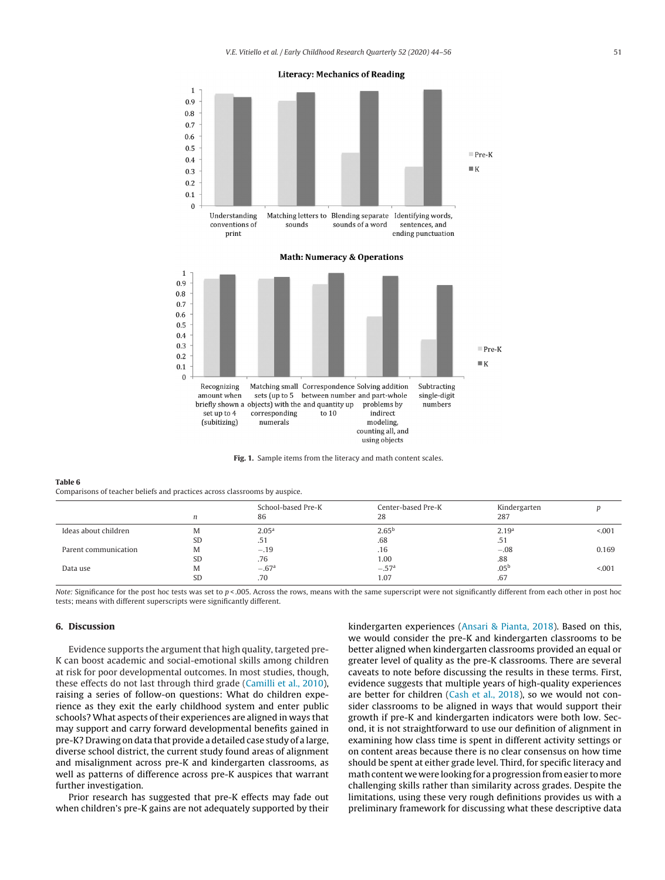<span id="page-7-0"></span>

**Fig. 1.** Sample items from the literacy and math content scales.

#### **Table 6**

Comparisons of teacher beliefs and practices across classrooms by auspice.

|                      | n         | School-based Pre-K<br>86 | Center-based Pre-K<br>28 | Kindergarten<br>287 |         |
|----------------------|-----------|--------------------------|--------------------------|---------------------|---------|
| Ideas about children | M         | 2.05 <sup>a</sup>        | 2.65 <sup>b</sup>        | 2.19 <sup>a</sup>   | < 0.001 |
|                      | <b>SD</b> | .51                      | .68                      | .51                 |         |
| Parent communication | M         | $-.19$                   | .16                      | $-.08$              | 0.169   |
|                      | <b>SD</b> | .76                      | 1.00                     | .88                 |         |
| Data use             | M         | $-.67a$                  | $-.57a$                  | .05 <sup>b</sup>    | < 0.001 |
|                      | <b>SD</b> | .70                      | 1.07                     | .67                 |         |

Note: Significance for the post hoc tests was set to  $p < .005$ . Across the rows, means with the same superscript were not significantly different from each other in post hoc tests; means with different superscripts were significantly different.

# **6. Discussion**

Evidence supports the argument that high quality, targeted pre-K can boost academic and social-emotional skills among children at risk for poor developmental outcomes. In most studies, though, these effects do not last through third grade ([Camilli](#page-10-0) et [al.,](#page-10-0) [2010\),](#page-10-0) raising a series of follow-on questions: What do children experience as they exit the early childhood system and enter public schools? What aspects of their experiences are aligned in ways that may support and carry forward developmental benefits gained in pre-K? Drawing on data that provide a detailed case study of a large, diverse school district, the current study found areas of alignment and misalignment across pre-K and kindergarten classrooms, as well as patterns of difference across pre-K auspices that warrant further investigation.

Prior research has suggested that pre-K effects may fade out when children's pre-K gains are not adequately supported by their kindergarten experiences ([Ansari](#page-10-0) [&](#page-10-0) [Pianta,](#page-10-0) [2018\).](#page-10-0) Based on this, we would consider the pre-K and kindergarten classrooms to be better aligned when kindergarten classrooms provided an equal or greater level of quality as the pre-K classrooms. There are several caveats to note before discussing the results in these terms. First, evidence suggests that multiple years of high-quality experiences are better for children [\(Cash](#page-10-0) et [al.,](#page-10-0) [2018\),](#page-10-0) so we would not consider classrooms to be aligned in ways that would support their growth if pre-K and kindergarten indicators were both low. Second, it is not straightforward to use our definition of alignment in examining how class time is spent in different activity settings or on content areas because there is no clear consensus on how time should be spent at either grade level. Third, for specific literacy and math content we were looking for a progression fromeasier tomore challenging skills rather than similarity across grades. Despite the limitations, using these very rough definitions provides us with a preliminary framework for discussing what these descriptive data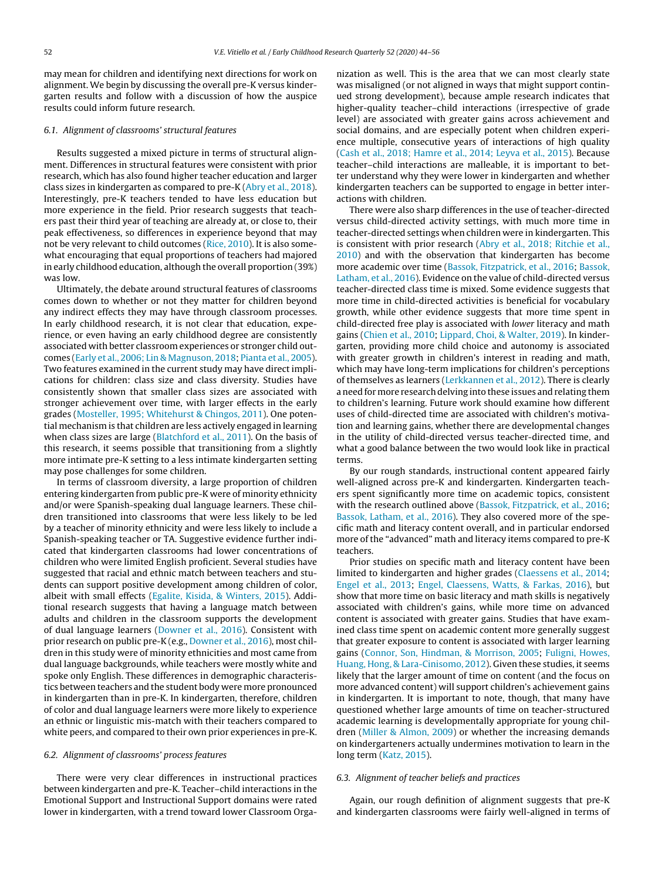may mean for children and identifying next directions for work on alignment. We begin by discussing the overall pre-K versus kindergarten results and follow with a discussion of how the auspice results could inform future research.

# 6.1. Alignment of classrooms' structural features

Results suggested a mixed picture in terms of structural alignment. Differences in structural features were consistent with prior research, which has also found higher teacher education and larger class sizes in kindergarten as compared to pre-K ([Abry](#page-10-0) et [al.,](#page-10-0) [2018\).](#page-10-0) Interestingly, pre-K teachers tended to have less education but more experience in the field. Prior research suggests that teachers past their third year of teaching are already at, or close to, their peak effectiveness, so differences in experience beyond that may not be very relevant to child outcomes ([Rice,](#page-11-0) [2010\).](#page-11-0) It is also somewhat encouraging that equal proportions of teachers had majored in early childhood education, although the overall proportion (39%) was low.

Ultimately, the debate around structural features of classrooms comes down to whether or not they matter for children beyond any indirect effects they may have through classroom processes. In early childhood research, it is not clear that education, experience, or even having an early childhood degree are consistently associated with better classroom experiences or stronger child outcomes ([Early](#page-11-0) et [al.,](#page-11-0) [2006;](#page-11-0) [Lin](#page-11-0) [&](#page-11-0) [Magnuson,](#page-11-0) [2018;](#page-11-0) [Pianta](#page-11-0) et [al.,](#page-11-0) [2005\).](#page-11-0) Two features examined in the current study may have direct implications for children: class size and class diversity. Studies have consistently shown that smaller class sizes are associated with stronger achievement over time, with larger effects in the early grades [\(Mosteller,](#page-11-0) [1995;](#page-11-0) [Whitehurst](#page-11-0) [&](#page-11-0) [Chingos,](#page-11-0) [2011\).](#page-11-0) One potential mechanism is that children are less actively engaged in learning when class sizes are large ([Blatchford](#page-10-0) et [al.,](#page-10-0) [2011\).](#page-10-0) On the basis of this research, it seems possible that transitioning from a slightly more intimate pre-K setting to a less intimate kindergarten setting may pose challenges for some children.

In terms of classroom diversity, a large proportion of children entering kindergarten from public pre-K were of minority ethnicity and/or were Spanish-speaking dual language learners. These children transitioned into classrooms that were less likely to be led by a teacher of minority ethnicity and were less likely to include a Spanish-speaking teacher or TA. Suggestive evidence further indicated that kindergarten classrooms had lower concentrations of children who were limited English proficient. Several studies have suggested that racial and ethnic match between teachers and students can support positive development among children of color, albeit with small effects ([Egalite,](#page-11-0) [Kisida,](#page-11-0) [&](#page-11-0) [Winters,](#page-11-0) [2015\).](#page-11-0) Additional research suggests that having a language match between adults and children in the classroom supports the development of dual language learners [\(Downer](#page-11-0) et [al.,](#page-11-0) [2016\).](#page-11-0) Consistent with prior research on public pre-K (e.g., [Downer](#page-11-0) et [al.,](#page-11-0) [2016\),](#page-11-0) most children in this study were of minority ethnicities and most came from dual language backgrounds, while teachers were mostly white and spoke only English. These differences in demographic characteristics between teachers and the student body were more pronounced in kindergarten than in pre-K. In kindergarten, therefore, children of color and dual language learners were more likely to experience an ethnic or linguistic mis-match with their teachers compared to white peers, and compared to their own prior experiences in pre-K.

### 6.2. Alignment of classrooms' process features

There were very clear differences in instructional practices between kindergarten and pre-K. Teacher–child interactions in the Emotional Support and Instructional Support domains were rated lower in kindergarten, with a trend toward lower Classroom Organization as well. This is the area that we can most clearly state was misaligned (or not aligned in ways that might support continued strong development), because ample research indicates that higher-quality teacher–child interactions (irrespective of grade level) are associated with greater gains across achievement and social domains, and are especially potent when children experience multiple, consecutive years of interactions of high quality [\(Cash](#page-10-0) et [al.,](#page-10-0) [2018;](#page-10-0) [Hamre](#page-10-0) et [al.,](#page-10-0) [2014;](#page-10-0) [Leyva](#page-10-0) et [al.,](#page-10-0) [2015\).](#page-10-0) Because teacher–child interactions are malleable, it is important to better understand why they were lower in kindergarten and whether kindergarten teachers can be supported to engage in better interactions with children.

There were also sharp differences in the use of teacher-directed versus child-directed activity settings, with much more time in teacher-directed settings when children were in kindergarten. This is consistent with prior research [\(Abry](#page-10-0) et [al.,](#page-10-0) [2018;](#page-10-0) [Ritchie](#page-10-0) et al., [2010\)](#page-10-0) and with the observation that kindergarten has become more academic over time ([Bassok,](#page-10-0) [Fitzpatrick,](#page-10-0) et [al.,](#page-10-0) [2016;](#page-10-0) [Bassok,](#page-10-0) [Latham,](#page-10-0) et [al.,](#page-10-0) [2016\).](#page-10-0) Evidence on the value of child-directed versus teacher-directed class time is mixed. Some evidence suggests that more time in child-directed activities is beneficial for vocabulary growth, while other evidence suggests that more time spent in child-directed free play is associated with lower literacy and math gains [\(Chien](#page-11-0) et [al.,](#page-11-0) [2010;](#page-11-0) [Lippard,](#page-11-0) [Choi,](#page-11-0) [&](#page-11-0) [Walter,](#page-11-0) [2019\).](#page-11-0) In kindergarten, providing more child choice and autonomy is associated with greater growth in children's interest in reading and math, which may have long-term implications for children's perceptions of themselves as learners [\(Lerkkannen](#page-11-0) et [al.,](#page-11-0) [2012\).](#page-11-0) There is clearly a need for more research delving into these issues and relating them to children's learning. Future work should examine how different uses of child-directed time are associated with children's motivation and learning gains, whether there are developmental changes in the utility of child-directed versus teacher-directed time, and what a good balance between the two would look like in practical terms.

By our rough standards, instructional content appeared fairly well-aligned across pre-K and kindergarten. Kindergarten teachers spent significantly more time on academic topics, consistent with the research outlined above [\(Bassok,](#page-10-0) [Fitzpatrick,](#page-10-0) et [al.,](#page-10-0) [2016;](#page-10-0) [Bassok,](#page-10-0) [Latham,](#page-10-0) et [al.,](#page-10-0) [2016\).](#page-10-0) They also covered more of the specific math and literacy content overall, and in particular endorsed more of the "advanced" math and literacy items compared to pre-K teachers.

Prior studies on specific math and literacy content have been limited to kindergarten and higher grades ([Claessens](#page-11-0) et [al.,](#page-11-0) [2014;](#page-11-0) [Engel](#page-11-0) et [al.,](#page-11-0) [2013;](#page-11-0) [Engel,](#page-11-0) [Claessens,](#page-11-0) [Watts,](#page-11-0) [&](#page-11-0) [Farkas,](#page-11-0) [2016\),](#page-11-0) but show that more time on basic literacy and math skills is negatively associated with children's gains, while more time on advanced content is associated with greater gains. Studies that have examined class time spent on academic content more generally suggest that greater exposure to content is associated with larger learning gains [\(Connor,](#page-11-0) [Son,](#page-11-0) [Hindman,](#page-11-0) [&](#page-11-0) [Morrison,](#page-11-0) [2005;](#page-11-0) [Fuligni,](#page-11-0) [Howes,](#page-11-0) [Huang,](#page-11-0) [Hong,](#page-11-0) [&](#page-11-0) [Lara-Cinisomo,](#page-11-0) [2012\).](#page-11-0) Given these studies, it seems likely that the larger amount of time on content (and the focus on more advanced content) will support children's achievement gains in kindergarten. It is important to note, though, that many have questioned whether large amounts of time on teacher-structured academic learning is developmentally appropriate for young children [\(Miller](#page-11-0) [&](#page-11-0) [Almon,](#page-11-0) [2009\)](#page-11-0) or whether the increasing demands on kindergarteners actually undermines motivation to learn in the long term ([Katz,](#page-11-0) [2015\).](#page-11-0)

### 6.3. Alignment of teacher beliefs and practices

Again, our rough definition of alignment suggests that pre-K and kindergarten classrooms were fairly well-aligned in terms of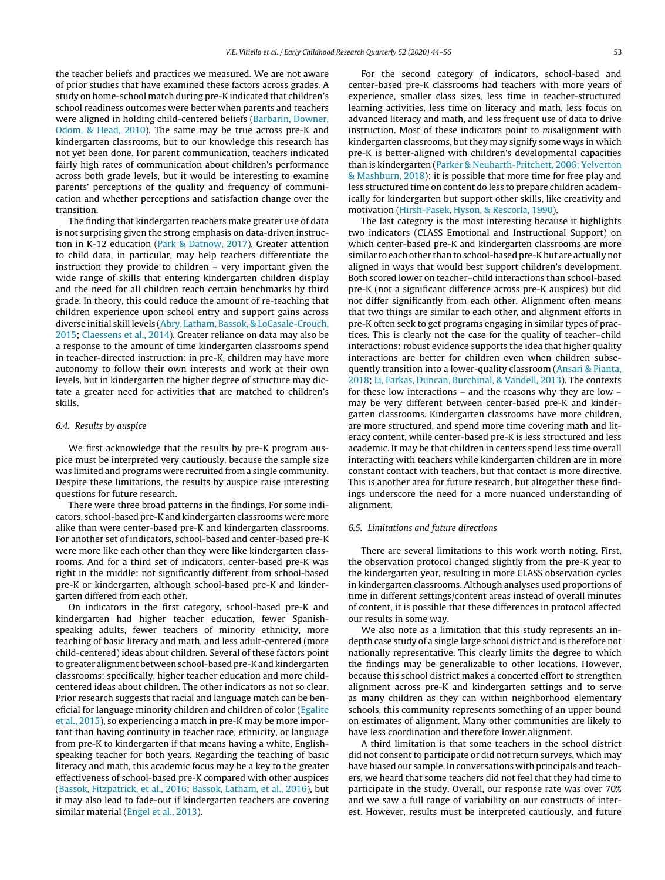the teacher beliefs and practices we measured. We are not aware of prior studies that have examined these factors across grades. A study on home-school match during pre-K indicated that children's school readiness outcomes were better when parents and teachers were aligned in holding child-centered beliefs ([Barbarin,](#page-10-0) [Downer,](#page-10-0) [Odom,](#page-10-0) [&](#page-10-0) [Head,](#page-10-0) [2010\).](#page-10-0) The same may be true across pre-K and kindergarten classrooms, but to our knowledge this research has not yet been done. For parent communication, teachers indicated fairly high rates of communication about children's performance across both grade levels, but it would be interesting to examine parents' perceptions of the quality and frequency of communication and whether perceptions and satisfaction change over the transition.

The finding that kindergarten teachers make greater use of data is not surprising given the strong emphasis on data-driven instruction in K-12 education ([Park](#page-11-0) [&](#page-11-0) [Datnow,](#page-11-0) [2017\).](#page-11-0) Greater attention to child data, in particular, may help teachers differentiate the instruction they provide to children – very important given the wide range of skills that entering kindergarten children display and the need for all children reach certain benchmarks by third grade. In theory, this could reduce the amount of re-teaching that children experience upon school entry and support gains across diverse initial skill levels [\(Abry,](#page-10-0) [Latham,](#page-10-0) [Bassok,](#page-10-0) [&](#page-10-0) [LoCasale-Crouch,](#page-10-0) [2015;](#page-10-0) [Claessens](#page-11-0) et [al.,](#page-11-0) [2014\).](#page-11-0) Greater reliance on data may also be a response to the amount of time kindergarten classrooms spend in teacher-directed instruction: in pre-K, children may have more autonomy to follow their own interests and work at their own levels, but in kindergarten the higher degree of structure may dictate a greater need for activities that are matched to children's skills.

#### 6.4. Results by auspice

We first acknowledge that the results by pre-K program auspice must be interpreted very cautiously, because the sample size was limited and programs were recruited from a single community. Despite these limitations, the results by auspice raise interesting questions for future research.

There were three broad patterns in the findings. For some indicators, school-based pre-K and kindergarten classrooms were more alike than were center-based pre-K and kindergarten classrooms. For another set of indicators, school-based and center-based pre-K were more like each other than they were like kindergarten classrooms. And for a third set of indicators, center-based pre-K was right in the middle: not significantly different from school-based pre-K or kindergarten, although school-based pre-K and kindergarten differed from each other.

On indicators in the first category, school-based pre-K and kindergarten had higher teacher education, fewer Spanishspeaking adults, fewer teachers of minority ethnicity, more teaching of basic literacy and math, and less adult-centered (more child-centered) ideas about children. Several of these factors point to greater alignment between school-based pre-Kand kindergarten classrooms: specifically, higher teacher education and more childcentered ideas about children. The other indicators as not so clear. Prior research suggests that racial and language match can be beneficial for language minority children and children of color [\(Egalite](#page-11-0) et [al.,](#page-11-0) [2015\),](#page-11-0) so experiencing a match in pre-K may be more important than having continuity in teacher race, ethnicity, or language from pre-K to kindergarten if that means having a white, Englishspeaking teacher for both years. Regarding the teaching of basic literacy and math, this academic focus may be a key to the greater effectiveness of school-based pre-K compared with other auspices ([Bassok,](#page-10-0) [Fitzpatrick,](#page-10-0) et [al.,](#page-10-0) [2016;](#page-10-0) [Bassok,](#page-10-0) [Latham,](#page-10-0) et [al.,](#page-10-0) [2016\),](#page-10-0) but it may also lead to fade-out if kindergarten teachers are covering similar material ([Engel](#page-11-0) et [al.,](#page-11-0) [2013\).](#page-11-0)

For the second category of indicators, school-based and center-based pre-K classrooms had teachers with more years of experience, smaller class sizes, less time in teacher-structured learning activities, less time on literacy and math, less focus on advanced literacy and math, and less frequent use of data to drive instruction. Most of these indicators point to misalignment with kindergarten classrooms, but they may signify some ways in which pre-K is better-aligned with children's developmental capacities than is kindergarten [\(Parker](#page-11-0) [&](#page-11-0) [Neuharth-Pritchett,](#page-11-0) [2006;](#page-11-0) [Yelverton](#page-11-0) [&](#page-11-0) [Mashburn,](#page-11-0) [2018\):](#page-11-0) it is possible that more time for free play and less structured time on content do less to prepare children academically for kindergarten but support other skills, like creativity and motivation [\(Hirsh-Pasek,](#page-11-0) [Hyson,](#page-11-0) [&](#page-11-0) [Rescorla,](#page-11-0) [1990\).](#page-11-0)

The last category is the most interesting because it highlights two indicators (CLASS Emotional and Instructional Support) on which center-based pre-K and kindergarten classrooms are more similar to each other than to school-based pre-K but are actually not aligned in ways that would best support children's development. Both scored lower on teacher–child interactions than school-based pre-K (not a significant difference across pre-K auspices) but did not differ significantly from each other. Alignment often means that two things are similar to each other, and alignment efforts in pre-K often seek to get programs engaging in similar types of practices. This is clearly not the case for the quality of teacher–child interactions: robust evidence supports the idea that higher quality interactions are better for children even when children subsequently transition into a lower-quality classroom ([Ansari](#page-10-0) [&](#page-10-0) [Pianta,](#page-10-0) [2018;](#page-10-0) [Li,](#page-11-0) [Farkas,](#page-11-0) [Duncan,](#page-11-0) [Burchinal,](#page-11-0) [&](#page-11-0) [Vandell,](#page-11-0) [2013\).](#page-11-0) The contexts for these low interactions – and the reasons why they are low – may be very different between center-based pre-K and kindergarten classrooms. Kindergarten classrooms have more children, are more structured, and spend more time covering math and literacy content, while center-based pre-K is less structured and less academic. It may be that children in centers spend less time overall interacting with teachers while kindergarten children are in more constant contact with teachers, but that contact is more directive. This is another area for future research, but altogether these findings underscore the need for a more nuanced understanding of alignment.

#### 6.5. Limitations and future directions

There are several limitations to this work worth noting. First, the observation protocol changed slightly from the pre-K year to the kindergarten year, resulting in more CLASS observation cycles in kindergarten classrooms. Although analyses used proportions of time in different settings/content areas instead of overall minutes of content, it is possible that these differences in protocol affected our results in some way.

We also note as a limitation that this study represents an indepth case study of a single large school district and is therefore not nationally representative. This clearly limits the degree to which the findings may be generalizable to other locations. However, because this school district makes a concerted effort to strengthen alignment across pre-K and kindergarten settings and to serve as many children as they can within neighborhood elementary schools, this community represents something of an upper bound on estimates of alignment. Many other communities are likely to have less coordination and therefore lower alignment.

A third limitation is that some teachers in the school district did not consent to participate or did not return surveys, which may have biased our sample. In conversations with principals and teachers, we heard that some teachers did not feel that they had time to participate in the study. Overall, our response rate was over 70% and we saw a full range of variability on our constructs of interest. However, results must be interpreted cautiously, and future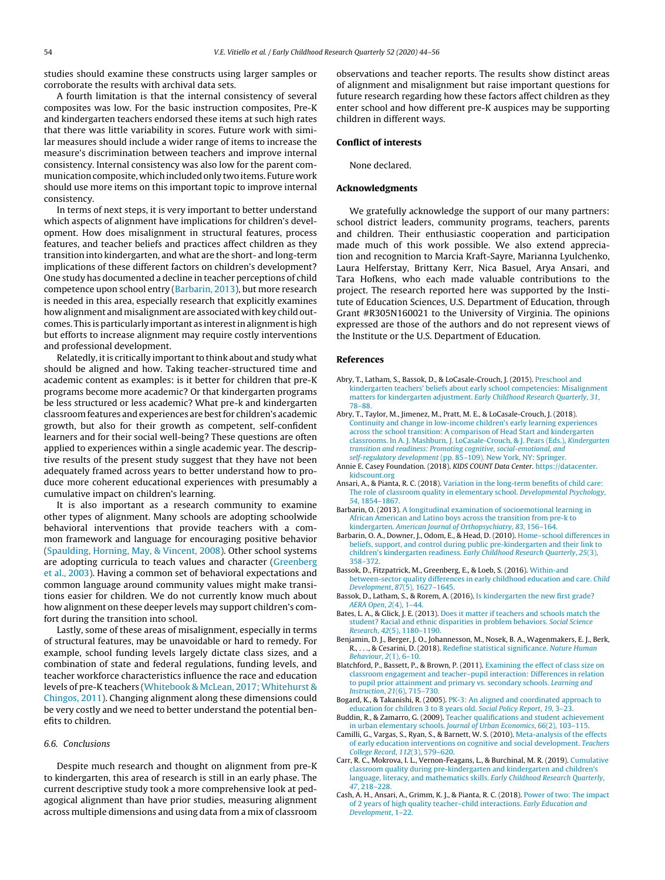<span id="page-10-0"></span>studies should examine these constructs using larger samples or corroborate the results with archival data sets.

A fourth limitation is that the internal consistency of several composites was low. For the basic instruction composites, Pre-K and kindergarten teachers endorsed these items at such high rates that there was little variability in scores. Future work with similar measures should include a wider range of items to increase the measure's discrimination between teachers and improve internal consistency. Internal consistency was also low for the parent communication composite, which included only two items. Future work should use more items on this important topic to improve internal consistency.

In terms of next steps, it is very important to better understand which aspects of alignment have implications for children's development. How does misalignment in structural features, process features, and teacher beliefs and practices affect children as they transition into kindergarten, and what are the short- and long-term implications of these different factors on children's development? One study has documented a decline in teacher perceptions of child competence upon school entry (Barbarin, 2013), but more research is needed in this area, especially research that explicitly examines how alignment and misalignment are associated with key child outcomes. This is particularly important as interestin alignmentis high but efforts to increase alignment may require costly interventions and professional development.

Relatedly, it is critically important to think about and study what should be aligned and how. Taking teacher-structured time and academic content as examples: is it better for children that pre-K programs become more academic? Or that kindergarten programs be less structured or less academic? What pre-k and kindergarten classroomfeatures and experiences are bestfor children's academic growth, but also for their growth as competent, self-confident learners and for their social well-being? These questions are often applied to experiences within a single academic year. The descriptive results of the present study suggest that they have not been adequately framed across years to better understand how to produce more coherent educational experiences with presumably a cumulative impact on children's learning.

It is also important as a research community to examine other types of alignment. Many schools are adopting schoolwide behavioral interventions that provide teachers with a common framework and language for encouraging positive behavior ([Spaulding,](#page-11-0) [Horning,](#page-11-0) [May,](#page-11-0) [&](#page-11-0) [Vincent,](#page-11-0) [2008\).](#page-11-0) Other school systems are adopting curricula to teach values and character [\(Greenberg](#page-11-0) et [al.,](#page-11-0) [2003\).](#page-11-0) Having a common set of behavioral expectations and common language around community values might make transitions easier for children. We do not currently know much about how alignment on these deeper levels may support children's comfort during the transition into school.

Lastly, some of these areas of misalignment, especially in terms of structural features, may be unavoidable or hard to remedy. For example, school funding levels largely dictate class sizes, and a combination of state and federal regulations, funding levels, and teacher workforce characteristics influence the race and education levels of pre-K teachers [\(Whitebook](#page-12-0) [&](#page-12-0) [McLean,](#page-12-0) [2017;](#page-12-0) [Whitehurst](#page-12-0) [&](#page-12-0) [Chingos,](#page-12-0) [2011\).](#page-12-0) Changing alignment along these dimensions could be very costly and we need to better understand the potential benefits to children.

# 6.6. Conclusions

Despite much research and thought on alignment from pre-K to kindergarten, this area of research is still in an early phase. The current descriptive study took a more comprehensive look at pedagogical alignment than have prior studies, measuring alignment across multiple dimensions and using data from a mix of classroom

observations and teacher reports. The results show distinct areas of alignment and misalignment but raise important questions for future research regarding how these factors affect children as they enter school and how different pre-K auspices may be supporting children in different ways.

# **Conflict of interests**

None declared.

# **Acknowledgments**

We gratefully acknowledge the support of our many partners: school district leaders, community programs, teachers, parents and children. Their enthusiastic cooperation and participation made much of this work possible. We also extend appreciation and recognition to Marcia Kraft-Sayre, Marianna Lyulchenko, Laura Helferstay, Brittany Kerr, Nica Basuel, Arya Ansari, and Tara Hofkens, who each made valuable contributions to the project. The research reported here was supported by the Institute of Education Sciences, U.S. Department of Education, through Grant #R305N160021 to the University of Virginia. The opinions expressed are those of the authors and do not represent views of the Institute or the U.S. Department of Education.

### **References**

- Abry, T., Latham, S., Bassok, D., & LoCasale-Crouch, J. (2015). [Preschool](http://refhub.elsevier.com/S0885-2006(19)30103-6/sbref0005) [and](http://refhub.elsevier.com/S0885-2006(19)30103-6/sbref0005) [kindergarten](http://refhub.elsevier.com/S0885-2006(19)30103-6/sbref0005) [teachers'](http://refhub.elsevier.com/S0885-2006(19)30103-6/sbref0005) [beliefs](http://refhub.elsevier.com/S0885-2006(19)30103-6/sbref0005) [about](http://refhub.elsevier.com/S0885-2006(19)30103-6/sbref0005) [early](http://refhub.elsevier.com/S0885-2006(19)30103-6/sbref0005) [school](http://refhub.elsevier.com/S0885-2006(19)30103-6/sbref0005) [competencies:](http://refhub.elsevier.com/S0885-2006(19)30103-6/sbref0005) [Misalignment](http://refhub.elsevier.com/S0885-2006(19)30103-6/sbref0005) [matters](http://refhub.elsevier.com/S0885-2006(19)30103-6/sbref0005) [for](http://refhub.elsevier.com/S0885-2006(19)30103-6/sbref0005) [kindergarten](http://refhub.elsevier.com/S0885-2006(19)30103-6/sbref0005) [adjustment.](http://refhub.elsevier.com/S0885-2006(19)30103-6/sbref0005) [Early](http://refhub.elsevier.com/S0885-2006(19)30103-6/sbref0005) [Childhood](http://refhub.elsevier.com/S0885-2006(19)30103-6/sbref0005) [Research](http://refhub.elsevier.com/S0885-2006(19)30103-6/sbref0005) [Quarterly](http://refhub.elsevier.com/S0885-2006(19)30103-6/sbref0005)[,](http://refhub.elsevier.com/S0885-2006(19)30103-6/sbref0005) [31](http://refhub.elsevier.com/S0885-2006(19)30103-6/sbref0005)[,](http://refhub.elsevier.com/S0885-2006(19)30103-6/sbref0005) [78–88.](http://refhub.elsevier.com/S0885-2006(19)30103-6/sbref0005)
- Abry, T., Taylor, M., Jimenez, M., Pratt, M. E., & LoCasale-Crouch, J. (2018). [Continuity](http://refhub.elsevier.com/S0885-2006(19)30103-6/sbref0010) [and](http://refhub.elsevier.com/S0885-2006(19)30103-6/sbref0010) [change](http://refhub.elsevier.com/S0885-2006(19)30103-6/sbref0010) [in](http://refhub.elsevier.com/S0885-2006(19)30103-6/sbref0010) [low-income](http://refhub.elsevier.com/S0885-2006(19)30103-6/sbref0010) [children's](http://refhub.elsevier.com/S0885-2006(19)30103-6/sbref0010) [early](http://refhub.elsevier.com/S0885-2006(19)30103-6/sbref0010) [learning](http://refhub.elsevier.com/S0885-2006(19)30103-6/sbref0010) [experiences](http://refhub.elsevier.com/S0885-2006(19)30103-6/sbref0010) [across](http://refhub.elsevier.com/S0885-2006(19)30103-6/sbref0010) [the](http://refhub.elsevier.com/S0885-2006(19)30103-6/sbref0010) [school](http://refhub.elsevier.com/S0885-2006(19)30103-6/sbref0010) [transition:](http://refhub.elsevier.com/S0885-2006(19)30103-6/sbref0010) [A](http://refhub.elsevier.com/S0885-2006(19)30103-6/sbref0010) [comparison](http://refhub.elsevier.com/S0885-2006(19)30103-6/sbref0010) [of](http://refhub.elsevier.com/S0885-2006(19)30103-6/sbref0010) [Head](http://refhub.elsevier.com/S0885-2006(19)30103-6/sbref0010) [Start](http://refhub.elsevier.com/S0885-2006(19)30103-6/sbref0010) [and](http://refhub.elsevier.com/S0885-2006(19)30103-6/sbref0010) [kindergarten](http://refhub.elsevier.com/S0885-2006(19)30103-6/sbref0010) [classrooms.](http://refhub.elsevier.com/S0885-2006(19)30103-6/sbref0010) [In](http://refhub.elsevier.com/S0885-2006(19)30103-6/sbref0010) [A.](http://refhub.elsevier.com/S0885-2006(19)30103-6/sbref0010) [J.](http://refhub.elsevier.com/S0885-2006(19)30103-6/sbref0010) [Mashburn,](http://refhub.elsevier.com/S0885-2006(19)30103-6/sbref0010) [J.](http://refhub.elsevier.com/S0885-2006(19)30103-6/sbref0010) [LoCasale-Crouch,](http://refhub.elsevier.com/S0885-2006(19)30103-6/sbref0010) [&](http://refhub.elsevier.com/S0885-2006(19)30103-6/sbref0010) [J.](http://refhub.elsevier.com/S0885-2006(19)30103-6/sbref0010) [Pears](http://refhub.elsevier.com/S0885-2006(19)30103-6/sbref0010) [\(Eds.\),](http://refhub.elsevier.com/S0885-2006(19)30103-6/sbref0010) [Kindergarten](http://refhub.elsevier.com/S0885-2006(19)30103-6/sbref0010) [transition](http://refhub.elsevier.com/S0885-2006(19)30103-6/sbref0010) [and](http://refhub.elsevier.com/S0885-2006(19)30103-6/sbref0010) [readiness:](http://refhub.elsevier.com/S0885-2006(19)30103-6/sbref0010) [Promoting](http://refhub.elsevier.com/S0885-2006(19)30103-6/sbref0010) [cognitive,](http://refhub.elsevier.com/S0885-2006(19)30103-6/sbref0010) [social-emotional,](http://refhub.elsevier.com/S0885-2006(19)30103-6/sbref0010) [and](http://refhub.elsevier.com/S0885-2006(19)30103-6/sbref0010) [self-regulatory](http://refhub.elsevier.com/S0885-2006(19)30103-6/sbref0010) [development](http://refhub.elsevier.com/S0885-2006(19)30103-6/sbref0010) [\(pp.](http://refhub.elsevier.com/S0885-2006(19)30103-6/sbref0010) [85](http://refhub.elsevier.com/S0885-2006(19)30103-6/sbref0010)–[109\).](http://refhub.elsevier.com/S0885-2006(19)30103-6/sbref0010) [New](http://refhub.elsevier.com/S0885-2006(19)30103-6/sbref0010) [York,](http://refhub.elsevier.com/S0885-2006(19)30103-6/sbref0010) [NY:](http://refhub.elsevier.com/S0885-2006(19)30103-6/sbref0010) [Springer.](http://refhub.elsevier.com/S0885-2006(19)30103-6/sbref0010)
- Annie E. Casey Foundation. (2018). KIDS COUNT Data Center. [https://datacenter.](https://datacenter.kidscount.org) [kidscount.org](https://datacenter.kidscount.org)
- Ansari, A., & Pianta, R. C. (2018). [Variation](http://refhub.elsevier.com/S0885-2006(19)30103-6/sbref0020) [in](http://refhub.elsevier.com/S0885-2006(19)30103-6/sbref0020) [the](http://refhub.elsevier.com/S0885-2006(19)30103-6/sbref0020) [long-term](http://refhub.elsevier.com/S0885-2006(19)30103-6/sbref0020) [benefits](http://refhub.elsevier.com/S0885-2006(19)30103-6/sbref0020) [of](http://refhub.elsevier.com/S0885-2006(19)30103-6/sbref0020) [child](http://refhub.elsevier.com/S0885-2006(19)30103-6/sbref0020) [care:](http://refhub.elsevier.com/S0885-2006(19)30103-6/sbref0020) [The](http://refhub.elsevier.com/S0885-2006(19)30103-6/sbref0020) [role](http://refhub.elsevier.com/S0885-2006(19)30103-6/sbref0020) [of](http://refhub.elsevier.com/S0885-2006(19)30103-6/sbref0020) [classroom](http://refhub.elsevier.com/S0885-2006(19)30103-6/sbref0020) [quality](http://refhub.elsevier.com/S0885-2006(19)30103-6/sbref0020) [in](http://refhub.elsevier.com/S0885-2006(19)30103-6/sbref0020) [elementary](http://refhub.elsevier.com/S0885-2006(19)30103-6/sbref0020) [school.](http://refhub.elsevier.com/S0885-2006(19)30103-6/sbref0020) [Developmental](http://refhub.elsevier.com/S0885-2006(19)30103-6/sbref0020) [Psychology](http://refhub.elsevier.com/S0885-2006(19)30103-6/sbref0020)[,](http://refhub.elsevier.com/S0885-2006(19)30103-6/sbref0020) [54](http://refhub.elsevier.com/S0885-2006(19)30103-6/sbref0020)[,](http://refhub.elsevier.com/S0885-2006(19)30103-6/sbref0020) [1854](http://refhub.elsevier.com/S0885-2006(19)30103-6/sbref0020)–[1867.](http://refhub.elsevier.com/S0885-2006(19)30103-6/sbref0020)
- Barbarin, O. (2013). [A](http://refhub.elsevier.com/S0885-2006(19)30103-6/sbref0025) [longitudinal](http://refhub.elsevier.com/S0885-2006(19)30103-6/sbref0025) [examination](http://refhub.elsevier.com/S0885-2006(19)30103-6/sbref0025) [of](http://refhub.elsevier.com/S0885-2006(19)30103-6/sbref0025) [socioemotional](http://refhub.elsevier.com/S0885-2006(19)30103-6/sbref0025) [learning](http://refhub.elsevier.com/S0885-2006(19)30103-6/sbref0025) [in](http://refhub.elsevier.com/S0885-2006(19)30103-6/sbref0025) [African](http://refhub.elsevier.com/S0885-2006(19)30103-6/sbref0025) [American](http://refhub.elsevier.com/S0885-2006(19)30103-6/sbref0025) [and](http://refhub.elsevier.com/S0885-2006(19)30103-6/sbref0025) [Latino](http://refhub.elsevier.com/S0885-2006(19)30103-6/sbref0025) [boys](http://refhub.elsevier.com/S0885-2006(19)30103-6/sbref0025) [across](http://refhub.elsevier.com/S0885-2006(19)30103-6/sbref0025) [the](http://refhub.elsevier.com/S0885-2006(19)30103-6/sbref0025) [transition](http://refhub.elsevier.com/S0885-2006(19)30103-6/sbref0025) [from](http://refhub.elsevier.com/S0885-2006(19)30103-6/sbref0025) [pre-k](http://refhub.elsevier.com/S0885-2006(19)30103-6/sbref0025) [to](http://refhub.elsevier.com/S0885-2006(19)30103-6/sbref0025) [kindergarten.](http://refhub.elsevier.com/S0885-2006(19)30103-6/sbref0025) [American](http://refhub.elsevier.com/S0885-2006(19)30103-6/sbref0025) [Journal](http://refhub.elsevier.com/S0885-2006(19)30103-6/sbref0025) [of](http://refhub.elsevier.com/S0885-2006(19)30103-6/sbref0025) [Orthopsychiatry](http://refhub.elsevier.com/S0885-2006(19)30103-6/sbref0025)[,](http://refhub.elsevier.com/S0885-2006(19)30103-6/sbref0025) [83](http://refhub.elsevier.com/S0885-2006(19)30103-6/sbref0025)[,](http://refhub.elsevier.com/S0885-2006(19)30103-6/sbref0025) [156](http://refhub.elsevier.com/S0885-2006(19)30103-6/sbref0025)–[164.](http://refhub.elsevier.com/S0885-2006(19)30103-6/sbref0025)
- Barbarin, O. A., Downer, J., Odom, E., & Head, D. (2010). [Home](http://refhub.elsevier.com/S0885-2006(19)30103-6/sbref0030)–[school](http://refhub.elsevier.com/S0885-2006(19)30103-6/sbref0030) [differences](http://refhub.elsevier.com/S0885-2006(19)30103-6/sbref0030) [in](http://refhub.elsevier.com/S0885-2006(19)30103-6/sbref0030) [beliefs,](http://refhub.elsevier.com/S0885-2006(19)30103-6/sbref0030) [support,](http://refhub.elsevier.com/S0885-2006(19)30103-6/sbref0030) [and](http://refhub.elsevier.com/S0885-2006(19)30103-6/sbref0030) [control](http://refhub.elsevier.com/S0885-2006(19)30103-6/sbref0030) [during](http://refhub.elsevier.com/S0885-2006(19)30103-6/sbref0030) [public](http://refhub.elsevier.com/S0885-2006(19)30103-6/sbref0030) [pre-kindergarten](http://refhub.elsevier.com/S0885-2006(19)30103-6/sbref0030) [and](http://refhub.elsevier.com/S0885-2006(19)30103-6/sbref0030) [their](http://refhub.elsevier.com/S0885-2006(19)30103-6/sbref0030) [link](http://refhub.elsevier.com/S0885-2006(19)30103-6/sbref0030) [to](http://refhub.elsevier.com/S0885-2006(19)30103-6/sbref0030) [children's](http://refhub.elsevier.com/S0885-2006(19)30103-6/sbref0030) [kindergarten](http://refhub.elsevier.com/S0885-2006(19)30103-6/sbref0030) [readiness.](http://refhub.elsevier.com/S0885-2006(19)30103-6/sbref0030) [Early](http://refhub.elsevier.com/S0885-2006(19)30103-6/sbref0030) [Childhood](http://refhub.elsevier.com/S0885-2006(19)30103-6/sbref0030) [Research](http://refhub.elsevier.com/S0885-2006(19)30103-6/sbref0030) [Quarterly](http://refhub.elsevier.com/S0885-2006(19)30103-6/sbref0030)[,](http://refhub.elsevier.com/S0885-2006(19)30103-6/sbref0030) [25](http://refhub.elsevier.com/S0885-2006(19)30103-6/sbref0030)[\(3\),](http://refhub.elsevier.com/S0885-2006(19)30103-6/sbref0030) [358](http://refhub.elsevier.com/S0885-2006(19)30103-6/sbref0030)–[372.](http://refhub.elsevier.com/S0885-2006(19)30103-6/sbref0030)
- Bassok, D., Fitzpatrick, M., Greenberg, E., & Loeb, S. (2016). [Within-and](http://refhub.elsevier.com/S0885-2006(19)30103-6/sbref0035) [between-sector](http://refhub.elsevier.com/S0885-2006(19)30103-6/sbref0035) [quality](http://refhub.elsevier.com/S0885-2006(19)30103-6/sbref0035) [differences](http://refhub.elsevier.com/S0885-2006(19)30103-6/sbref0035) [in](http://refhub.elsevier.com/S0885-2006(19)30103-6/sbref0035) [early](http://refhub.elsevier.com/S0885-2006(19)30103-6/sbref0035) [childhood](http://refhub.elsevier.com/S0885-2006(19)30103-6/sbref0035) [education](http://refhub.elsevier.com/S0885-2006(19)30103-6/sbref0035) [and](http://refhub.elsevier.com/S0885-2006(19)30103-6/sbref0035) [care.](http://refhub.elsevier.com/S0885-2006(19)30103-6/sbref0035) [Child](http://refhub.elsevier.com/S0885-2006(19)30103-6/sbref0035) [Development](http://refhub.elsevier.com/S0885-2006(19)30103-6/sbref0035)[,](http://refhub.elsevier.com/S0885-2006(19)30103-6/sbref0035) [87](http://refhub.elsevier.com/S0885-2006(19)30103-6/sbref0035)[\(5\),](http://refhub.elsevier.com/S0885-2006(19)30103-6/sbref0035) [1627–1645.](http://refhub.elsevier.com/S0885-2006(19)30103-6/sbref0035)
- Bassok, D., Latham, S., & Rorem, A. (2016). [Is](http://refhub.elsevier.com/S0885-2006(19)30103-6/sbref0040) [kindergarten](http://refhub.elsevier.com/S0885-2006(19)30103-6/sbref0040) [the](http://refhub.elsevier.com/S0885-2006(19)30103-6/sbref0040) [new](http://refhub.elsevier.com/S0885-2006(19)30103-6/sbref0040) [first](http://refhub.elsevier.com/S0885-2006(19)30103-6/sbref0040) [grade?](http://refhub.elsevier.com/S0885-2006(19)30103-6/sbref0040) [AERA](http://refhub.elsevier.com/S0885-2006(19)30103-6/sbref0040) [Open](http://refhub.elsevier.com/S0885-2006(19)30103-6/sbref0040)[,](http://refhub.elsevier.com/S0885-2006(19)30103-6/sbref0040) [2](http://refhub.elsevier.com/S0885-2006(19)30103-6/sbref0040)[\(4\),](http://refhub.elsevier.com/S0885-2006(19)30103-6/sbref0040) [1–44.](http://refhub.elsevier.com/S0885-2006(19)30103-6/sbref0040)
- Bates, L. A., & Glick, J. E. (2013). [Does](http://refhub.elsevier.com/S0885-2006(19)30103-6/sbref0045) [it](http://refhub.elsevier.com/S0885-2006(19)30103-6/sbref0045) [matter](http://refhub.elsevier.com/S0885-2006(19)30103-6/sbref0045) [if](http://refhub.elsevier.com/S0885-2006(19)30103-6/sbref0045) [teachers](http://refhub.elsevier.com/S0885-2006(19)30103-6/sbref0045) [and](http://refhub.elsevier.com/S0885-2006(19)30103-6/sbref0045) [schools](http://refhub.elsevier.com/S0885-2006(19)30103-6/sbref0045) [match](http://refhub.elsevier.com/S0885-2006(19)30103-6/sbref0045) [the](http://refhub.elsevier.com/S0885-2006(19)30103-6/sbref0045) [student?](http://refhub.elsevier.com/S0885-2006(19)30103-6/sbref0045) [Racial](http://refhub.elsevier.com/S0885-2006(19)30103-6/sbref0045) [and](http://refhub.elsevier.com/S0885-2006(19)30103-6/sbref0045) [ethnic](http://refhub.elsevier.com/S0885-2006(19)30103-6/sbref0045) [disparities](http://refhub.elsevier.com/S0885-2006(19)30103-6/sbref0045) [in](http://refhub.elsevier.com/S0885-2006(19)30103-6/sbref0045) [problem](http://refhub.elsevier.com/S0885-2006(19)30103-6/sbref0045) [behaviors.](http://refhub.elsevier.com/S0885-2006(19)30103-6/sbref0045) [Social](http://refhub.elsevier.com/S0885-2006(19)30103-6/sbref0045) [Science](http://refhub.elsevier.com/S0885-2006(19)30103-6/sbref0045) [Research](http://refhub.elsevier.com/S0885-2006(19)30103-6/sbref0045), [42](http://refhub.elsevier.com/S0885-2006(19)30103-6/sbref0045)[\(5\),](http://refhub.elsevier.com/S0885-2006(19)30103-6/sbref0045) [1180–1190.](http://refhub.elsevier.com/S0885-2006(19)30103-6/sbref0045)
- Benjamin, D. J., Berger, J. O., Johannesson, M., Nosek, B. A., Wagenmakers, E. J., Berk, R., . . ., & Cesarini, D. (2018). [Redefine](http://refhub.elsevier.com/S0885-2006(19)30103-6/sbref0050) [statistical](http://refhub.elsevier.com/S0885-2006(19)30103-6/sbref0050) [significance.](http://refhub.elsevier.com/S0885-2006(19)30103-6/sbref0050) [Nature](http://refhub.elsevier.com/S0885-2006(19)30103-6/sbref0050) [Human](http://refhub.elsevier.com/S0885-2006(19)30103-6/sbref0050) [Behaviour](http://refhub.elsevier.com/S0885-2006(19)30103-6/sbref0050)[,](http://refhub.elsevier.com/S0885-2006(19)30103-6/sbref0050) [2](http://refhub.elsevier.com/S0885-2006(19)30103-6/sbref0050)[\(1\),](http://refhub.elsevier.com/S0885-2006(19)30103-6/sbref0050) [6–10.](http://refhub.elsevier.com/S0885-2006(19)30103-6/sbref0050)
- Blatchford, P., Bassett, P., & Brown, P. (2011). [Examining](http://refhub.elsevier.com/S0885-2006(19)30103-6/sbref0055) [the](http://refhub.elsevier.com/S0885-2006(19)30103-6/sbref0055) [effect](http://refhub.elsevier.com/S0885-2006(19)30103-6/sbref0055) [of](http://refhub.elsevier.com/S0885-2006(19)30103-6/sbref0055) [class](http://refhub.elsevier.com/S0885-2006(19)30103-6/sbref0055) [size](http://refhub.elsevier.com/S0885-2006(19)30103-6/sbref0055) [on](http://refhub.elsevier.com/S0885-2006(19)30103-6/sbref0055) [classroom](http://refhub.elsevier.com/S0885-2006(19)30103-6/sbref0055) [engagement](http://refhub.elsevier.com/S0885-2006(19)30103-6/sbref0055) [and](http://refhub.elsevier.com/S0885-2006(19)30103-6/sbref0055) [teacher–pupil](http://refhub.elsevier.com/S0885-2006(19)30103-6/sbref0055) [interaction:](http://refhub.elsevier.com/S0885-2006(19)30103-6/sbref0055) [Differences](http://refhub.elsevier.com/S0885-2006(19)30103-6/sbref0055) [in](http://refhub.elsevier.com/S0885-2006(19)30103-6/sbref0055) [relation](http://refhub.elsevier.com/S0885-2006(19)30103-6/sbref0055) [to](http://refhub.elsevier.com/S0885-2006(19)30103-6/sbref0055) [pupil](http://refhub.elsevier.com/S0885-2006(19)30103-6/sbref0055) [prior](http://refhub.elsevier.com/S0885-2006(19)30103-6/sbref0055) [attainment](http://refhub.elsevier.com/S0885-2006(19)30103-6/sbref0055) [and](http://refhub.elsevier.com/S0885-2006(19)30103-6/sbref0055) [primary](http://refhub.elsevier.com/S0885-2006(19)30103-6/sbref0055) [vs.](http://refhub.elsevier.com/S0885-2006(19)30103-6/sbref0055) [secondary](http://refhub.elsevier.com/S0885-2006(19)30103-6/sbref0055) [schools.](http://refhub.elsevier.com/S0885-2006(19)30103-6/sbref0055) [Learning](http://refhub.elsevier.com/S0885-2006(19)30103-6/sbref0055) [and](http://refhub.elsevier.com/S0885-2006(19)30103-6/sbref0055) [Instruction](http://refhub.elsevier.com/S0885-2006(19)30103-6/sbref0055)[,](http://refhub.elsevier.com/S0885-2006(19)30103-6/sbref0055) [21](http://refhub.elsevier.com/S0885-2006(19)30103-6/sbref0055)[\(6\),](http://refhub.elsevier.com/S0885-2006(19)30103-6/sbref0055) [715–730.](http://refhub.elsevier.com/S0885-2006(19)30103-6/sbref0055)
- Bogard, K., & Takanishi, R. (2005). [PK-3:](http://refhub.elsevier.com/S0885-2006(19)30103-6/sbref0060) [An](http://refhub.elsevier.com/S0885-2006(19)30103-6/sbref0060) [aligned](http://refhub.elsevier.com/S0885-2006(19)30103-6/sbref0060) [and](http://refhub.elsevier.com/S0885-2006(19)30103-6/sbref0060) [coordinated](http://refhub.elsevier.com/S0885-2006(19)30103-6/sbref0060) [approach](http://refhub.elsevier.com/S0885-2006(19)30103-6/sbref0060) [to](http://refhub.elsevier.com/S0885-2006(19)30103-6/sbref0060) [education](http://refhub.elsevier.com/S0885-2006(19)30103-6/sbref0060) [for](http://refhub.elsevier.com/S0885-2006(19)30103-6/sbref0060) [children](http://refhub.elsevier.com/S0885-2006(19)30103-6/sbref0060) [3](http://refhub.elsevier.com/S0885-2006(19)30103-6/sbref0060) [to](http://refhub.elsevier.com/S0885-2006(19)30103-6/sbref0060) [8](http://refhub.elsevier.com/S0885-2006(19)30103-6/sbref0060) [years](http://refhub.elsevier.com/S0885-2006(19)30103-6/sbref0060) [old.](http://refhub.elsevier.com/S0885-2006(19)30103-6/sbref0060) [Social](http://refhub.elsevier.com/S0885-2006(19)30103-6/sbref0060) [Policy](http://refhub.elsevier.com/S0885-2006(19)30103-6/sbref0060) [Report](http://refhub.elsevier.com/S0885-2006(19)30103-6/sbref0060), [19](http://refhub.elsevier.com/S0885-2006(19)30103-6/sbref0060)[,](http://refhub.elsevier.com/S0885-2006(19)30103-6/sbref0060) [3–23.](http://refhub.elsevier.com/S0885-2006(19)30103-6/sbref0060)
- Buddin, R., & Zamarro, G. (2009). [Teacher](http://refhub.elsevier.com/S0885-2006(19)30103-6/sbref0065) [qualifications](http://refhub.elsevier.com/S0885-2006(19)30103-6/sbref0065) [and](http://refhub.elsevier.com/S0885-2006(19)30103-6/sbref0065) [student](http://refhub.elsevier.com/S0885-2006(19)30103-6/sbref0065) [achievement](http://refhub.elsevier.com/S0885-2006(19)30103-6/sbref0065) [in](http://refhub.elsevier.com/S0885-2006(19)30103-6/sbref0065) [urban](http://refhub.elsevier.com/S0885-2006(19)30103-6/sbref0065) [elementary](http://refhub.elsevier.com/S0885-2006(19)30103-6/sbref0065) [schools.](http://refhub.elsevier.com/S0885-2006(19)30103-6/sbref0065) [Journal](http://refhub.elsevier.com/S0885-2006(19)30103-6/sbref0065) [of](http://refhub.elsevier.com/S0885-2006(19)30103-6/sbref0065) [Urban](http://refhub.elsevier.com/S0885-2006(19)30103-6/sbref0065) [Economics](http://refhub.elsevier.com/S0885-2006(19)30103-6/sbref0065)[,](http://refhub.elsevier.com/S0885-2006(19)30103-6/sbref0065) [66](http://refhub.elsevier.com/S0885-2006(19)30103-6/sbref0065)[\(2\),](http://refhub.elsevier.com/S0885-2006(19)30103-6/sbref0065) [103](http://refhub.elsevier.com/S0885-2006(19)30103-6/sbref0065)–[115.](http://refhub.elsevier.com/S0885-2006(19)30103-6/sbref0065)
- Camilli, G., Vargas, S., Ryan, S., & Barnett, W. S. (2010). [Meta-analysis](http://refhub.elsevier.com/S0885-2006(19)30103-6/sbref0070) [of](http://refhub.elsevier.com/S0885-2006(19)30103-6/sbref0070) [the](http://refhub.elsevier.com/S0885-2006(19)30103-6/sbref0070) [effects](http://refhub.elsevier.com/S0885-2006(19)30103-6/sbref0070) [of](http://refhub.elsevier.com/S0885-2006(19)30103-6/sbref0070) [early](http://refhub.elsevier.com/S0885-2006(19)30103-6/sbref0070) [education](http://refhub.elsevier.com/S0885-2006(19)30103-6/sbref0070) [interventions](http://refhub.elsevier.com/S0885-2006(19)30103-6/sbref0070) [on](http://refhub.elsevier.com/S0885-2006(19)30103-6/sbref0070) [cognitive](http://refhub.elsevier.com/S0885-2006(19)30103-6/sbref0070) [and](http://refhub.elsevier.com/S0885-2006(19)30103-6/sbref0070) [social](http://refhub.elsevier.com/S0885-2006(19)30103-6/sbref0070) [development.](http://refhub.elsevier.com/S0885-2006(19)30103-6/sbref0070) [Teachers](http://refhub.elsevier.com/S0885-2006(19)30103-6/sbref0070) [College](http://refhub.elsevier.com/S0885-2006(19)30103-6/sbref0070) [Record](http://refhub.elsevier.com/S0885-2006(19)30103-6/sbref0070)[,](http://refhub.elsevier.com/S0885-2006(19)30103-6/sbref0070) [112](http://refhub.elsevier.com/S0885-2006(19)30103-6/sbref0070)[\(3\),](http://refhub.elsevier.com/S0885-2006(19)30103-6/sbref0070) [579](http://refhub.elsevier.com/S0885-2006(19)30103-6/sbref0070)–[620.](http://refhub.elsevier.com/S0885-2006(19)30103-6/sbref0070)
- Carr, R. C., Mokrova, I. L., Vernon-Feagans, L., & Burchinal, M. R. (2019). [Cumulative](http://refhub.elsevier.com/S0885-2006(19)30103-6/sbref0075) [classroom](http://refhub.elsevier.com/S0885-2006(19)30103-6/sbref0075) [quality](http://refhub.elsevier.com/S0885-2006(19)30103-6/sbref0075) [during](http://refhub.elsevier.com/S0885-2006(19)30103-6/sbref0075) [pre-kindergarten](http://refhub.elsevier.com/S0885-2006(19)30103-6/sbref0075) [and](http://refhub.elsevier.com/S0885-2006(19)30103-6/sbref0075) [kindergarten](http://refhub.elsevier.com/S0885-2006(19)30103-6/sbref0075) [and](http://refhub.elsevier.com/S0885-2006(19)30103-6/sbref0075) [children's](http://refhub.elsevier.com/S0885-2006(19)30103-6/sbref0075) [language,](http://refhub.elsevier.com/S0885-2006(19)30103-6/sbref0075) [literacy,](http://refhub.elsevier.com/S0885-2006(19)30103-6/sbref0075) [and](http://refhub.elsevier.com/S0885-2006(19)30103-6/sbref0075) [mathematics](http://refhub.elsevier.com/S0885-2006(19)30103-6/sbref0075) [skills.](http://refhub.elsevier.com/S0885-2006(19)30103-6/sbref0075) [Early](http://refhub.elsevier.com/S0885-2006(19)30103-6/sbref0075) [Childhood](http://refhub.elsevier.com/S0885-2006(19)30103-6/sbref0075) [Research](http://refhub.elsevier.com/S0885-2006(19)30103-6/sbref0075) [Quarterly](http://refhub.elsevier.com/S0885-2006(19)30103-6/sbref0075)[,](http://refhub.elsevier.com/S0885-2006(19)30103-6/sbref0075) [47](http://refhub.elsevier.com/S0885-2006(19)30103-6/sbref0075)[,](http://refhub.elsevier.com/S0885-2006(19)30103-6/sbref0075) [218](http://refhub.elsevier.com/S0885-2006(19)30103-6/sbref0075)–[228.](http://refhub.elsevier.com/S0885-2006(19)30103-6/sbref0075)
- Cash, A. H., Ansari, A., Grimm, K. J., & Pianta, R. C. (2018). [Power](http://refhub.elsevier.com/S0885-2006(19)30103-6/sbref0080) [of](http://refhub.elsevier.com/S0885-2006(19)30103-6/sbref0080) [two:](http://refhub.elsevier.com/S0885-2006(19)30103-6/sbref0080) [The](http://refhub.elsevier.com/S0885-2006(19)30103-6/sbref0080) [impact](http://refhub.elsevier.com/S0885-2006(19)30103-6/sbref0080) [of](http://refhub.elsevier.com/S0885-2006(19)30103-6/sbref0080) [2](http://refhub.elsevier.com/S0885-2006(19)30103-6/sbref0080) [years](http://refhub.elsevier.com/S0885-2006(19)30103-6/sbref0080) [of](http://refhub.elsevier.com/S0885-2006(19)30103-6/sbref0080) [high](http://refhub.elsevier.com/S0885-2006(19)30103-6/sbref0080) [quality](http://refhub.elsevier.com/S0885-2006(19)30103-6/sbref0080) [teacher](http://refhub.elsevier.com/S0885-2006(19)30103-6/sbref0080)–[child](http://refhub.elsevier.com/S0885-2006(19)30103-6/sbref0080) [interactions.](http://refhub.elsevier.com/S0885-2006(19)30103-6/sbref0080) [Early](http://refhub.elsevier.com/S0885-2006(19)30103-6/sbref0080) [Education](http://refhub.elsevier.com/S0885-2006(19)30103-6/sbref0080) [and](http://refhub.elsevier.com/S0885-2006(19)30103-6/sbref0080) [Development](http://refhub.elsevier.com/S0885-2006(19)30103-6/sbref0080)[,](http://refhub.elsevier.com/S0885-2006(19)30103-6/sbref0080) [1](http://refhub.elsevier.com/S0885-2006(19)30103-6/sbref0080)–[22.](http://refhub.elsevier.com/S0885-2006(19)30103-6/sbref0080)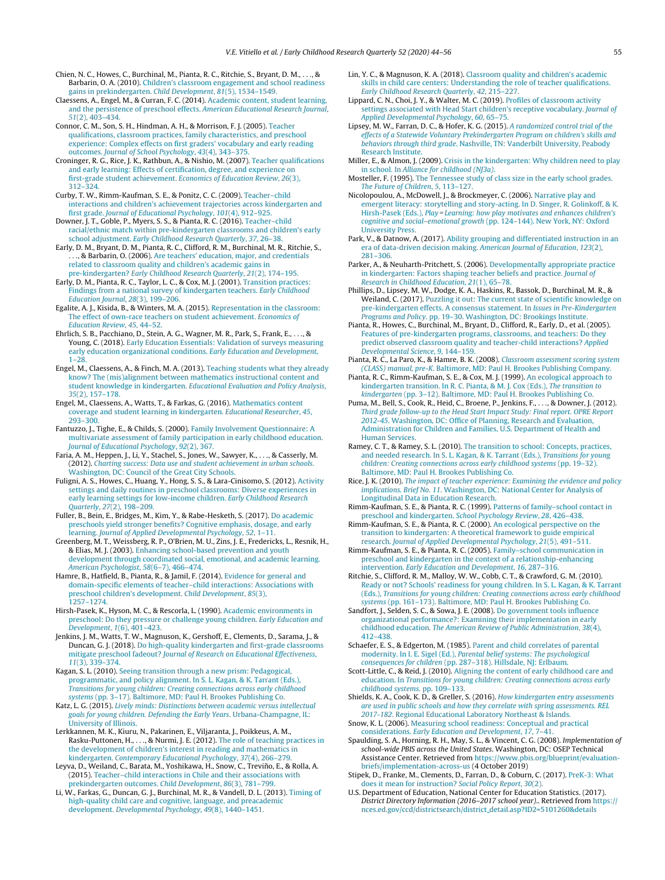<span id="page-11-0"></span>Chien, N. C., Howes, C., Burchinal, M., Pianta, R. C., Ritchie, S., Bryant, D. M., . . ., & Barbarin, O. A. (2010). [Children's](http://refhub.elsevier.com/S0885-2006(19)30103-6/sbref0085) [classroom](http://refhub.elsevier.com/S0885-2006(19)30103-6/sbref0085) [engagement](http://refhub.elsevier.com/S0885-2006(19)30103-6/sbref0085) [and](http://refhub.elsevier.com/S0885-2006(19)30103-6/sbref0085) [school](http://refhub.elsevier.com/S0885-2006(19)30103-6/sbref0085) [readiness](http://refhub.elsevier.com/S0885-2006(19)30103-6/sbref0085) [gains](http://refhub.elsevier.com/S0885-2006(19)30103-6/sbref0085) [in](http://refhub.elsevier.com/S0885-2006(19)30103-6/sbref0085) [prekindergarten.](http://refhub.elsevier.com/S0885-2006(19)30103-6/sbref0085) [Child](http://refhub.elsevier.com/S0885-2006(19)30103-6/sbref0085) [Development](http://refhub.elsevier.com/S0885-2006(19)30103-6/sbref0085)[,](http://refhub.elsevier.com/S0885-2006(19)30103-6/sbref0085) [81](http://refhub.elsevier.com/S0885-2006(19)30103-6/sbref0085)[\(5\),](http://refhub.elsevier.com/S0885-2006(19)30103-6/sbref0085) [1534–1549.](http://refhub.elsevier.com/S0885-2006(19)30103-6/sbref0085)

Claessens, A., Engel, M., & Curran, F. C. (2014). [Academic](http://refhub.elsevier.com/S0885-2006(19)30103-6/sbref0090) [content,](http://refhub.elsevier.com/S0885-2006(19)30103-6/sbref0090) [student](http://refhub.elsevier.com/S0885-2006(19)30103-6/sbref0090) [learning,](http://refhub.elsevier.com/S0885-2006(19)30103-6/sbref0090) [and](http://refhub.elsevier.com/S0885-2006(19)30103-6/sbref0090) [the](http://refhub.elsevier.com/S0885-2006(19)30103-6/sbref0090) [persistence](http://refhub.elsevier.com/S0885-2006(19)30103-6/sbref0090) [of](http://refhub.elsevier.com/S0885-2006(19)30103-6/sbref0090) [preschool](http://refhub.elsevier.com/S0885-2006(19)30103-6/sbref0090) [effects.](http://refhub.elsevier.com/S0885-2006(19)30103-6/sbref0090) [American](http://refhub.elsevier.com/S0885-2006(19)30103-6/sbref0090) [Educational](http://refhub.elsevier.com/S0885-2006(19)30103-6/sbref0090) [Research](http://refhub.elsevier.com/S0885-2006(19)30103-6/sbref0090) [Journal](http://refhub.elsevier.com/S0885-2006(19)30103-6/sbref0090)[,](http://refhub.elsevier.com/S0885-2006(19)30103-6/sbref0090) [51](http://refhub.elsevier.com/S0885-2006(19)30103-6/sbref0090)[\(2\),](http://refhub.elsevier.com/S0885-2006(19)30103-6/sbref0090) [403–434.](http://refhub.elsevier.com/S0885-2006(19)30103-6/sbref0090)

Connor, C. M., Son, S. H., Hindman, A. H., & Morrison, F. J. (2005). [Teacher](http://refhub.elsevier.com/S0885-2006(19)30103-6/sbref0095) [qualifications,](http://refhub.elsevier.com/S0885-2006(19)30103-6/sbref0095) [classroom](http://refhub.elsevier.com/S0885-2006(19)30103-6/sbref0095) [practices,](http://refhub.elsevier.com/S0885-2006(19)30103-6/sbref0095) [family](http://refhub.elsevier.com/S0885-2006(19)30103-6/sbref0095) [characteristics,](http://refhub.elsevier.com/S0885-2006(19)30103-6/sbref0095) [and](http://refhub.elsevier.com/S0885-2006(19)30103-6/sbref0095) [preschool](http://refhub.elsevier.com/S0885-2006(19)30103-6/sbref0095) [experience:](http://refhub.elsevier.com/S0885-2006(19)30103-6/sbref0095) [Complex](http://refhub.elsevier.com/S0885-2006(19)30103-6/sbref0095) [effects](http://refhub.elsevier.com/S0885-2006(19)30103-6/sbref0095) [on](http://refhub.elsevier.com/S0885-2006(19)30103-6/sbref0095) [first](http://refhub.elsevier.com/S0885-2006(19)30103-6/sbref0095) [graders'](http://refhub.elsevier.com/S0885-2006(19)30103-6/sbref0095) [vocabulary](http://refhub.elsevier.com/S0885-2006(19)30103-6/sbref0095) [and](http://refhub.elsevier.com/S0885-2006(19)30103-6/sbref0095) [early](http://refhub.elsevier.com/S0885-2006(19)30103-6/sbref0095) [reading](http://refhub.elsevier.com/S0885-2006(19)30103-6/sbref0095) [outcomes.](http://refhub.elsevier.com/S0885-2006(19)30103-6/sbref0095) [Journal](http://refhub.elsevier.com/S0885-2006(19)30103-6/sbref0095) [of](http://refhub.elsevier.com/S0885-2006(19)30103-6/sbref0095) [School](http://refhub.elsevier.com/S0885-2006(19)30103-6/sbref0095) [Psychology](http://refhub.elsevier.com/S0885-2006(19)30103-6/sbref0095)[,](http://refhub.elsevier.com/S0885-2006(19)30103-6/sbref0095) [43](http://refhub.elsevier.com/S0885-2006(19)30103-6/sbref0095)[\(4\),](http://refhub.elsevier.com/S0885-2006(19)30103-6/sbref0095) [343–375.](http://refhub.elsevier.com/S0885-2006(19)30103-6/sbref0095)

Croninger, R. G., Rice, J. K., Rathbun, A., & Nishio, M. (2007). [Teacher](http://refhub.elsevier.com/S0885-2006(19)30103-6/sbref0100) [qualifications](http://refhub.elsevier.com/S0885-2006(19)30103-6/sbref0100) [and](http://refhub.elsevier.com/S0885-2006(19)30103-6/sbref0100) [early](http://refhub.elsevier.com/S0885-2006(19)30103-6/sbref0100) [learning:](http://refhub.elsevier.com/S0885-2006(19)30103-6/sbref0100) [Effects](http://refhub.elsevier.com/S0885-2006(19)30103-6/sbref0100) [of](http://refhub.elsevier.com/S0885-2006(19)30103-6/sbref0100) [certification,](http://refhub.elsevier.com/S0885-2006(19)30103-6/sbref0100) [degree,](http://refhub.elsevier.com/S0885-2006(19)30103-6/sbref0100) [and](http://refhub.elsevier.com/S0885-2006(19)30103-6/sbref0100) [experience](http://refhub.elsevier.com/S0885-2006(19)30103-6/sbref0100) [on](http://refhub.elsevier.com/S0885-2006(19)30103-6/sbref0100) [first-grade](http://refhub.elsevier.com/S0885-2006(19)30103-6/sbref0100) [student](http://refhub.elsevier.com/S0885-2006(19)30103-6/sbref0100) [achievement.](http://refhub.elsevier.com/S0885-2006(19)30103-6/sbref0100) [Economics](http://refhub.elsevier.com/S0885-2006(19)30103-6/sbref0100) [of](http://refhub.elsevier.com/S0885-2006(19)30103-6/sbref0100) [Education](http://refhub.elsevier.com/S0885-2006(19)30103-6/sbref0100) [Review](http://refhub.elsevier.com/S0885-2006(19)30103-6/sbref0100)[,](http://refhub.elsevier.com/S0885-2006(19)30103-6/sbref0100) [26](http://refhub.elsevier.com/S0885-2006(19)30103-6/sbref0100)[\(3\),](http://refhub.elsevier.com/S0885-2006(19)30103-6/sbref0100) [312–324.](http://refhub.elsevier.com/S0885-2006(19)30103-6/sbref0100)

Curby, T. W., Rimm-Kaufman, S. E., & Ponitz, C. C. (2009). [Teacher–child](http://refhub.elsevier.com/S0885-2006(19)30103-6/sbref0105) [interactions](http://refhub.elsevier.com/S0885-2006(19)30103-6/sbref0105) [and](http://refhub.elsevier.com/S0885-2006(19)30103-6/sbref0105) [children's](http://refhub.elsevier.com/S0885-2006(19)30103-6/sbref0105) [achievement](http://refhub.elsevier.com/S0885-2006(19)30103-6/sbref0105) [trajectories](http://refhub.elsevier.com/S0885-2006(19)30103-6/sbref0105) [across](http://refhub.elsevier.com/S0885-2006(19)30103-6/sbref0105) [kindergarten](http://refhub.elsevier.com/S0885-2006(19)30103-6/sbref0105) [and](http://refhub.elsevier.com/S0885-2006(19)30103-6/sbref0105) [first](http://refhub.elsevier.com/S0885-2006(19)30103-6/sbref0105) [grade.](http://refhub.elsevier.com/S0885-2006(19)30103-6/sbref0105) [Journal](http://refhub.elsevier.com/S0885-2006(19)30103-6/sbref0105) [of](http://refhub.elsevier.com/S0885-2006(19)30103-6/sbref0105) [Educational](http://refhub.elsevier.com/S0885-2006(19)30103-6/sbref0105) [Psychology](http://refhub.elsevier.com/S0885-2006(19)30103-6/sbref0105)[,](http://refhub.elsevier.com/S0885-2006(19)30103-6/sbref0105) [101](http://refhub.elsevier.com/S0885-2006(19)30103-6/sbref0105)[\(4\),](http://refhub.elsevier.com/S0885-2006(19)30103-6/sbref0105) [912–925.](http://refhub.elsevier.com/S0885-2006(19)30103-6/sbref0105)

Downer, J. T., Goble, P., Myers, S. S., & Pianta, R. C. (2016). [Teacher–child](http://refhub.elsevier.com/S0885-2006(19)30103-6/sbref0110) [racial/ethnic](http://refhub.elsevier.com/S0885-2006(19)30103-6/sbref0110) [match](http://refhub.elsevier.com/S0885-2006(19)30103-6/sbref0110) [within](http://refhub.elsevier.com/S0885-2006(19)30103-6/sbref0110) [pre-kindergarten](http://refhub.elsevier.com/S0885-2006(19)30103-6/sbref0110) [classrooms](http://refhub.elsevier.com/S0885-2006(19)30103-6/sbref0110) [and](http://refhub.elsevier.com/S0885-2006(19)30103-6/sbref0110) [children's](http://refhub.elsevier.com/S0885-2006(19)30103-6/sbref0110) [early](http://refhub.elsevier.com/S0885-2006(19)30103-6/sbref0110) [school](http://refhub.elsevier.com/S0885-2006(19)30103-6/sbref0110) [adjustment.](http://refhub.elsevier.com/S0885-2006(19)30103-6/sbref0110) [Early](http://refhub.elsevier.com/S0885-2006(19)30103-6/sbref0110) [Childhood](http://refhub.elsevier.com/S0885-2006(19)30103-6/sbref0110) [Research](http://refhub.elsevier.com/S0885-2006(19)30103-6/sbref0110) [Quarterly](http://refhub.elsevier.com/S0885-2006(19)30103-6/sbref0110)[,](http://refhub.elsevier.com/S0885-2006(19)30103-6/sbref0110) [37](http://refhub.elsevier.com/S0885-2006(19)30103-6/sbref0110)[,](http://refhub.elsevier.com/S0885-2006(19)30103-6/sbref0110) [26–38.](http://refhub.elsevier.com/S0885-2006(19)30103-6/sbref0110)

Early, D. M., Bryant, D. M., Pianta, R. C., Clifford, R. M., Burchinal, M. R., Ritchie, S., ., & Barbarin, O. (2006). [Are](http://refhub.elsevier.com/S0885-2006(19)30103-6/sbref0115) [teachers'](http://refhub.elsevier.com/S0885-2006(19)30103-6/sbref0115) [education,](http://refhub.elsevier.com/S0885-2006(19)30103-6/sbref0115) [major,](http://refhub.elsevier.com/S0885-2006(19)30103-6/sbref0115) [and](http://refhub.elsevier.com/S0885-2006(19)30103-6/sbref0115) [credentials](http://refhub.elsevier.com/S0885-2006(19)30103-6/sbref0115) [related](http://refhub.elsevier.com/S0885-2006(19)30103-6/sbref0115) [to](http://refhub.elsevier.com/S0885-2006(19)30103-6/sbref0115) [classroom](http://refhub.elsevier.com/S0885-2006(19)30103-6/sbref0115) [quality](http://refhub.elsevier.com/S0885-2006(19)30103-6/sbref0115) [and](http://refhub.elsevier.com/S0885-2006(19)30103-6/sbref0115) [children's](http://refhub.elsevier.com/S0885-2006(19)30103-6/sbref0115) [academic](http://refhub.elsevier.com/S0885-2006(19)30103-6/sbref0115) [gains](http://refhub.elsevier.com/S0885-2006(19)30103-6/sbref0115) [in](http://refhub.elsevier.com/S0885-2006(19)30103-6/sbref0115) [pre-kindergarten?](http://refhub.elsevier.com/S0885-2006(19)30103-6/sbref0115) [Early](http://refhub.elsevier.com/S0885-2006(19)30103-6/sbref0115) [Childhood](http://refhub.elsevier.com/S0885-2006(19)30103-6/sbref0115) [Research](http://refhub.elsevier.com/S0885-2006(19)30103-6/sbref0115) [Quarterly](http://refhub.elsevier.com/S0885-2006(19)30103-6/sbref0115)[,](http://refhub.elsevier.com/S0885-2006(19)30103-6/sbref0115) [21](http://refhub.elsevier.com/S0885-2006(19)30103-6/sbref0115)[\(2\),](http://refhub.elsevier.com/S0885-2006(19)30103-6/sbref0115) [174–195.](http://refhub.elsevier.com/S0885-2006(19)30103-6/sbref0115)

Early, D. M., Pianta, R. C., Taylor, L. C., & Cox, M. J. (2001). [Transition](http://refhub.elsevier.com/S0885-2006(19)30103-6/sbref0120) [practices:](http://refhub.elsevier.com/S0885-2006(19)30103-6/sbref0120) [Findings](http://refhub.elsevier.com/S0885-2006(19)30103-6/sbref0120) [from](http://refhub.elsevier.com/S0885-2006(19)30103-6/sbref0120) [a](http://refhub.elsevier.com/S0885-2006(19)30103-6/sbref0120) [national](http://refhub.elsevier.com/S0885-2006(19)30103-6/sbref0120) [survey](http://refhub.elsevier.com/S0885-2006(19)30103-6/sbref0120) [of](http://refhub.elsevier.com/S0885-2006(19)30103-6/sbref0120) [kindergarten](http://refhub.elsevier.com/S0885-2006(19)30103-6/sbref0120) [teachers.](http://refhub.elsevier.com/S0885-2006(19)30103-6/sbref0120) [Early](http://refhub.elsevier.com/S0885-2006(19)30103-6/sbref0120) [Childhood](http://refhub.elsevier.com/S0885-2006(19)30103-6/sbref0120) [Education](http://refhub.elsevier.com/S0885-2006(19)30103-6/sbref0120) [Journal](http://refhub.elsevier.com/S0885-2006(19)30103-6/sbref0120)[,](http://refhub.elsevier.com/S0885-2006(19)30103-6/sbref0120) [28](http://refhub.elsevier.com/S0885-2006(19)30103-6/sbref0120)[\(3\),](http://refhub.elsevier.com/S0885-2006(19)30103-6/sbref0120) [199](http://refhub.elsevier.com/S0885-2006(19)30103-6/sbref0120)–[206.](http://refhub.elsevier.com/S0885-2006(19)30103-6/sbref0120)

Egalite, A. J., Kisida, B., & Winters, M. A. (2015). [Representation](http://refhub.elsevier.com/S0885-2006(19)30103-6/sbref0125) [in](http://refhub.elsevier.com/S0885-2006(19)30103-6/sbref0125) [the](http://refhub.elsevier.com/S0885-2006(19)30103-6/sbref0125) [classroom:](http://refhub.elsevier.com/S0885-2006(19)30103-6/sbref0125) [The](http://refhub.elsevier.com/S0885-2006(19)30103-6/sbref0125) [effect](http://refhub.elsevier.com/S0885-2006(19)30103-6/sbref0125) [of](http://refhub.elsevier.com/S0885-2006(19)30103-6/sbref0125) [own-race](http://refhub.elsevier.com/S0885-2006(19)30103-6/sbref0125) [teachers](http://refhub.elsevier.com/S0885-2006(19)30103-6/sbref0125) [on](http://refhub.elsevier.com/S0885-2006(19)30103-6/sbref0125) [student](http://refhub.elsevier.com/S0885-2006(19)30103-6/sbref0125) [achievement.](http://refhub.elsevier.com/S0885-2006(19)30103-6/sbref0125) [Economics](http://refhub.elsevier.com/S0885-2006(19)30103-6/sbref0125) [of](http://refhub.elsevier.com/S0885-2006(19)30103-6/sbref0125) [Education](http://refhub.elsevier.com/S0885-2006(19)30103-6/sbref0125) [Review](http://refhub.elsevier.com/S0885-2006(19)30103-6/sbref0125)[,](http://refhub.elsevier.com/S0885-2006(19)30103-6/sbref0125) [45](http://refhub.elsevier.com/S0885-2006(19)30103-6/sbref0125)[,](http://refhub.elsevier.com/S0885-2006(19)30103-6/sbref0125) [44–52.](http://refhub.elsevier.com/S0885-2006(19)30103-6/sbref0125)

Ehrlich, S. B., Pacchiano, D., Stein, A. G., Wagner, M. R., Park, S., Frank, E., . . ., & Young, C. (2018). [Early](http://refhub.elsevier.com/S0885-2006(19)30103-6/sbref0130) [Education](http://refhub.elsevier.com/S0885-2006(19)30103-6/sbref0130) [Essentials:](http://refhub.elsevier.com/S0885-2006(19)30103-6/sbref0130) [Validation](http://refhub.elsevier.com/S0885-2006(19)30103-6/sbref0130) [of](http://refhub.elsevier.com/S0885-2006(19)30103-6/sbref0130) [surveys](http://refhub.elsevier.com/S0885-2006(19)30103-6/sbref0130) [measuring](http://refhub.elsevier.com/S0885-2006(19)30103-6/sbref0130) [early](http://refhub.elsevier.com/S0885-2006(19)30103-6/sbref0130) [education](http://refhub.elsevier.com/S0885-2006(19)30103-6/sbref0130) [organizational](http://refhub.elsevier.com/S0885-2006(19)30103-6/sbref0130) [conditions.](http://refhub.elsevier.com/S0885-2006(19)30103-6/sbref0130) [Early](http://refhub.elsevier.com/S0885-2006(19)30103-6/sbref0130) [Education](http://refhub.elsevier.com/S0885-2006(19)30103-6/sbref0130) [and](http://refhub.elsevier.com/S0885-2006(19)30103-6/sbref0130) [Development](http://refhub.elsevier.com/S0885-2006(19)30103-6/sbref0130), [1](http://refhub.elsevier.com/S0885-2006(19)30103-6/sbref0130)–[28.](http://refhub.elsevier.com/S0885-2006(19)30103-6/sbref0130)

Engel, M., Claessens, A., & Finch, M. A. (2013). [Teaching](http://refhub.elsevier.com/S0885-2006(19)30103-6/sbref0135) [students](http://refhub.elsevier.com/S0885-2006(19)30103-6/sbref0135) [what](http://refhub.elsevier.com/S0885-2006(19)30103-6/sbref0135) [they](http://refhub.elsevier.com/S0885-2006(19)30103-6/sbref0135) [already](http://refhub.elsevier.com/S0885-2006(19)30103-6/sbref0135) [know?](http://refhub.elsevier.com/S0885-2006(19)30103-6/sbref0135) [The](http://refhub.elsevier.com/S0885-2006(19)30103-6/sbref0135) [\(mis\)alignment](http://refhub.elsevier.com/S0885-2006(19)30103-6/sbref0135) [between](http://refhub.elsevier.com/S0885-2006(19)30103-6/sbref0135) [mathematics](http://refhub.elsevier.com/S0885-2006(19)30103-6/sbref0135) [instructional](http://refhub.elsevier.com/S0885-2006(19)30103-6/sbref0135) [content](http://refhub.elsevier.com/S0885-2006(19)30103-6/sbref0135) [and](http://refhub.elsevier.com/S0885-2006(19)30103-6/sbref0135) [student](http://refhub.elsevier.com/S0885-2006(19)30103-6/sbref0135) [knowledge](http://refhub.elsevier.com/S0885-2006(19)30103-6/sbref0135) [in](http://refhub.elsevier.com/S0885-2006(19)30103-6/sbref0135) [kindergarten.](http://refhub.elsevier.com/S0885-2006(19)30103-6/sbref0135) [Educational](http://refhub.elsevier.com/S0885-2006(19)30103-6/sbref0135) [Evaluation](http://refhub.elsevier.com/S0885-2006(19)30103-6/sbref0135) [and](http://refhub.elsevier.com/S0885-2006(19)30103-6/sbref0135) [Policy](http://refhub.elsevier.com/S0885-2006(19)30103-6/sbref0135) [Analysis](http://refhub.elsevier.com/S0885-2006(19)30103-6/sbref0135)[,](http://refhub.elsevier.com/S0885-2006(19)30103-6/sbref0135) [35](http://refhub.elsevier.com/S0885-2006(19)30103-6/sbref0135)[\(2\),](http://refhub.elsevier.com/S0885-2006(19)30103-6/sbref0135) [157](http://refhub.elsevier.com/S0885-2006(19)30103-6/sbref0135)–[178.](http://refhub.elsevier.com/S0885-2006(19)30103-6/sbref0135)

Engel, M., Claessens, A., Watts, T., & Farkas, G. (2016). [Mathematics](http://refhub.elsevier.com/S0885-2006(19)30103-6/sbref0140) [content](http://refhub.elsevier.com/S0885-2006(19)30103-6/sbref0140) [coverage](http://refhub.elsevier.com/S0885-2006(19)30103-6/sbref0140) [and](http://refhub.elsevier.com/S0885-2006(19)30103-6/sbref0140) [student](http://refhub.elsevier.com/S0885-2006(19)30103-6/sbref0140) [learning](http://refhub.elsevier.com/S0885-2006(19)30103-6/sbref0140) [in](http://refhub.elsevier.com/S0885-2006(19)30103-6/sbref0140) [kindergarten.](http://refhub.elsevier.com/S0885-2006(19)30103-6/sbref0140) [Educational](http://refhub.elsevier.com/S0885-2006(19)30103-6/sbref0140) [Researcher](http://refhub.elsevier.com/S0885-2006(19)30103-6/sbref0140)[,](http://refhub.elsevier.com/S0885-2006(19)30103-6/sbref0140) [45](http://refhub.elsevier.com/S0885-2006(19)30103-6/sbref0140)[,](http://refhub.elsevier.com/S0885-2006(19)30103-6/sbref0140) [293–300.](http://refhub.elsevier.com/S0885-2006(19)30103-6/sbref0140)

Fantuzzo, J., Tighe, E., & Childs, S. (2000). [Family](http://refhub.elsevier.com/S0885-2006(19)30103-6/sbref0145) [Involvement](http://refhub.elsevier.com/S0885-2006(19)30103-6/sbref0145) [Questionnaire:](http://refhub.elsevier.com/S0885-2006(19)30103-6/sbref0145) [A](http://refhub.elsevier.com/S0885-2006(19)30103-6/sbref0145) [multivariate](http://refhub.elsevier.com/S0885-2006(19)30103-6/sbref0145) [assessment](http://refhub.elsevier.com/S0885-2006(19)30103-6/sbref0145) [of](http://refhub.elsevier.com/S0885-2006(19)30103-6/sbref0145) [family](http://refhub.elsevier.com/S0885-2006(19)30103-6/sbref0145) [participation](http://refhub.elsevier.com/S0885-2006(19)30103-6/sbref0145) [in](http://refhub.elsevier.com/S0885-2006(19)30103-6/sbref0145) [early](http://refhub.elsevier.com/S0885-2006(19)30103-6/sbref0145) [childhood](http://refhub.elsevier.com/S0885-2006(19)30103-6/sbref0145) [education.](http://refhub.elsevier.com/S0885-2006(19)30103-6/sbref0145) [Journal](http://refhub.elsevier.com/S0885-2006(19)30103-6/sbref0145) [of](http://refhub.elsevier.com/S0885-2006(19)30103-6/sbref0145) [Educational](http://refhub.elsevier.com/S0885-2006(19)30103-6/sbref0145) [Psychology](http://refhub.elsevier.com/S0885-2006(19)30103-6/sbref0145)[,](http://refhub.elsevier.com/S0885-2006(19)30103-6/sbref0145) [92](http://refhub.elsevier.com/S0885-2006(19)30103-6/sbref0145)[\(2\),](http://refhub.elsevier.com/S0885-2006(19)30103-6/sbref0145) [367.](http://refhub.elsevier.com/S0885-2006(19)30103-6/sbref0145)

Faria, A. M., Heppen, J., Li, Y., Stachel, S., Jones, W., Sawyer, K., . . ., & Casserly, M. (2012). [Charting](http://refhub.elsevier.com/S0885-2006(19)30103-6/sbref0150) [success:](http://refhub.elsevier.com/S0885-2006(19)30103-6/sbref0150) [Data](http://refhub.elsevier.com/S0885-2006(19)30103-6/sbref0150) [use](http://refhub.elsevier.com/S0885-2006(19)30103-6/sbref0150) [and](http://refhub.elsevier.com/S0885-2006(19)30103-6/sbref0150) [student](http://refhub.elsevier.com/S0885-2006(19)30103-6/sbref0150) [achievement](http://refhub.elsevier.com/S0885-2006(19)30103-6/sbref0150) [in](http://refhub.elsevier.com/S0885-2006(19)30103-6/sbref0150) [urban](http://refhub.elsevier.com/S0885-2006(19)30103-6/sbref0150) [schools](http://refhub.elsevier.com/S0885-2006(19)30103-6/sbref0150). [Washington,](http://refhub.elsevier.com/S0885-2006(19)30103-6/sbref0150) [DC:](http://refhub.elsevier.com/S0885-2006(19)30103-6/sbref0150) [Council](http://refhub.elsevier.com/S0885-2006(19)30103-6/sbref0150) [of](http://refhub.elsevier.com/S0885-2006(19)30103-6/sbref0150) [the](http://refhub.elsevier.com/S0885-2006(19)30103-6/sbref0150) [Great](http://refhub.elsevier.com/S0885-2006(19)30103-6/sbref0150) [City](http://refhub.elsevier.com/S0885-2006(19)30103-6/sbref0150) [Schools.](http://refhub.elsevier.com/S0885-2006(19)30103-6/sbref0150)

Fuligni, A. S., Howes, C., Huang, Y., Hong, S. S., & Lara-Cinisomo, S. (2012). [Activity](http://refhub.elsevier.com/S0885-2006(19)30103-6/sbref0155) [settings](http://refhub.elsevier.com/S0885-2006(19)30103-6/sbref0155) [and](http://refhub.elsevier.com/S0885-2006(19)30103-6/sbref0155) [daily](http://refhub.elsevier.com/S0885-2006(19)30103-6/sbref0155) [routines](http://refhub.elsevier.com/S0885-2006(19)30103-6/sbref0155) [in](http://refhub.elsevier.com/S0885-2006(19)30103-6/sbref0155) [preschool](http://refhub.elsevier.com/S0885-2006(19)30103-6/sbref0155) [classrooms:](http://refhub.elsevier.com/S0885-2006(19)30103-6/sbref0155) [Diverse](http://refhub.elsevier.com/S0885-2006(19)30103-6/sbref0155) [experiences](http://refhub.elsevier.com/S0885-2006(19)30103-6/sbref0155) [in](http://refhub.elsevier.com/S0885-2006(19)30103-6/sbref0155) [early](http://refhub.elsevier.com/S0885-2006(19)30103-6/sbref0155) [learning](http://refhub.elsevier.com/S0885-2006(19)30103-6/sbref0155) [settings](http://refhub.elsevier.com/S0885-2006(19)30103-6/sbref0155) [for](http://refhub.elsevier.com/S0885-2006(19)30103-6/sbref0155) [low-income](http://refhub.elsevier.com/S0885-2006(19)30103-6/sbref0155) [children.](http://refhub.elsevier.com/S0885-2006(19)30103-6/sbref0155) [Early](http://refhub.elsevier.com/S0885-2006(19)30103-6/sbref0155) [Childhood](http://refhub.elsevier.com/S0885-2006(19)30103-6/sbref0155) [Research](http://refhub.elsevier.com/S0885-2006(19)30103-6/sbref0155) [Quarterly](http://refhub.elsevier.com/S0885-2006(19)30103-6/sbref0155)[,](http://refhub.elsevier.com/S0885-2006(19)30103-6/sbref0155) [27](http://refhub.elsevier.com/S0885-2006(19)30103-6/sbref0155)[\(2\),](http://refhub.elsevier.com/S0885-2006(19)30103-6/sbref0155) [198–209.](http://refhub.elsevier.com/S0885-2006(19)30103-6/sbref0155)

Fuller, B., Bein, E., Bridges, M., Kim, Y., & Rabe-Hesketh, S. (2017). [Do](http://refhub.elsevier.com/S0885-2006(19)30103-6/sbref0160) [academic](http://refhub.elsevier.com/S0885-2006(19)30103-6/sbref0160) [preschools](http://refhub.elsevier.com/S0885-2006(19)30103-6/sbref0160) [yield](http://refhub.elsevier.com/S0885-2006(19)30103-6/sbref0160) [stronger](http://refhub.elsevier.com/S0885-2006(19)30103-6/sbref0160) [benefits?](http://refhub.elsevier.com/S0885-2006(19)30103-6/sbref0160) [Cognitive](http://refhub.elsevier.com/S0885-2006(19)30103-6/sbref0160) [emphasis,](http://refhub.elsevier.com/S0885-2006(19)30103-6/sbref0160) [dosage,](http://refhub.elsevier.com/S0885-2006(19)30103-6/sbref0160) [and](http://refhub.elsevier.com/S0885-2006(19)30103-6/sbref0160) [early](http://refhub.elsevier.com/S0885-2006(19)30103-6/sbref0160) [learning.](http://refhub.elsevier.com/S0885-2006(19)30103-6/sbref0160) [Journal](http://refhub.elsevier.com/S0885-2006(19)30103-6/sbref0160) [of](http://refhub.elsevier.com/S0885-2006(19)30103-6/sbref0160) [Applied](http://refhub.elsevier.com/S0885-2006(19)30103-6/sbref0160) [Developmental](http://refhub.elsevier.com/S0885-2006(19)30103-6/sbref0160) [Psychology](http://refhub.elsevier.com/S0885-2006(19)30103-6/sbref0160)[,](http://refhub.elsevier.com/S0885-2006(19)30103-6/sbref0160) [52](http://refhub.elsevier.com/S0885-2006(19)30103-6/sbref0160)[,](http://refhub.elsevier.com/S0885-2006(19)30103-6/sbref0160) [1–11.](http://refhub.elsevier.com/S0885-2006(19)30103-6/sbref0160)

Greenberg, M. T., Weissberg, R. P., O'Brien, M. U., Zins, J. E., Fredericks, L., Resnik, H., & Elias, M. J. (2003). [Enhancing](http://refhub.elsevier.com/S0885-2006(19)30103-6/sbref0165) [school-based](http://refhub.elsevier.com/S0885-2006(19)30103-6/sbref0165) [prevention](http://refhub.elsevier.com/S0885-2006(19)30103-6/sbref0165) [and](http://refhub.elsevier.com/S0885-2006(19)30103-6/sbref0165) [youth](http://refhub.elsevier.com/S0885-2006(19)30103-6/sbref0165) [development](http://refhub.elsevier.com/S0885-2006(19)30103-6/sbref0165) [through](http://refhub.elsevier.com/S0885-2006(19)30103-6/sbref0165) [coordinated](http://refhub.elsevier.com/S0885-2006(19)30103-6/sbref0165) [social,](http://refhub.elsevier.com/S0885-2006(19)30103-6/sbref0165) [emotional,](http://refhub.elsevier.com/S0885-2006(19)30103-6/sbref0165) [and](http://refhub.elsevier.com/S0885-2006(19)30103-6/sbref0165) [academic](http://refhub.elsevier.com/S0885-2006(19)30103-6/sbref0165) [learning.](http://refhub.elsevier.com/S0885-2006(19)30103-6/sbref0165) [American](http://refhub.elsevier.com/S0885-2006(19)30103-6/sbref0165) [Psychologist](http://refhub.elsevier.com/S0885-2006(19)30103-6/sbref0165)[,](http://refhub.elsevier.com/S0885-2006(19)30103-6/sbref0165) [58](http://refhub.elsevier.com/S0885-2006(19)30103-6/sbref0165)[\(6–7\),](http://refhub.elsevier.com/S0885-2006(19)30103-6/sbref0165) [466–474.](http://refhub.elsevier.com/S0885-2006(19)30103-6/sbref0165)

Hamre, B., Hatfield, B., Pianta, R., & Jamil, F. (2014). [Evidence](http://refhub.elsevier.com/S0885-2006(19)30103-6/sbref0170) [for](http://refhub.elsevier.com/S0885-2006(19)30103-6/sbref0170) [general](http://refhub.elsevier.com/S0885-2006(19)30103-6/sbref0170) [and](http://refhub.elsevier.com/S0885-2006(19)30103-6/sbref0170) [domain-specific](http://refhub.elsevier.com/S0885-2006(19)30103-6/sbref0170) [elements](http://refhub.elsevier.com/S0885-2006(19)30103-6/sbref0170) [of](http://refhub.elsevier.com/S0885-2006(19)30103-6/sbref0170) [teacher–child](http://refhub.elsevier.com/S0885-2006(19)30103-6/sbref0170) [interactions:](http://refhub.elsevier.com/S0885-2006(19)30103-6/sbref0170) [Associations](http://refhub.elsevier.com/S0885-2006(19)30103-6/sbref0170) [with](http://refhub.elsevier.com/S0885-2006(19)30103-6/sbref0170) [preschool](http://refhub.elsevier.com/S0885-2006(19)30103-6/sbref0170) [children's](http://refhub.elsevier.com/S0885-2006(19)30103-6/sbref0170) [development.](http://refhub.elsevier.com/S0885-2006(19)30103-6/sbref0170) [Child](http://refhub.elsevier.com/S0885-2006(19)30103-6/sbref0170) [Development](http://refhub.elsevier.com/S0885-2006(19)30103-6/sbref0170)[,](http://refhub.elsevier.com/S0885-2006(19)30103-6/sbref0170) [85](http://refhub.elsevier.com/S0885-2006(19)30103-6/sbref0170)[\(3\),](http://refhub.elsevier.com/S0885-2006(19)30103-6/sbref0170) [1257](http://refhub.elsevier.com/S0885-2006(19)30103-6/sbref0170)–[1274.](http://refhub.elsevier.com/S0885-2006(19)30103-6/sbref0170)

Hirsh-Pasek, K., Hyson, M. C., & Rescorla, L. (1990). [Academic](http://refhub.elsevier.com/S0885-2006(19)30103-6/sbref0175) [environments](http://refhub.elsevier.com/S0885-2006(19)30103-6/sbref0175) [in](http://refhub.elsevier.com/S0885-2006(19)30103-6/sbref0175) [preschool:](http://refhub.elsevier.com/S0885-2006(19)30103-6/sbref0175) [Do](http://refhub.elsevier.com/S0885-2006(19)30103-6/sbref0175) [they](http://refhub.elsevier.com/S0885-2006(19)30103-6/sbref0175) [pressure](http://refhub.elsevier.com/S0885-2006(19)30103-6/sbref0175) [or](http://refhub.elsevier.com/S0885-2006(19)30103-6/sbref0175) [challenge](http://refhub.elsevier.com/S0885-2006(19)30103-6/sbref0175) [young](http://refhub.elsevier.com/S0885-2006(19)30103-6/sbref0175) [children.](http://refhub.elsevier.com/S0885-2006(19)30103-6/sbref0175) [Early](http://refhub.elsevier.com/S0885-2006(19)30103-6/sbref0175) [Education](http://refhub.elsevier.com/S0885-2006(19)30103-6/sbref0175) [and](http://refhub.elsevier.com/S0885-2006(19)30103-6/sbref0175) [Development](http://refhub.elsevier.com/S0885-2006(19)30103-6/sbref0175), [1](http://refhub.elsevier.com/S0885-2006(19)30103-6/sbref0175)[\(6\),](http://refhub.elsevier.com/S0885-2006(19)30103-6/sbref0175) [401–423.](http://refhub.elsevier.com/S0885-2006(19)30103-6/sbref0175)

Jenkins, J. M., Watts, T. W., Magnuson, K., Gershoff, E., Clements, D., Sarama, J., & Duncan, G. J. (2018). [Do](http://refhub.elsevier.com/S0885-2006(19)30103-6/sbref0180) [high-quality](http://refhub.elsevier.com/S0885-2006(19)30103-6/sbref0180) [kindergarten](http://refhub.elsevier.com/S0885-2006(19)30103-6/sbref0180) [and](http://refhub.elsevier.com/S0885-2006(19)30103-6/sbref0180) [first-grade](http://refhub.elsevier.com/S0885-2006(19)30103-6/sbref0180) [classrooms](http://refhub.elsevier.com/S0885-2006(19)30103-6/sbref0180) [mitigate](http://refhub.elsevier.com/S0885-2006(19)30103-6/sbref0180) [preschool](http://refhub.elsevier.com/S0885-2006(19)30103-6/sbref0180) [fadeout?](http://refhub.elsevier.com/S0885-2006(19)30103-6/sbref0180) [Journal](http://refhub.elsevier.com/S0885-2006(19)30103-6/sbref0180) [of](http://refhub.elsevier.com/S0885-2006(19)30103-6/sbref0180) [Research](http://refhub.elsevier.com/S0885-2006(19)30103-6/sbref0180) [on](http://refhub.elsevier.com/S0885-2006(19)30103-6/sbref0180) [Educational](http://refhub.elsevier.com/S0885-2006(19)30103-6/sbref0180) [Effectiveness](http://refhub.elsevier.com/S0885-2006(19)30103-6/sbref0180)[,](http://refhub.elsevier.com/S0885-2006(19)30103-6/sbref0180) [11](http://refhub.elsevier.com/S0885-2006(19)30103-6/sbref0180)[\(3\),](http://refhub.elsevier.com/S0885-2006(19)30103-6/sbref0180) [339](http://refhub.elsevier.com/S0885-2006(19)30103-6/sbref0180)–[374.](http://refhub.elsevier.com/S0885-2006(19)30103-6/sbref0180)

Kagan, S. L. (2010). [Seeing](http://refhub.elsevier.com/S0885-2006(19)30103-6/sbref0185) [transition](http://refhub.elsevier.com/S0885-2006(19)30103-6/sbref0185) [through](http://refhub.elsevier.com/S0885-2006(19)30103-6/sbref0185) [a](http://refhub.elsevier.com/S0885-2006(19)30103-6/sbref0185) [new](http://refhub.elsevier.com/S0885-2006(19)30103-6/sbref0185) [prism:](http://refhub.elsevier.com/S0885-2006(19)30103-6/sbref0185) [Pedagogical,](http://refhub.elsevier.com/S0885-2006(19)30103-6/sbref0185) [programmatic,](http://refhub.elsevier.com/S0885-2006(19)30103-6/sbref0185) [and](http://refhub.elsevier.com/S0885-2006(19)30103-6/sbref0185) [policy](http://refhub.elsevier.com/S0885-2006(19)30103-6/sbref0185) [alignment.](http://refhub.elsevier.com/S0885-2006(19)30103-6/sbref0185) [In](http://refhub.elsevier.com/S0885-2006(19)30103-6/sbref0185) [S.](http://refhub.elsevier.com/S0885-2006(19)30103-6/sbref0185) [L.](http://refhub.elsevier.com/S0885-2006(19)30103-6/sbref0185) [Kagan,](http://refhub.elsevier.com/S0885-2006(19)30103-6/sbref0185) [&](http://refhub.elsevier.com/S0885-2006(19)30103-6/sbref0185) [K.](http://refhub.elsevier.com/S0885-2006(19)30103-6/sbref0185) [Tarrant](http://refhub.elsevier.com/S0885-2006(19)30103-6/sbref0185) [\(Eds.\),](http://refhub.elsevier.com/S0885-2006(19)30103-6/sbref0185) [Transitions](http://refhub.elsevier.com/S0885-2006(19)30103-6/sbref0185) [for](http://refhub.elsevier.com/S0885-2006(19)30103-6/sbref0185) [young](http://refhub.elsevier.com/S0885-2006(19)30103-6/sbref0185) [children:](http://refhub.elsevier.com/S0885-2006(19)30103-6/sbref0185) [Creating](http://refhub.elsevier.com/S0885-2006(19)30103-6/sbref0185) [connections](http://refhub.elsevier.com/S0885-2006(19)30103-6/sbref0185) [across](http://refhub.elsevier.com/S0885-2006(19)30103-6/sbref0185) [early](http://refhub.elsevier.com/S0885-2006(19)30103-6/sbref0185) [childhood](http://refhub.elsevier.com/S0885-2006(19)30103-6/sbref0185) [systems](http://refhub.elsevier.com/S0885-2006(19)30103-6/sbref0185) [\(pp.](http://refhub.elsevier.com/S0885-2006(19)30103-6/sbref0185) [3](http://refhub.elsevier.com/S0885-2006(19)30103-6/sbref0185)–[17\).](http://refhub.elsevier.com/S0885-2006(19)30103-6/sbref0185) [Baltimore,](http://refhub.elsevier.com/S0885-2006(19)30103-6/sbref0185) [MD:](http://refhub.elsevier.com/S0885-2006(19)30103-6/sbref0185) [Paul](http://refhub.elsevier.com/S0885-2006(19)30103-6/sbref0185) [H.](http://refhub.elsevier.com/S0885-2006(19)30103-6/sbref0185) [Brookes](http://refhub.elsevier.com/S0885-2006(19)30103-6/sbref0185) [Publishing](http://refhub.elsevier.com/S0885-2006(19)30103-6/sbref0185) [Co.](http://refhub.elsevier.com/S0885-2006(19)30103-6/sbref0185)

Katz, L. G. (2015). [Lively](http://refhub.elsevier.com/S0885-2006(19)30103-6/sbref0190) [minds:](http://refhub.elsevier.com/S0885-2006(19)30103-6/sbref0190) [Distinctions](http://refhub.elsevier.com/S0885-2006(19)30103-6/sbref0190) [between](http://refhub.elsevier.com/S0885-2006(19)30103-6/sbref0190) [academic](http://refhub.elsevier.com/S0885-2006(19)30103-6/sbref0190) [versus](http://refhub.elsevier.com/S0885-2006(19)30103-6/sbref0190) [intellectual](http://refhub.elsevier.com/S0885-2006(19)30103-6/sbref0190) [goals](http://refhub.elsevier.com/S0885-2006(19)30103-6/sbref0190) [for](http://refhub.elsevier.com/S0885-2006(19)30103-6/sbref0190) [young](http://refhub.elsevier.com/S0885-2006(19)30103-6/sbref0190) [children.](http://refhub.elsevier.com/S0885-2006(19)30103-6/sbref0190) [Defending](http://refhub.elsevier.com/S0885-2006(19)30103-6/sbref0190) [the](http://refhub.elsevier.com/S0885-2006(19)30103-6/sbref0190) [Early](http://refhub.elsevier.com/S0885-2006(19)30103-6/sbref0190) [Years](http://refhub.elsevier.com/S0885-2006(19)30103-6/sbref0190)[.](http://refhub.elsevier.com/S0885-2006(19)30103-6/sbref0190) [Urbana-Champagne,](http://refhub.elsevier.com/S0885-2006(19)30103-6/sbref0190) [IL:](http://refhub.elsevier.com/S0885-2006(19)30103-6/sbref0190) [University](http://refhub.elsevier.com/S0885-2006(19)30103-6/sbref0190) [of](http://refhub.elsevier.com/S0885-2006(19)30103-6/sbref0190) [Illinois.](http://refhub.elsevier.com/S0885-2006(19)30103-6/sbref0190)

Lerkkannen, M. K., Kiuru, N., Pakarinen, E., Viljaranta, J., Poikkeus, A. M., Rasku-Puttonen, H., . . ., & Nurmi, J. E. (2012). [The](http://refhub.elsevier.com/S0885-2006(19)30103-6/sbref0195) [role](http://refhub.elsevier.com/S0885-2006(19)30103-6/sbref0195) [of](http://refhub.elsevier.com/S0885-2006(19)30103-6/sbref0195) [teaching](http://refhub.elsevier.com/S0885-2006(19)30103-6/sbref0195) [practices](http://refhub.elsevier.com/S0885-2006(19)30103-6/sbref0195) [in](http://refhub.elsevier.com/S0885-2006(19)30103-6/sbref0195) [the](http://refhub.elsevier.com/S0885-2006(19)30103-6/sbref0195) [development](http://refhub.elsevier.com/S0885-2006(19)30103-6/sbref0195) [of](http://refhub.elsevier.com/S0885-2006(19)30103-6/sbref0195) [children's](http://refhub.elsevier.com/S0885-2006(19)30103-6/sbref0195) [interest](http://refhub.elsevier.com/S0885-2006(19)30103-6/sbref0195) [in](http://refhub.elsevier.com/S0885-2006(19)30103-6/sbref0195) [reading](http://refhub.elsevier.com/S0885-2006(19)30103-6/sbref0195) [and](http://refhub.elsevier.com/S0885-2006(19)30103-6/sbref0195) [mathematics](http://refhub.elsevier.com/S0885-2006(19)30103-6/sbref0195) [in](http://refhub.elsevier.com/S0885-2006(19)30103-6/sbref0195) [kindergarten.](http://refhub.elsevier.com/S0885-2006(19)30103-6/sbref0195) [Contemporary](http://refhub.elsevier.com/S0885-2006(19)30103-6/sbref0195) [Educational](http://refhub.elsevier.com/S0885-2006(19)30103-6/sbref0195) [Psychology](http://refhub.elsevier.com/S0885-2006(19)30103-6/sbref0195)[,](http://refhub.elsevier.com/S0885-2006(19)30103-6/sbref0195) [37](http://refhub.elsevier.com/S0885-2006(19)30103-6/sbref0195)[\(4\),](http://refhub.elsevier.com/S0885-2006(19)30103-6/sbref0195) [266–279.](http://refhub.elsevier.com/S0885-2006(19)30103-6/sbref0195)

Leyva, D., Weiland, C., Barata, M., Yoshikawa, H., Snow, C., Treviño, E., & Rolla, A. (2015). [Teacher–child](http://refhub.elsevier.com/S0885-2006(19)30103-6/sbref0200) [interactions](http://refhub.elsevier.com/S0885-2006(19)30103-6/sbref0200) [in](http://refhub.elsevier.com/S0885-2006(19)30103-6/sbref0200) [Chile](http://refhub.elsevier.com/S0885-2006(19)30103-6/sbref0200) [and](http://refhub.elsevier.com/S0885-2006(19)30103-6/sbref0200) [their](http://refhub.elsevier.com/S0885-2006(19)30103-6/sbref0200) [associations](http://refhub.elsevier.com/S0885-2006(19)30103-6/sbref0200) [with](http://refhub.elsevier.com/S0885-2006(19)30103-6/sbref0200) [prekindergarten](http://refhub.elsevier.com/S0885-2006(19)30103-6/sbref0200) [outcomes.](http://refhub.elsevier.com/S0885-2006(19)30103-6/sbref0200) [Child](http://refhub.elsevier.com/S0885-2006(19)30103-6/sbref0200) [Development](http://refhub.elsevier.com/S0885-2006(19)30103-6/sbref0200), [86](http://refhub.elsevier.com/S0885-2006(19)30103-6/sbref0200)[\(3\),](http://refhub.elsevier.com/S0885-2006(19)30103-6/sbref0200) [781–799.](http://refhub.elsevier.com/S0885-2006(19)30103-6/sbref0200)

Li, W., Farkas, G., Duncan, G. J., Burchinal, M. R., & Vandell, D. L. (2013). [Timing](http://refhub.elsevier.com/S0885-2006(19)30103-6/sbref0205) [of](http://refhub.elsevier.com/S0885-2006(19)30103-6/sbref0205) [high-quality](http://refhub.elsevier.com/S0885-2006(19)30103-6/sbref0205) [child](http://refhub.elsevier.com/S0885-2006(19)30103-6/sbref0205) [care](http://refhub.elsevier.com/S0885-2006(19)30103-6/sbref0205) [and](http://refhub.elsevier.com/S0885-2006(19)30103-6/sbref0205) [cognitive,](http://refhub.elsevier.com/S0885-2006(19)30103-6/sbref0205) [language,](http://refhub.elsevier.com/S0885-2006(19)30103-6/sbref0205) [and](http://refhub.elsevier.com/S0885-2006(19)30103-6/sbref0205) [preacademic](http://refhub.elsevier.com/S0885-2006(19)30103-6/sbref0205) [development.](http://refhub.elsevier.com/S0885-2006(19)30103-6/sbref0205) [Developmental](http://refhub.elsevier.com/S0885-2006(19)30103-6/sbref0205) [Psychology](http://refhub.elsevier.com/S0885-2006(19)30103-6/sbref0205)[,](http://refhub.elsevier.com/S0885-2006(19)30103-6/sbref0205) [49](http://refhub.elsevier.com/S0885-2006(19)30103-6/sbref0205)[\(8\),](http://refhub.elsevier.com/S0885-2006(19)30103-6/sbref0205) [1440–1451.](http://refhub.elsevier.com/S0885-2006(19)30103-6/sbref0205)

Lin, Y. C., & Magnuson, K. A. (2018). [Classroom](http://refhub.elsevier.com/S0885-2006(19)30103-6/sbref0210) [quality](http://refhub.elsevier.com/S0885-2006(19)30103-6/sbref0210) [and](http://refhub.elsevier.com/S0885-2006(19)30103-6/sbref0210) [children's](http://refhub.elsevier.com/S0885-2006(19)30103-6/sbref0210) [academic](http://refhub.elsevier.com/S0885-2006(19)30103-6/sbref0210) [skills](http://refhub.elsevier.com/S0885-2006(19)30103-6/sbref0210) [in](http://refhub.elsevier.com/S0885-2006(19)30103-6/sbref0210) [child](http://refhub.elsevier.com/S0885-2006(19)30103-6/sbref0210) [care](http://refhub.elsevier.com/S0885-2006(19)30103-6/sbref0210) [centers:](http://refhub.elsevier.com/S0885-2006(19)30103-6/sbref0210) [Understanding](http://refhub.elsevier.com/S0885-2006(19)30103-6/sbref0210) [the](http://refhub.elsevier.com/S0885-2006(19)30103-6/sbref0210) [role](http://refhub.elsevier.com/S0885-2006(19)30103-6/sbref0210) [of](http://refhub.elsevier.com/S0885-2006(19)30103-6/sbref0210) [teacher](http://refhub.elsevier.com/S0885-2006(19)30103-6/sbref0210) [qualifications.](http://refhub.elsevier.com/S0885-2006(19)30103-6/sbref0210)

[Early](http://refhub.elsevier.com/S0885-2006(19)30103-6/sbref0210) [Childhood](http://refhub.elsevier.com/S0885-2006(19)30103-6/sbref0210) [Research](http://refhub.elsevier.com/S0885-2006(19)30103-6/sbref0210) [Quarterly](http://refhub.elsevier.com/S0885-2006(19)30103-6/sbref0210)[,](http://refhub.elsevier.com/S0885-2006(19)30103-6/sbref0210) [42](http://refhub.elsevier.com/S0885-2006(19)30103-6/sbref0210)[,](http://refhub.elsevier.com/S0885-2006(19)30103-6/sbref0210) [215](http://refhub.elsevier.com/S0885-2006(19)30103-6/sbref0210)–[227.](http://refhub.elsevier.com/S0885-2006(19)30103-6/sbref0210) Lippard, C. N., Choi, J. Y., & Walter, M. C. (2019). [Profiles](http://refhub.elsevier.com/S0885-2006(19)30103-6/sbref0215) [of](http://refhub.elsevier.com/S0885-2006(19)30103-6/sbref0215) [classroom](http://refhub.elsevier.com/S0885-2006(19)30103-6/sbref0215) [activity](http://refhub.elsevier.com/S0885-2006(19)30103-6/sbref0215) [settings](http://refhub.elsevier.com/S0885-2006(19)30103-6/sbref0215) [associated](http://refhub.elsevier.com/S0885-2006(19)30103-6/sbref0215) [with](http://refhub.elsevier.com/S0885-2006(19)30103-6/sbref0215) [Head](http://refhub.elsevier.com/S0885-2006(19)30103-6/sbref0215) [Start](http://refhub.elsevier.com/S0885-2006(19)30103-6/sbref0215) [children's](http://refhub.elsevier.com/S0885-2006(19)30103-6/sbref0215) [receptive](http://refhub.elsevier.com/S0885-2006(19)30103-6/sbref0215) [vocabulary.](http://refhub.elsevier.com/S0885-2006(19)30103-6/sbref0215) [Journal](http://refhub.elsevier.com/S0885-2006(19)30103-6/sbref0215) [of](http://refhub.elsevier.com/S0885-2006(19)30103-6/sbref0215) [Applied](http://refhub.elsevier.com/S0885-2006(19)30103-6/sbref0215) [Developmental](http://refhub.elsevier.com/S0885-2006(19)30103-6/sbref0215) [Psychology](http://refhub.elsevier.com/S0885-2006(19)30103-6/sbref0215)[,](http://refhub.elsevier.com/S0885-2006(19)30103-6/sbref0215) [60](http://refhub.elsevier.com/S0885-2006(19)30103-6/sbref0215)[,](http://refhub.elsevier.com/S0885-2006(19)30103-6/sbref0215) [65](http://refhub.elsevier.com/S0885-2006(19)30103-6/sbref0215)–[75.](http://refhub.elsevier.com/S0885-2006(19)30103-6/sbref0215)

Lipsey, M. W., Farran, D. C., & Hofer, K. G. (2015). [A](http://refhub.elsevier.com/S0885-2006(19)30103-6/sbref0220) [randomized](http://refhub.elsevier.com/S0885-2006(19)30103-6/sbref0220) [control](http://refhub.elsevier.com/S0885-2006(19)30103-6/sbref0220) [trial](http://refhub.elsevier.com/S0885-2006(19)30103-6/sbref0220) [of](http://refhub.elsevier.com/S0885-2006(19)30103-6/sbref0220) [the](http://refhub.elsevier.com/S0885-2006(19)30103-6/sbref0220) [effects](http://refhub.elsevier.com/S0885-2006(19)30103-6/sbref0220) [of](http://refhub.elsevier.com/S0885-2006(19)30103-6/sbref0220) [a](http://refhub.elsevier.com/S0885-2006(19)30103-6/sbref0220) [Statewide](http://refhub.elsevier.com/S0885-2006(19)30103-6/sbref0220) [Voluntary](http://refhub.elsevier.com/S0885-2006(19)30103-6/sbref0220) [Prekindergarten](http://refhub.elsevier.com/S0885-2006(19)30103-6/sbref0220) [Program](http://refhub.elsevier.com/S0885-2006(19)30103-6/sbref0220) [on](http://refhub.elsevier.com/S0885-2006(19)30103-6/sbref0220) [children's](http://refhub.elsevier.com/S0885-2006(19)30103-6/sbref0220) [skills](http://refhub.elsevier.com/S0885-2006(19)30103-6/sbref0220) [and](http://refhub.elsevier.com/S0885-2006(19)30103-6/sbref0220) [behaviors](http://refhub.elsevier.com/S0885-2006(19)30103-6/sbref0220) [through](http://refhub.elsevier.com/S0885-2006(19)30103-6/sbref0220) [third](http://refhub.elsevier.com/S0885-2006(19)30103-6/sbref0220) [grade](http://refhub.elsevier.com/S0885-2006(19)30103-6/sbref0220)[.](http://refhub.elsevier.com/S0885-2006(19)30103-6/sbref0220) [Nashville,](http://refhub.elsevier.com/S0885-2006(19)30103-6/sbref0220) [TN:](http://refhub.elsevier.com/S0885-2006(19)30103-6/sbref0220) [Vanderbilt](http://refhub.elsevier.com/S0885-2006(19)30103-6/sbref0220) [University,](http://refhub.elsevier.com/S0885-2006(19)30103-6/sbref0220) [Peabody](http://refhub.elsevier.com/S0885-2006(19)30103-6/sbref0220) [Research](http://refhub.elsevier.com/S0885-2006(19)30103-6/sbref0220) [Institute.](http://refhub.elsevier.com/S0885-2006(19)30103-6/sbref0220)

Miller, E., & Almon, J. (2009). [Crisis](http://refhub.elsevier.com/S0885-2006(19)30103-6/sbref0225) [in](http://refhub.elsevier.com/S0885-2006(19)30103-6/sbref0225) [the](http://refhub.elsevier.com/S0885-2006(19)30103-6/sbref0225) [kindergarten:](http://refhub.elsevier.com/S0885-2006(19)30103-6/sbref0225) [Why](http://refhub.elsevier.com/S0885-2006(19)30103-6/sbref0225) [children](http://refhub.elsevier.com/S0885-2006(19)30103-6/sbref0225) [need](http://refhub.elsevier.com/S0885-2006(19)30103-6/sbref0225) [to](http://refhub.elsevier.com/S0885-2006(19)30103-6/sbref0225) [play](http://refhub.elsevier.com/S0885-2006(19)30103-6/sbref0225) [in](http://refhub.elsevier.com/S0885-2006(19)30103-6/sbref0225) [school.](http://refhub.elsevier.com/S0885-2006(19)30103-6/sbref0225) [In](http://refhub.elsevier.com/S0885-2006(19)30103-6/sbref0225) [Alliance](http://refhub.elsevier.com/S0885-2006(19)30103-6/sbref0225) [for](http://refhub.elsevier.com/S0885-2006(19)30103-6/sbref0225) [childhood](http://refhub.elsevier.com/S0885-2006(19)30103-6/sbref0225) [\(NJ3a\)](http://refhub.elsevier.com/S0885-2006(19)30103-6/sbref0225)[.](http://refhub.elsevier.com/S0885-2006(19)30103-6/sbref0225)

Mosteller, F. (1995). [The](http://refhub.elsevier.com/S0885-2006(19)30103-6/sbref0230) [Tennessee](http://refhub.elsevier.com/S0885-2006(19)30103-6/sbref0230) [study](http://refhub.elsevier.com/S0885-2006(19)30103-6/sbref0230) [of](http://refhub.elsevier.com/S0885-2006(19)30103-6/sbref0230) [class](http://refhub.elsevier.com/S0885-2006(19)30103-6/sbref0230) [size](http://refhub.elsevier.com/S0885-2006(19)30103-6/sbref0230) [in](http://refhub.elsevier.com/S0885-2006(19)30103-6/sbref0230) [the](http://refhub.elsevier.com/S0885-2006(19)30103-6/sbref0230) [early](http://refhub.elsevier.com/S0885-2006(19)30103-6/sbref0230) [school](http://refhub.elsevier.com/S0885-2006(19)30103-6/sbref0230) [grades.](http://refhub.elsevier.com/S0885-2006(19)30103-6/sbref0230) [The](http://refhub.elsevier.com/S0885-2006(19)30103-6/sbref0230) [Future](http://refhub.elsevier.com/S0885-2006(19)30103-6/sbref0230) [of](http://refhub.elsevier.com/S0885-2006(19)30103-6/sbref0230) [Children](http://refhub.elsevier.com/S0885-2006(19)30103-6/sbref0230)[,](http://refhub.elsevier.com/S0885-2006(19)30103-6/sbref0230) [5](http://refhub.elsevier.com/S0885-2006(19)30103-6/sbref0230)[,](http://refhub.elsevier.com/S0885-2006(19)30103-6/sbref0230) [113–127.](http://refhub.elsevier.com/S0885-2006(19)30103-6/sbref0230)

Nicolopoulou, A., McDowell, J., & Brockmeyer, C. (2006). [Narrative](http://refhub.elsevier.com/S0885-2006(19)30103-6/sbref0235) [play](http://refhub.elsevier.com/S0885-2006(19)30103-6/sbref0235) [and](http://refhub.elsevier.com/S0885-2006(19)30103-6/sbref0235) [emergent](http://refhub.elsevier.com/S0885-2006(19)30103-6/sbref0235) [literacy:](http://refhub.elsevier.com/S0885-2006(19)30103-6/sbref0235) [storytelling](http://refhub.elsevier.com/S0885-2006(19)30103-6/sbref0235) [and](http://refhub.elsevier.com/S0885-2006(19)30103-6/sbref0235) [story-acting.](http://refhub.elsevier.com/S0885-2006(19)30103-6/sbref0235) [In](http://refhub.elsevier.com/S0885-2006(19)30103-6/sbref0235) [D.](http://refhub.elsevier.com/S0885-2006(19)30103-6/sbref0235) [Singer,](http://refhub.elsevier.com/S0885-2006(19)30103-6/sbref0235) [R.](http://refhub.elsevier.com/S0885-2006(19)30103-6/sbref0235) [Golinkoff,](http://refhub.elsevier.com/S0885-2006(19)30103-6/sbref0235) [&](http://refhub.elsevier.com/S0885-2006(19)30103-6/sbref0235) [K.](http://refhub.elsevier.com/S0885-2006(19)30103-6/sbref0235) [Hirsh-Pasek](http://refhub.elsevier.com/S0885-2006(19)30103-6/sbref0235) [\(Eds.\),](http://refhub.elsevier.com/S0885-2006(19)30103-6/sbref0235) [Play](http://refhub.elsevier.com/S0885-2006(19)30103-6/sbref0235) [=](http://refhub.elsevier.com/S0885-2006(19)30103-6/sbref0235) [Learning:](http://refhub.elsevier.com/S0885-2006(19)30103-6/sbref0235) [how](http://refhub.elsevier.com/S0885-2006(19)30103-6/sbref0235) [play](http://refhub.elsevier.com/S0885-2006(19)30103-6/sbref0235) [motivates](http://refhub.elsevier.com/S0885-2006(19)30103-6/sbref0235) [and](http://refhub.elsevier.com/S0885-2006(19)30103-6/sbref0235) [enhances](http://refhub.elsevier.com/S0885-2006(19)30103-6/sbref0235) [children's](http://refhub.elsevier.com/S0885-2006(19)30103-6/sbref0235) [cognitive](http://refhub.elsevier.com/S0885-2006(19)30103-6/sbref0235) [and](http://refhub.elsevier.com/S0885-2006(19)30103-6/sbref0235) [social–emotional](http://refhub.elsevier.com/S0885-2006(19)30103-6/sbref0235) [growth](http://refhub.elsevier.com/S0885-2006(19)30103-6/sbref0235) [\(pp.](http://refhub.elsevier.com/S0885-2006(19)30103-6/sbref0235) [124–144\).](http://refhub.elsevier.com/S0885-2006(19)30103-6/sbref0235) [New](http://refhub.elsevier.com/S0885-2006(19)30103-6/sbref0235) [York,](http://refhub.elsevier.com/S0885-2006(19)30103-6/sbref0235) [NY:](http://refhub.elsevier.com/S0885-2006(19)30103-6/sbref0235) [Oxford](http://refhub.elsevier.com/S0885-2006(19)30103-6/sbref0235) [University](http://refhub.elsevier.com/S0885-2006(19)30103-6/sbref0235) [Press.](http://refhub.elsevier.com/S0885-2006(19)30103-6/sbref0235)

Park, V., & Datnow, A. (2017). [Ability](http://refhub.elsevier.com/S0885-2006(19)30103-6/sbref0240) [grouping](http://refhub.elsevier.com/S0885-2006(19)30103-6/sbref0240) [and](http://refhub.elsevier.com/S0885-2006(19)30103-6/sbref0240) [differentiated](http://refhub.elsevier.com/S0885-2006(19)30103-6/sbref0240) [instruction](http://refhub.elsevier.com/S0885-2006(19)30103-6/sbref0240) [in](http://refhub.elsevier.com/S0885-2006(19)30103-6/sbref0240) [an](http://refhub.elsevier.com/S0885-2006(19)30103-6/sbref0240) [era](http://refhub.elsevier.com/S0885-2006(19)30103-6/sbref0240) [of](http://refhub.elsevier.com/S0885-2006(19)30103-6/sbref0240) [data-driven](http://refhub.elsevier.com/S0885-2006(19)30103-6/sbref0240) [decision](http://refhub.elsevier.com/S0885-2006(19)30103-6/sbref0240) [making.](http://refhub.elsevier.com/S0885-2006(19)30103-6/sbref0240) [American](http://refhub.elsevier.com/S0885-2006(19)30103-6/sbref0240) [Journal](http://refhub.elsevier.com/S0885-2006(19)30103-6/sbref0240) [of](http://refhub.elsevier.com/S0885-2006(19)30103-6/sbref0240) [Education](http://refhub.elsevier.com/S0885-2006(19)30103-6/sbref0240), [123](http://refhub.elsevier.com/S0885-2006(19)30103-6/sbref0240)[\(2\),](http://refhub.elsevier.com/S0885-2006(19)30103-6/sbref0240) [281–306.](http://refhub.elsevier.com/S0885-2006(19)30103-6/sbref0240)

Parker, A., & Neuharth-Pritchett, S. (2006). [Developmentally](http://refhub.elsevier.com/S0885-2006(19)30103-6/sbref0245) [appropriate](http://refhub.elsevier.com/S0885-2006(19)30103-6/sbref0245) [practice](http://refhub.elsevier.com/S0885-2006(19)30103-6/sbref0245) [in](http://refhub.elsevier.com/S0885-2006(19)30103-6/sbref0245) [kindergarten:](http://refhub.elsevier.com/S0885-2006(19)30103-6/sbref0245) [Factors](http://refhub.elsevier.com/S0885-2006(19)30103-6/sbref0245) [shaping](http://refhub.elsevier.com/S0885-2006(19)30103-6/sbref0245) [teacher](http://refhub.elsevier.com/S0885-2006(19)30103-6/sbref0245) [beliefs](http://refhub.elsevier.com/S0885-2006(19)30103-6/sbref0245) [and](http://refhub.elsevier.com/S0885-2006(19)30103-6/sbref0245) [practice.](http://refhub.elsevier.com/S0885-2006(19)30103-6/sbref0245) [Journal](http://refhub.elsevier.com/S0885-2006(19)30103-6/sbref0245) [of](http://refhub.elsevier.com/S0885-2006(19)30103-6/sbref0245) [Research](http://refhub.elsevier.com/S0885-2006(19)30103-6/sbref0245) [in](http://refhub.elsevier.com/S0885-2006(19)30103-6/sbref0245) [Childhood](http://refhub.elsevier.com/S0885-2006(19)30103-6/sbref0245) [Education](http://refhub.elsevier.com/S0885-2006(19)30103-6/sbref0245)[,](http://refhub.elsevier.com/S0885-2006(19)30103-6/sbref0245) [21](http://refhub.elsevier.com/S0885-2006(19)30103-6/sbref0245)[\(1\),](http://refhub.elsevier.com/S0885-2006(19)30103-6/sbref0245) [65](http://refhub.elsevier.com/S0885-2006(19)30103-6/sbref0245)–[78.](http://refhub.elsevier.com/S0885-2006(19)30103-6/sbref0245)

Phillips, D., Lipsey, M. W., Dodge, K. A., Haskins, R., Bassok, D., Burchinal, M. R., & Weiland, C. (2017). [Puzzling](http://refhub.elsevier.com/S0885-2006(19)30103-6/sbref0250) [it](http://refhub.elsevier.com/S0885-2006(19)30103-6/sbref0250) [out:](http://refhub.elsevier.com/S0885-2006(19)30103-6/sbref0250) [The](http://refhub.elsevier.com/S0885-2006(19)30103-6/sbref0250) [current](http://refhub.elsevier.com/S0885-2006(19)30103-6/sbref0250) [state](http://refhub.elsevier.com/S0885-2006(19)30103-6/sbref0250) [of](http://refhub.elsevier.com/S0885-2006(19)30103-6/sbref0250) [scientific](http://refhub.elsevier.com/S0885-2006(19)30103-6/sbref0250) [knowledge](http://refhub.elsevier.com/S0885-2006(19)30103-6/sbref0250) [on](http://refhub.elsevier.com/S0885-2006(19)30103-6/sbref0250) [pre-kindergarten](http://refhub.elsevier.com/S0885-2006(19)30103-6/sbref0250) [effects.](http://refhub.elsevier.com/S0885-2006(19)30103-6/sbref0250) [A](http://refhub.elsevier.com/S0885-2006(19)30103-6/sbref0250) [consensus](http://refhub.elsevier.com/S0885-2006(19)30103-6/sbref0250) [statement.](http://refhub.elsevier.com/S0885-2006(19)30103-6/sbref0250) [In](http://refhub.elsevier.com/S0885-2006(19)30103-6/sbref0250) [Issues](http://refhub.elsevier.com/S0885-2006(19)30103-6/sbref0250) [in](http://refhub.elsevier.com/S0885-2006(19)30103-6/sbref0250) [Pre-Kindergarten](http://refhub.elsevier.com/S0885-2006(19)30103-6/sbref0250) [Programs](http://refhub.elsevier.com/S0885-2006(19)30103-6/sbref0250) [and](http://refhub.elsevier.com/S0885-2006(19)30103-6/sbref0250) [Policy](http://refhub.elsevier.com/S0885-2006(19)30103-6/sbref0250)[.](http://refhub.elsevier.com/S0885-2006(19)30103-6/sbref0250) [pp.](http://refhub.elsevier.com/S0885-2006(19)30103-6/sbref0250) [19](http://refhub.elsevier.com/S0885-2006(19)30103-6/sbref0250)–[30.](http://refhub.elsevier.com/S0885-2006(19)30103-6/sbref0250) [Washington,](http://refhub.elsevier.com/S0885-2006(19)30103-6/sbref0250) [DC:](http://refhub.elsevier.com/S0885-2006(19)30103-6/sbref0250) [Brookings](http://refhub.elsevier.com/S0885-2006(19)30103-6/sbref0250) [Institute.](http://refhub.elsevier.com/S0885-2006(19)30103-6/sbref0250)

Pianta, R., Howes, C., Burchinal, M., Bryant, D., Clifford, R., Early, D., et al. (2005). [Features](http://refhub.elsevier.com/S0885-2006(19)30103-6/sbref0255) [of](http://refhub.elsevier.com/S0885-2006(19)30103-6/sbref0255) [pre-kindergarten](http://refhub.elsevier.com/S0885-2006(19)30103-6/sbref0255) [programs,](http://refhub.elsevier.com/S0885-2006(19)30103-6/sbref0255) [classrooms,](http://refhub.elsevier.com/S0885-2006(19)30103-6/sbref0255) [and](http://refhub.elsevier.com/S0885-2006(19)30103-6/sbref0255) [teachers:](http://refhub.elsevier.com/S0885-2006(19)30103-6/sbref0255) [Do](http://refhub.elsevier.com/S0885-2006(19)30103-6/sbref0255) [they](http://refhub.elsevier.com/S0885-2006(19)30103-6/sbref0255) [predict](http://refhub.elsevier.com/S0885-2006(19)30103-6/sbref0255) [observed](http://refhub.elsevier.com/S0885-2006(19)30103-6/sbref0255) [classroom](http://refhub.elsevier.com/S0885-2006(19)30103-6/sbref0255) [quality](http://refhub.elsevier.com/S0885-2006(19)30103-6/sbref0255) [and](http://refhub.elsevier.com/S0885-2006(19)30103-6/sbref0255) [teacher-child](http://refhub.elsevier.com/S0885-2006(19)30103-6/sbref0255) [interactions?](http://refhub.elsevier.com/S0885-2006(19)30103-6/sbref0255) [Applied](http://refhub.elsevier.com/S0885-2006(19)30103-6/sbref0255) [Developmental](http://refhub.elsevier.com/S0885-2006(19)30103-6/sbref0255) [Science](http://refhub.elsevier.com/S0885-2006(19)30103-6/sbref0255)[,](http://refhub.elsevier.com/S0885-2006(19)30103-6/sbref0255) [9](http://refhub.elsevier.com/S0885-2006(19)30103-6/sbref0255)[,](http://refhub.elsevier.com/S0885-2006(19)30103-6/sbref0255) [144](http://refhub.elsevier.com/S0885-2006(19)30103-6/sbref0255)–[159.](http://refhub.elsevier.com/S0885-2006(19)30103-6/sbref0255)

Pianta, R. C., La Paro, K., & Hamre, B. K. (2008). [Classroom](http://refhub.elsevier.com/S0885-2006(19)30103-6/sbref0260) [assessment](http://refhub.elsevier.com/S0885-2006(19)30103-6/sbref0260) [scoring](http://refhub.elsevier.com/S0885-2006(19)30103-6/sbref0260) [system](http://refhub.elsevier.com/S0885-2006(19)30103-6/sbref0260) [\(CLASS\)](http://refhub.elsevier.com/S0885-2006(19)30103-6/sbref0260) [manual,](http://refhub.elsevier.com/S0885-2006(19)30103-6/sbref0260) [pre-K](http://refhub.elsevier.com/S0885-2006(19)30103-6/sbref0260)[.](http://refhub.elsevier.com/S0885-2006(19)30103-6/sbref0260) [Baltimore,](http://refhub.elsevier.com/S0885-2006(19)30103-6/sbref0260) [MD:](http://refhub.elsevier.com/S0885-2006(19)30103-6/sbref0260) [Paul](http://refhub.elsevier.com/S0885-2006(19)30103-6/sbref0260) [H.](http://refhub.elsevier.com/S0885-2006(19)30103-6/sbref0260) [Brookes](http://refhub.elsevier.com/S0885-2006(19)30103-6/sbref0260) [Publishing](http://refhub.elsevier.com/S0885-2006(19)30103-6/sbref0260) [Company.](http://refhub.elsevier.com/S0885-2006(19)30103-6/sbref0260)

Pianta, R. C., Rimm-Kaufman, S. E., & Cox, M. J. (1999). [An](http://refhub.elsevier.com/S0885-2006(19)30103-6/sbref0265) [ecological](http://refhub.elsevier.com/S0885-2006(19)30103-6/sbref0265) [approach](http://refhub.elsevier.com/S0885-2006(19)30103-6/sbref0265) [to](http://refhub.elsevier.com/S0885-2006(19)30103-6/sbref0265) [kindergarten](http://refhub.elsevier.com/S0885-2006(19)30103-6/sbref0265) [transition.](http://refhub.elsevier.com/S0885-2006(19)30103-6/sbref0265) [In](http://refhub.elsevier.com/S0885-2006(19)30103-6/sbref0265) [R.](http://refhub.elsevier.com/S0885-2006(19)30103-6/sbref0265) [C.](http://refhub.elsevier.com/S0885-2006(19)30103-6/sbref0265) [Pianta,](http://refhub.elsevier.com/S0885-2006(19)30103-6/sbref0265) [&](http://refhub.elsevier.com/S0885-2006(19)30103-6/sbref0265) [M.](http://refhub.elsevier.com/S0885-2006(19)30103-6/sbref0265) [J.](http://refhub.elsevier.com/S0885-2006(19)30103-6/sbref0265) [Cox](http://refhub.elsevier.com/S0885-2006(19)30103-6/sbref0265) [\(Eds.\),](http://refhub.elsevier.com/S0885-2006(19)30103-6/sbref0265) [The](http://refhub.elsevier.com/S0885-2006(19)30103-6/sbref0265) [transition](http://refhub.elsevier.com/S0885-2006(19)30103-6/sbref0265) [to](http://refhub.elsevier.com/S0885-2006(19)30103-6/sbref0265) [kindergarten](http://refhub.elsevier.com/S0885-2006(19)30103-6/sbref0265) [\(pp.](http://refhub.elsevier.com/S0885-2006(19)30103-6/sbref0265) [3](http://refhub.elsevier.com/S0885-2006(19)30103-6/sbref0265)–[12\).](http://refhub.elsevier.com/S0885-2006(19)30103-6/sbref0265) [Baltimore,](http://refhub.elsevier.com/S0885-2006(19)30103-6/sbref0265) [MD:](http://refhub.elsevier.com/S0885-2006(19)30103-6/sbref0265) [Paul](http://refhub.elsevier.com/S0885-2006(19)30103-6/sbref0265) [H.](http://refhub.elsevier.com/S0885-2006(19)30103-6/sbref0265) [Brookes](http://refhub.elsevier.com/S0885-2006(19)30103-6/sbref0265) [Publishing](http://refhub.elsevier.com/S0885-2006(19)30103-6/sbref0265) [Co.](http://refhub.elsevier.com/S0885-2006(19)30103-6/sbref0265)

Puma, M., Bell, S., Cook, R., Heid, C., Broene, P., Jenkins, F., . . ., & Downer, J. (2012). [Third](http://refhub.elsevier.com/S0885-2006(19)30103-6/sbref0270) [grade](http://refhub.elsevier.com/S0885-2006(19)30103-6/sbref0270) [follow-up](http://refhub.elsevier.com/S0885-2006(19)30103-6/sbref0270) [to](http://refhub.elsevier.com/S0885-2006(19)30103-6/sbref0270) [the](http://refhub.elsevier.com/S0885-2006(19)30103-6/sbref0270) [Head](http://refhub.elsevier.com/S0885-2006(19)30103-6/sbref0270) [Start](http://refhub.elsevier.com/S0885-2006(19)30103-6/sbref0270) [Impact](http://refhub.elsevier.com/S0885-2006(19)30103-6/sbref0270) [Study:](http://refhub.elsevier.com/S0885-2006(19)30103-6/sbref0270) [Final](http://refhub.elsevier.com/S0885-2006(19)30103-6/sbref0270) [report.](http://refhub.elsevier.com/S0885-2006(19)30103-6/sbref0270) [OPRE](http://refhub.elsevier.com/S0885-2006(19)30103-6/sbref0270) [Report](http://refhub.elsevier.com/S0885-2006(19)30103-6/sbref0270) [2012-45](http://refhub.elsevier.com/S0885-2006(19)30103-6/sbref0270)[.](http://refhub.elsevier.com/S0885-2006(19)30103-6/sbref0270) [Washington,](http://refhub.elsevier.com/S0885-2006(19)30103-6/sbref0270) [DC:](http://refhub.elsevier.com/S0885-2006(19)30103-6/sbref0270) [Office](http://refhub.elsevier.com/S0885-2006(19)30103-6/sbref0270) [of](http://refhub.elsevier.com/S0885-2006(19)30103-6/sbref0270) [Planning,](http://refhub.elsevier.com/S0885-2006(19)30103-6/sbref0270) [Research](http://refhub.elsevier.com/S0885-2006(19)30103-6/sbref0270) [and](http://refhub.elsevier.com/S0885-2006(19)30103-6/sbref0270) [Evaluation,](http://refhub.elsevier.com/S0885-2006(19)30103-6/sbref0270) [Administration](http://refhub.elsevier.com/S0885-2006(19)30103-6/sbref0270) [for](http://refhub.elsevier.com/S0885-2006(19)30103-6/sbref0270) [Children](http://refhub.elsevier.com/S0885-2006(19)30103-6/sbref0270) [and](http://refhub.elsevier.com/S0885-2006(19)30103-6/sbref0270) [Families,](http://refhub.elsevier.com/S0885-2006(19)30103-6/sbref0270) [U.S.](http://refhub.elsevier.com/S0885-2006(19)30103-6/sbref0270) [Department](http://refhub.elsevier.com/S0885-2006(19)30103-6/sbref0270) [of](http://refhub.elsevier.com/S0885-2006(19)30103-6/sbref0270) [Health](http://refhub.elsevier.com/S0885-2006(19)30103-6/sbref0270) [and](http://refhub.elsevier.com/S0885-2006(19)30103-6/sbref0270) [Human](http://refhub.elsevier.com/S0885-2006(19)30103-6/sbref0270) [Services.](http://refhub.elsevier.com/S0885-2006(19)30103-6/sbref0270)

Ramey, C. T., & Ramey, S. L. (2010). [The](http://refhub.elsevier.com/S0885-2006(19)30103-6/sbref0275) [transition](http://refhub.elsevier.com/S0885-2006(19)30103-6/sbref0275) [to](http://refhub.elsevier.com/S0885-2006(19)30103-6/sbref0275) [school:](http://refhub.elsevier.com/S0885-2006(19)30103-6/sbref0275) [Concepts,](http://refhub.elsevier.com/S0885-2006(19)30103-6/sbref0275) [practices,](http://refhub.elsevier.com/S0885-2006(19)30103-6/sbref0275) [and](http://refhub.elsevier.com/S0885-2006(19)30103-6/sbref0275) [needed](http://refhub.elsevier.com/S0885-2006(19)30103-6/sbref0275) [research.](http://refhub.elsevier.com/S0885-2006(19)30103-6/sbref0275) [In](http://refhub.elsevier.com/S0885-2006(19)30103-6/sbref0275) [S.](http://refhub.elsevier.com/S0885-2006(19)30103-6/sbref0275) [L.](http://refhub.elsevier.com/S0885-2006(19)30103-6/sbref0275) [Kagan,](http://refhub.elsevier.com/S0885-2006(19)30103-6/sbref0275) [&](http://refhub.elsevier.com/S0885-2006(19)30103-6/sbref0275) [K.](http://refhub.elsevier.com/S0885-2006(19)30103-6/sbref0275) [Tarrant](http://refhub.elsevier.com/S0885-2006(19)30103-6/sbref0275) [\(Eds.\),](http://refhub.elsevier.com/S0885-2006(19)30103-6/sbref0275) [Transitions](http://refhub.elsevier.com/S0885-2006(19)30103-6/sbref0275) [for](http://refhub.elsevier.com/S0885-2006(19)30103-6/sbref0275) [young](http://refhub.elsevier.com/S0885-2006(19)30103-6/sbref0275) [children:](http://refhub.elsevier.com/S0885-2006(19)30103-6/sbref0275) [Creating](http://refhub.elsevier.com/S0885-2006(19)30103-6/sbref0275) [connections](http://refhub.elsevier.com/S0885-2006(19)30103-6/sbref0275) [across](http://refhub.elsevier.com/S0885-2006(19)30103-6/sbref0275) [early](http://refhub.elsevier.com/S0885-2006(19)30103-6/sbref0275) [childhood](http://refhub.elsevier.com/S0885-2006(19)30103-6/sbref0275) [systems](http://refhub.elsevier.com/S0885-2006(19)30103-6/sbref0275) [\(pp.](http://refhub.elsevier.com/S0885-2006(19)30103-6/sbref0275) [19–32\).](http://refhub.elsevier.com/S0885-2006(19)30103-6/sbref0275) [Baltimore,](http://refhub.elsevier.com/S0885-2006(19)30103-6/sbref0275) [MD:](http://refhub.elsevier.com/S0885-2006(19)30103-6/sbref0275) [Paul](http://refhub.elsevier.com/S0885-2006(19)30103-6/sbref0275) [H.](http://refhub.elsevier.com/S0885-2006(19)30103-6/sbref0275) [Brookes](http://refhub.elsevier.com/S0885-2006(19)30103-6/sbref0275) [Publishing](http://refhub.elsevier.com/S0885-2006(19)30103-6/sbref0275) [Co.](http://refhub.elsevier.com/S0885-2006(19)30103-6/sbref0275)

Rice, J. K. (2010). [The](http://refhub.elsevier.com/S0885-2006(19)30103-6/sbref0280) [impact](http://refhub.elsevier.com/S0885-2006(19)30103-6/sbref0280) [of](http://refhub.elsevier.com/S0885-2006(19)30103-6/sbref0280) [teacher](http://refhub.elsevier.com/S0885-2006(19)30103-6/sbref0280) [experience:](http://refhub.elsevier.com/S0885-2006(19)30103-6/sbref0280) [Examining](http://refhub.elsevier.com/S0885-2006(19)30103-6/sbref0280) [the](http://refhub.elsevier.com/S0885-2006(19)30103-6/sbref0280) [evidence](http://refhub.elsevier.com/S0885-2006(19)30103-6/sbref0280) [and](http://refhub.elsevier.com/S0885-2006(19)30103-6/sbref0280) [policy](http://refhub.elsevier.com/S0885-2006(19)30103-6/sbref0280) [implications.](http://refhub.elsevier.com/S0885-2006(19)30103-6/sbref0280) [Brief](http://refhub.elsevier.com/S0885-2006(19)30103-6/sbref0280) [No.](http://refhub.elsevier.com/S0885-2006(19)30103-6/sbref0280) [11](http://refhub.elsevier.com/S0885-2006(19)30103-6/sbref0280)[.](http://refhub.elsevier.com/S0885-2006(19)30103-6/sbref0280) [Washington,](http://refhub.elsevier.com/S0885-2006(19)30103-6/sbref0280) [DC:](http://refhub.elsevier.com/S0885-2006(19)30103-6/sbref0280) [National](http://refhub.elsevier.com/S0885-2006(19)30103-6/sbref0280) [Center](http://refhub.elsevier.com/S0885-2006(19)30103-6/sbref0280) [for](http://refhub.elsevier.com/S0885-2006(19)30103-6/sbref0280) [Analysis](http://refhub.elsevier.com/S0885-2006(19)30103-6/sbref0280) [of](http://refhub.elsevier.com/S0885-2006(19)30103-6/sbref0280) [Longitudinal](http://refhub.elsevier.com/S0885-2006(19)30103-6/sbref0280) [Data](http://refhub.elsevier.com/S0885-2006(19)30103-6/sbref0280) [in](http://refhub.elsevier.com/S0885-2006(19)30103-6/sbref0280) [Education](http://refhub.elsevier.com/S0885-2006(19)30103-6/sbref0280) [Research.](http://refhub.elsevier.com/S0885-2006(19)30103-6/sbref0280)

Rimm-Kaufman, S. E., & Pianta, R. C. (1999). [Patterns](http://refhub.elsevier.com/S0885-2006(19)30103-6/sbref0285) [of](http://refhub.elsevier.com/S0885-2006(19)30103-6/sbref0285) [family–school](http://refhub.elsevier.com/S0885-2006(19)30103-6/sbref0285) [contact](http://refhub.elsevier.com/S0885-2006(19)30103-6/sbref0285) [in](http://refhub.elsevier.com/S0885-2006(19)30103-6/sbref0285) [preschool](http://refhub.elsevier.com/S0885-2006(19)30103-6/sbref0285) [and](http://refhub.elsevier.com/S0885-2006(19)30103-6/sbref0285) [kindergarten.](http://refhub.elsevier.com/S0885-2006(19)30103-6/sbref0285) [School](http://refhub.elsevier.com/S0885-2006(19)30103-6/sbref0285) [Psychology](http://refhub.elsevier.com/S0885-2006(19)30103-6/sbref0285) [Review](http://refhub.elsevier.com/S0885-2006(19)30103-6/sbref0285)[,](http://refhub.elsevier.com/S0885-2006(19)30103-6/sbref0285) [28](http://refhub.elsevier.com/S0885-2006(19)30103-6/sbref0285)[,](http://refhub.elsevier.com/S0885-2006(19)30103-6/sbref0285) [426–438.](http://refhub.elsevier.com/S0885-2006(19)30103-6/sbref0285)

Rimm-Kaufman, S. E., & Pianta, R. C. (2000). [An](http://refhub.elsevier.com/S0885-2006(19)30103-6/sbref0290) [ecological](http://refhub.elsevier.com/S0885-2006(19)30103-6/sbref0290) [perspective](http://refhub.elsevier.com/S0885-2006(19)30103-6/sbref0290) [on](http://refhub.elsevier.com/S0885-2006(19)30103-6/sbref0290) [the](http://refhub.elsevier.com/S0885-2006(19)30103-6/sbref0290) [transition](http://refhub.elsevier.com/S0885-2006(19)30103-6/sbref0290) [to](http://refhub.elsevier.com/S0885-2006(19)30103-6/sbref0290) [kindergarten:](http://refhub.elsevier.com/S0885-2006(19)30103-6/sbref0290) [A](http://refhub.elsevier.com/S0885-2006(19)30103-6/sbref0290) [theoretical](http://refhub.elsevier.com/S0885-2006(19)30103-6/sbref0290) [framework](http://refhub.elsevier.com/S0885-2006(19)30103-6/sbref0290) [to](http://refhub.elsevier.com/S0885-2006(19)30103-6/sbref0290) [guide](http://refhub.elsevier.com/S0885-2006(19)30103-6/sbref0290) [empirical](http://refhub.elsevier.com/S0885-2006(19)30103-6/sbref0290) [research.](http://refhub.elsevier.com/S0885-2006(19)30103-6/sbref0290) [Journal](http://refhub.elsevier.com/S0885-2006(19)30103-6/sbref0290) [of](http://refhub.elsevier.com/S0885-2006(19)30103-6/sbref0290) [Applied](http://refhub.elsevier.com/S0885-2006(19)30103-6/sbref0290) [Developmental](http://refhub.elsevier.com/S0885-2006(19)30103-6/sbref0290) [Psychology](http://refhub.elsevier.com/S0885-2006(19)30103-6/sbref0290)[,](http://refhub.elsevier.com/S0885-2006(19)30103-6/sbref0290) [21](http://refhub.elsevier.com/S0885-2006(19)30103-6/sbref0290)[\(5\),](http://refhub.elsevier.com/S0885-2006(19)30103-6/sbref0290) [491–511.](http://refhub.elsevier.com/S0885-2006(19)30103-6/sbref0290)

Rimm-Kaufman, S. E., & Pianta, R. C. (2005). [Family–school](http://refhub.elsevier.com/S0885-2006(19)30103-6/sbref0295) [communication](http://refhub.elsevier.com/S0885-2006(19)30103-6/sbref0295) [in](http://refhub.elsevier.com/S0885-2006(19)30103-6/sbref0295) [preschool](http://refhub.elsevier.com/S0885-2006(19)30103-6/sbref0295) [and](http://refhub.elsevier.com/S0885-2006(19)30103-6/sbref0295) [kindergarten](http://refhub.elsevier.com/S0885-2006(19)30103-6/sbref0295) [in](http://refhub.elsevier.com/S0885-2006(19)30103-6/sbref0295) [the](http://refhub.elsevier.com/S0885-2006(19)30103-6/sbref0295) [context](http://refhub.elsevier.com/S0885-2006(19)30103-6/sbref0295) [of](http://refhub.elsevier.com/S0885-2006(19)30103-6/sbref0295) [a](http://refhub.elsevier.com/S0885-2006(19)30103-6/sbref0295) [relationship-enhancing](http://refhub.elsevier.com/S0885-2006(19)30103-6/sbref0295) [intervention.](http://refhub.elsevier.com/S0885-2006(19)30103-6/sbref0295) [Early](http://refhub.elsevier.com/S0885-2006(19)30103-6/sbref0295) [Education](http://refhub.elsevier.com/S0885-2006(19)30103-6/sbref0295) [and](http://refhub.elsevier.com/S0885-2006(19)30103-6/sbref0295) [Development](http://refhub.elsevier.com/S0885-2006(19)30103-6/sbref0295), [16](http://refhub.elsevier.com/S0885-2006(19)30103-6/sbref0295)[,](http://refhub.elsevier.com/S0885-2006(19)30103-6/sbref0295) [287–316.](http://refhub.elsevier.com/S0885-2006(19)30103-6/sbref0295)

Ritchie, S., Clifford, R. M., Malloy, W. W., Cobb, C. T., & Crawford, G. M. (2010). [Ready](http://refhub.elsevier.com/S0885-2006(19)30103-6/sbref0300) [or](http://refhub.elsevier.com/S0885-2006(19)30103-6/sbref0300) [not?](http://refhub.elsevier.com/S0885-2006(19)30103-6/sbref0300) [Schools'](http://refhub.elsevier.com/S0885-2006(19)30103-6/sbref0300) [readiness](http://refhub.elsevier.com/S0885-2006(19)30103-6/sbref0300) [for](http://refhub.elsevier.com/S0885-2006(19)30103-6/sbref0300) [young](http://refhub.elsevier.com/S0885-2006(19)30103-6/sbref0300) [children.](http://refhub.elsevier.com/S0885-2006(19)30103-6/sbref0300) [In](http://refhub.elsevier.com/S0885-2006(19)30103-6/sbref0300) [S.](http://refhub.elsevier.com/S0885-2006(19)30103-6/sbref0300) [L.](http://refhub.elsevier.com/S0885-2006(19)30103-6/sbref0300) [Kagan,](http://refhub.elsevier.com/S0885-2006(19)30103-6/sbref0300) [&](http://refhub.elsevier.com/S0885-2006(19)30103-6/sbref0300) [K.](http://refhub.elsevier.com/S0885-2006(19)30103-6/sbref0300) [Tarrant](http://refhub.elsevier.com/S0885-2006(19)30103-6/sbref0300) [\(Eds.\),](http://refhub.elsevier.com/S0885-2006(19)30103-6/sbref0300) [Transitions](http://refhub.elsevier.com/S0885-2006(19)30103-6/sbref0300) [for](http://refhub.elsevier.com/S0885-2006(19)30103-6/sbref0300) [young](http://refhub.elsevier.com/S0885-2006(19)30103-6/sbref0300) [children:](http://refhub.elsevier.com/S0885-2006(19)30103-6/sbref0300) [Creating](http://refhub.elsevier.com/S0885-2006(19)30103-6/sbref0300) [connections](http://refhub.elsevier.com/S0885-2006(19)30103-6/sbref0300) [across](http://refhub.elsevier.com/S0885-2006(19)30103-6/sbref0300) [early](http://refhub.elsevier.com/S0885-2006(19)30103-6/sbref0300) [childhood](http://refhub.elsevier.com/S0885-2006(19)30103-6/sbref0300) [systems](http://refhub.elsevier.com/S0885-2006(19)30103-6/sbref0300) [\(pp.](http://refhub.elsevier.com/S0885-2006(19)30103-6/sbref0300) [161](http://refhub.elsevier.com/S0885-2006(19)30103-6/sbref0300)–[173\).](http://refhub.elsevier.com/S0885-2006(19)30103-6/sbref0300) [Baltimore,](http://refhub.elsevier.com/S0885-2006(19)30103-6/sbref0300) [MD:](http://refhub.elsevier.com/S0885-2006(19)30103-6/sbref0300) [Paul](http://refhub.elsevier.com/S0885-2006(19)30103-6/sbref0300) [H.](http://refhub.elsevier.com/S0885-2006(19)30103-6/sbref0300) [Brookes](http://refhub.elsevier.com/S0885-2006(19)30103-6/sbref0300) [Publishing](http://refhub.elsevier.com/S0885-2006(19)30103-6/sbref0300) [Co.](http://refhub.elsevier.com/S0885-2006(19)30103-6/sbref0300)

Sandfort, J., Selden, S. C., & Sowa, J. E. (2008). [Do](http://refhub.elsevier.com/S0885-2006(19)30103-6/sbref0305) [government](http://refhub.elsevier.com/S0885-2006(19)30103-6/sbref0305) [tools](http://refhub.elsevier.com/S0885-2006(19)30103-6/sbref0305) [influence](http://refhub.elsevier.com/S0885-2006(19)30103-6/sbref0305) [organizational](http://refhub.elsevier.com/S0885-2006(19)30103-6/sbref0305) [performance?:](http://refhub.elsevier.com/S0885-2006(19)30103-6/sbref0305) [Examining](http://refhub.elsevier.com/S0885-2006(19)30103-6/sbref0305) [their](http://refhub.elsevier.com/S0885-2006(19)30103-6/sbref0305) [implementation](http://refhub.elsevier.com/S0885-2006(19)30103-6/sbref0305) [in](http://refhub.elsevier.com/S0885-2006(19)30103-6/sbref0305) [early](http://refhub.elsevier.com/S0885-2006(19)30103-6/sbref0305) [childhood](http://refhub.elsevier.com/S0885-2006(19)30103-6/sbref0305) [education.](http://refhub.elsevier.com/S0885-2006(19)30103-6/sbref0305) [The](http://refhub.elsevier.com/S0885-2006(19)30103-6/sbref0305) [American](http://refhub.elsevier.com/S0885-2006(19)30103-6/sbref0305) [Review](http://refhub.elsevier.com/S0885-2006(19)30103-6/sbref0305) [of](http://refhub.elsevier.com/S0885-2006(19)30103-6/sbref0305) [Public](http://refhub.elsevier.com/S0885-2006(19)30103-6/sbref0305) [Administration](http://refhub.elsevier.com/S0885-2006(19)30103-6/sbref0305)[,](http://refhub.elsevier.com/S0885-2006(19)30103-6/sbref0305) [38](http://refhub.elsevier.com/S0885-2006(19)30103-6/sbref0305)[\(4\),](http://refhub.elsevier.com/S0885-2006(19)30103-6/sbref0305) [412](http://refhub.elsevier.com/S0885-2006(19)30103-6/sbref0305)–[438.](http://refhub.elsevier.com/S0885-2006(19)30103-6/sbref0305)

Schaefer, E. S., & Edgerton, M. (1985). [Parent](http://refhub.elsevier.com/S0885-2006(19)30103-6/sbref0310) [and](http://refhub.elsevier.com/S0885-2006(19)30103-6/sbref0310) [child](http://refhub.elsevier.com/S0885-2006(19)30103-6/sbref0310) [correlates](http://refhub.elsevier.com/S0885-2006(19)30103-6/sbref0310) [of](http://refhub.elsevier.com/S0885-2006(19)30103-6/sbref0310) [parental](http://refhub.elsevier.com/S0885-2006(19)30103-6/sbref0310) [modernity.](http://refhub.elsevier.com/S0885-2006(19)30103-6/sbref0310) [In](http://refhub.elsevier.com/S0885-2006(19)30103-6/sbref0310) [I.](http://refhub.elsevier.com/S0885-2006(19)30103-6/sbref0310) [E.](http://refhub.elsevier.com/S0885-2006(19)30103-6/sbref0310) [Sigel](http://refhub.elsevier.com/S0885-2006(19)30103-6/sbref0310) [\(Ed.\),](http://refhub.elsevier.com/S0885-2006(19)30103-6/sbref0310) [Parental](http://refhub.elsevier.com/S0885-2006(19)30103-6/sbref0310) [belief](http://refhub.elsevier.com/S0885-2006(19)30103-6/sbref0310) [systems:](http://refhub.elsevier.com/S0885-2006(19)30103-6/sbref0310) [The](http://refhub.elsevier.com/S0885-2006(19)30103-6/sbref0310) [psychological](http://refhub.elsevier.com/S0885-2006(19)30103-6/sbref0310) [consequences](http://refhub.elsevier.com/S0885-2006(19)30103-6/sbref0310) [for](http://refhub.elsevier.com/S0885-2006(19)30103-6/sbref0310) [children](http://refhub.elsevier.com/S0885-2006(19)30103-6/sbref0310) [\(pp.](http://refhub.elsevier.com/S0885-2006(19)30103-6/sbref0310) [287](http://refhub.elsevier.com/S0885-2006(19)30103-6/sbref0310)-[318\).](http://refhub.elsevier.com/S0885-2006(19)30103-6/sbref0310) [Hillsdale,](http://refhub.elsevier.com/S0885-2006(19)30103-6/sbref0310) [NJ:](http://refhub.elsevier.com/S0885-2006(19)30103-6/sbref0310) [Erlbaum.](http://refhub.elsevier.com/S0885-2006(19)30103-6/sbref0310)

Scott-Little, C., & Reid, J. (2010). [Aligning](http://refhub.elsevier.com/S0885-2006(19)30103-6/sbref0315) [the](http://refhub.elsevier.com/S0885-2006(19)30103-6/sbref0315) [content](http://refhub.elsevier.com/S0885-2006(19)30103-6/sbref0315) [of](http://refhub.elsevier.com/S0885-2006(19)30103-6/sbref0315) [early](http://refhub.elsevier.com/S0885-2006(19)30103-6/sbref0315) [childhood](http://refhub.elsevier.com/S0885-2006(19)30103-6/sbref0315) [care](http://refhub.elsevier.com/S0885-2006(19)30103-6/sbref0315) [and](http://refhub.elsevier.com/S0885-2006(19)30103-6/sbref0315) [education.](http://refhub.elsevier.com/S0885-2006(19)30103-6/sbref0315) [In](http://refhub.elsevier.com/S0885-2006(19)30103-6/sbref0315) [Transitions](http://refhub.elsevier.com/S0885-2006(19)30103-6/sbref0315) [for](http://refhub.elsevier.com/S0885-2006(19)30103-6/sbref0315) [young](http://refhub.elsevier.com/S0885-2006(19)30103-6/sbref0315) [children:](http://refhub.elsevier.com/S0885-2006(19)30103-6/sbref0315) [Creating](http://refhub.elsevier.com/S0885-2006(19)30103-6/sbref0315) [connections](http://refhub.elsevier.com/S0885-2006(19)30103-6/sbref0315) [across](http://refhub.elsevier.com/S0885-2006(19)30103-6/sbref0315) [early](http://refhub.elsevier.com/S0885-2006(19)30103-6/sbref0315) [childhood](http://refhub.elsevier.com/S0885-2006(19)30103-6/sbref0315) [systems](http://refhub.elsevier.com/S0885-2006(19)30103-6/sbref0315)[.](http://refhub.elsevier.com/S0885-2006(19)30103-6/sbref0315) [pp.](http://refhub.elsevier.com/S0885-2006(19)30103-6/sbref0315) [109](http://refhub.elsevier.com/S0885-2006(19)30103-6/sbref0315)–[133.](http://refhub.elsevier.com/S0885-2006(19)30103-6/sbref0315)

Shields, K. A., Cook, K. D., & Greller, S. (2016). [How](http://refhub.elsevier.com/S0885-2006(19)30103-6/sbref0320) [kindergarten](http://refhub.elsevier.com/S0885-2006(19)30103-6/sbref0320) [entry](http://refhub.elsevier.com/S0885-2006(19)30103-6/sbref0320) [assessments](http://refhub.elsevier.com/S0885-2006(19)30103-6/sbref0320) [are](http://refhub.elsevier.com/S0885-2006(19)30103-6/sbref0320) [used](http://refhub.elsevier.com/S0885-2006(19)30103-6/sbref0320) [in](http://refhub.elsevier.com/S0885-2006(19)30103-6/sbref0320) [public](http://refhub.elsevier.com/S0885-2006(19)30103-6/sbref0320) [schools](http://refhub.elsevier.com/S0885-2006(19)30103-6/sbref0320) [and](http://refhub.elsevier.com/S0885-2006(19)30103-6/sbref0320) [how](http://refhub.elsevier.com/S0885-2006(19)30103-6/sbref0320) [they](http://refhub.elsevier.com/S0885-2006(19)30103-6/sbref0320) [correlate](http://refhub.elsevier.com/S0885-2006(19)30103-6/sbref0320) [with](http://refhub.elsevier.com/S0885-2006(19)30103-6/sbref0320) [spring](http://refhub.elsevier.com/S0885-2006(19)30103-6/sbref0320) [assessments.](http://refhub.elsevier.com/S0885-2006(19)30103-6/sbref0320) [REL](http://refhub.elsevier.com/S0885-2006(19)30103-6/sbref0320) [2017-182](http://refhub.elsevier.com/S0885-2006(19)30103-6/sbref0320)[.](http://refhub.elsevier.com/S0885-2006(19)30103-6/sbref0320) [Regional](http://refhub.elsevier.com/S0885-2006(19)30103-6/sbref0320) [Educational](http://refhub.elsevier.com/S0885-2006(19)30103-6/sbref0320) [Laboratory](http://refhub.elsevier.com/S0885-2006(19)30103-6/sbref0320) [Northeast](http://refhub.elsevier.com/S0885-2006(19)30103-6/sbref0320) [&](http://refhub.elsevier.com/S0885-2006(19)30103-6/sbref0320) [Islands.](http://refhub.elsevier.com/S0885-2006(19)30103-6/sbref0320)

Snow, K. L. (2006). [Measuring](http://refhub.elsevier.com/S0885-2006(19)30103-6/sbref0325) [school](http://refhub.elsevier.com/S0885-2006(19)30103-6/sbref0325) [readiness:](http://refhub.elsevier.com/S0885-2006(19)30103-6/sbref0325) [Conceptual](http://refhub.elsevier.com/S0885-2006(19)30103-6/sbref0325) [and](http://refhub.elsevier.com/S0885-2006(19)30103-6/sbref0325) [practical](http://refhub.elsevier.com/S0885-2006(19)30103-6/sbref0325) [considerations.](http://refhub.elsevier.com/S0885-2006(19)30103-6/sbref0325) [Early](http://refhub.elsevier.com/S0885-2006(19)30103-6/sbref0325) [Education](http://refhub.elsevier.com/S0885-2006(19)30103-6/sbref0325) [and](http://refhub.elsevier.com/S0885-2006(19)30103-6/sbref0325) [Development](http://refhub.elsevier.com/S0885-2006(19)30103-6/sbref0325)[,](http://refhub.elsevier.com/S0885-2006(19)30103-6/sbref0325) [17](http://refhub.elsevier.com/S0885-2006(19)30103-6/sbref0325)[,](http://refhub.elsevier.com/S0885-2006(19)30103-6/sbref0325) [7–41.](http://refhub.elsevier.com/S0885-2006(19)30103-6/sbref0325)

Spaulding, S. A., Horning, R. H., May, S. L., & Vincent, C. G. (2008). Implementation of school-wide PBIS across the United States. Washington, DC: OSEP Technical Assistance Center. Retrieved from [https://www.pbis.org/blueprint/evaluation](https://www.pbis.org/blueprint/evaluation-briefs/implementation-across-us)[briefs/implementation-across-us](https://www.pbis.org/blueprint/evaluation-briefs/implementation-across-us) (4 October 2019)

Stipek, D., Franke, M., Clements, D., Farran, D., & Coburn, C. (2017). [PreK-3:](http://refhub.elsevier.com/S0885-2006(19)30103-6/sbref0335) [What](http://refhub.elsevier.com/S0885-2006(19)30103-6/sbref0335) [does](http://refhub.elsevier.com/S0885-2006(19)30103-6/sbref0335) [it](http://refhub.elsevier.com/S0885-2006(19)30103-6/sbref0335) [mean](http://refhub.elsevier.com/S0885-2006(19)30103-6/sbref0335) [for](http://refhub.elsevier.com/S0885-2006(19)30103-6/sbref0335) [instruction?](http://refhub.elsevier.com/S0885-2006(19)30103-6/sbref0335) [Social](http://refhub.elsevier.com/S0885-2006(19)30103-6/sbref0335) [Policy](http://refhub.elsevier.com/S0885-2006(19)30103-6/sbref0335) [Report](http://refhub.elsevier.com/S0885-2006(19)30103-6/sbref0335)[,](http://refhub.elsevier.com/S0885-2006(19)30103-6/sbref0335) [30](http://refhub.elsevier.com/S0885-2006(19)30103-6/sbref0335)[\(2\).](http://refhub.elsevier.com/S0885-2006(19)30103-6/sbref0335)

U.S. Department of Education, National Center for Education Statistics. (2017). District Directory Information (2016–2017 school year).. Retrieved from [https://](https://nces.ed.gov/ccd/districtsearch/district_detail.asp?ID2=5101260&details) [nces.ed.gov/ccd/districtsearch/district](https://nces.ed.gov/ccd/districtsearch/district_detail.asp?ID2=5101260&details) [detail.asp?ID2=5101260&details](https://nces.ed.gov/ccd/districtsearch/district_detail.asp?ID2=5101260&details)